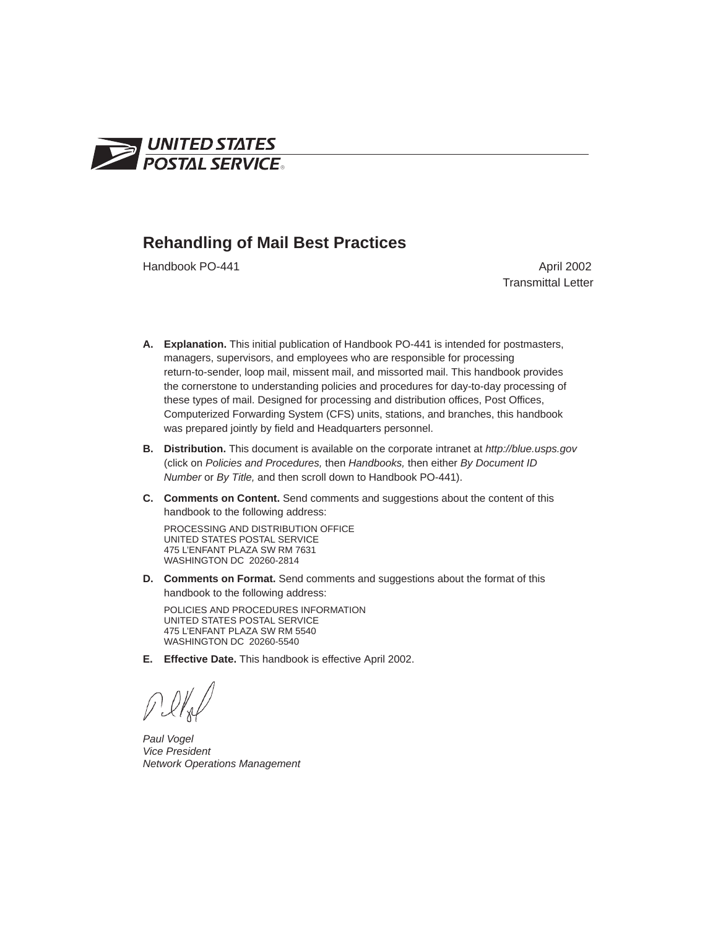

#### **Rehandling of Mail Best Practices**

Handbook PO-441 **April 2002** 

Transmittal Letter

- **A. Explanation.** This initial publication of Handbook PO-441 is intended for postmasters, managers, supervisors, and employees who are responsible for processing return-to-sender, loop mail, missent mail, and missorted mail. This handbook provides the cornerstone to understanding policies and procedures for day-to-day processing of these types of mail. Designed for processing and distribution offices, Post Offices, Computerized Forwarding System (CFS) units, stations, and branches, this handbook was prepared jointly by field and Headquarters personnel.
- **B. Distribution.** This document is available on the corporate intranet at *http://blue.usps.gov* (click on *Policies and Procedures,* then *Handbooks,* then either *By Document ID Number* or *By Title,* and then scroll down to Handbook PO-441).
- **C. Comments on Content.** Send comments and suggestions about the content of this handbook to the following address:

PROCESSING AND DISTRIBUTION OFFICE UNITED STATES POSTAL SERVICE 475 L'ENFANT PLAZA SW RM 7631 WASHINGTON DC 20260-2814

**D. Comments on Format.** Send comments and suggestions about the format of this handbook to the following address:

POLICIES AND PROCEDURES INFORMATION UNITED STATES POSTAL SERVICE 475 L'ENFANT PLAZA SW RM 5540 WASHINGTON DC 20260-5540

**E. Effective Date.** This handbook is effective April 2002.

*Paul Vogel Vice President Network Operations Management*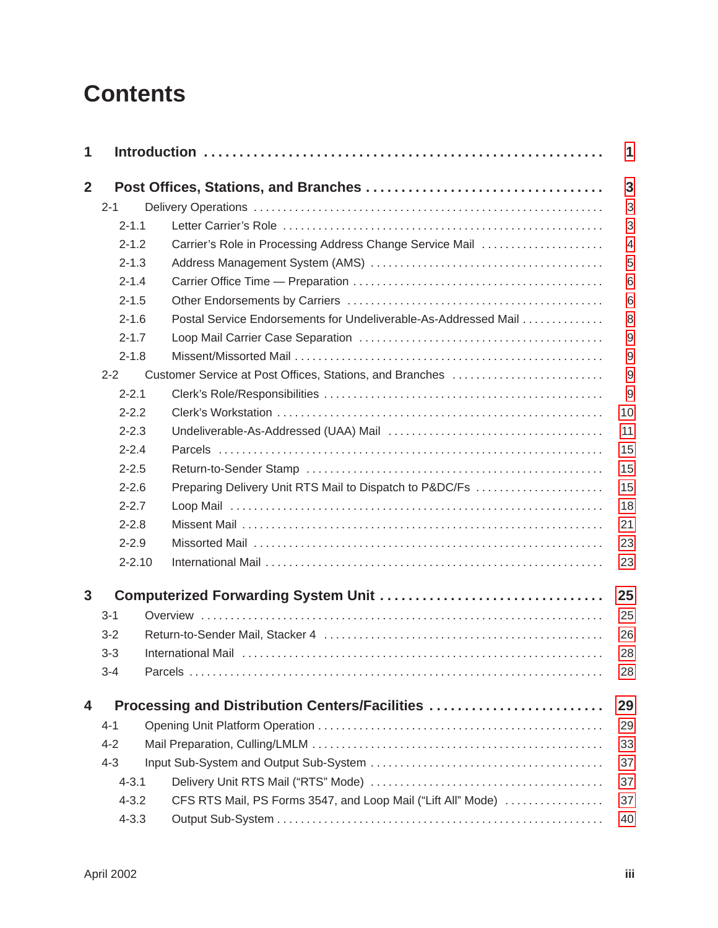## **Contents**

| 1              |            |                                                                 | 1              |
|----------------|------------|-----------------------------------------------------------------|----------------|
| $\overline{2}$ |            |                                                                 | 3              |
|                | $2 - 1$    |                                                                 | 3              |
|                | $2 - 1.1$  |                                                                 | 3              |
|                | $2 - 1.2$  | Carrier's Role in Processing Address Change Service Mail        | $\overline{4}$ |
|                | $2 - 1.3$  |                                                                 | 5              |
|                | $2 - 1.4$  |                                                                 | 6              |
|                | $2 - 1.5$  |                                                                 | 6              |
|                | $2 - 1.6$  | Postal Service Endorsements for Undeliverable-As-Addressed Mail | 8              |
|                | $2 - 1.7$  |                                                                 | 9              |
|                | $2 - 1.8$  |                                                                 | 9              |
|                | $2 - 2$    | Customer Service at Post Offices, Stations, and Branches        | 9              |
|                | $2 - 2.1$  |                                                                 | 9              |
|                | $2 - 2.2$  |                                                                 | 10             |
|                | $2 - 2.3$  |                                                                 | 11             |
|                | $2 - 2.4$  |                                                                 | 15             |
|                | $2 - 2.5$  |                                                                 | 15             |
|                | $2 - 2.6$  | Preparing Delivery Unit RTS Mail to Dispatch to P&DC/Fs         | 15             |
|                | $2 - 2.7$  |                                                                 | 18             |
|                | $2 - 2.8$  |                                                                 | 21             |
|                | $2 - 2.9$  |                                                                 | 23             |
|                | $2 - 2.10$ |                                                                 | 23             |
| 3              |            |                                                                 | 25             |
|                | $3 - 1$    |                                                                 | 25             |
|                | $3 - 2$    |                                                                 | 26             |
|                | $3 - 3$    |                                                                 | 28             |
|                | $3 - 4$    |                                                                 | 28             |
| 4              |            | Processing and Distribution Centers/Facilities                  | 29             |
|                | $4 - 1$    |                                                                 | 29             |
|                | $4 - 2$    |                                                                 | 33             |
|                | $4 - 3$    |                                                                 | 37             |
|                | $4 - 3.1$  |                                                                 | 37             |
|                | $4 - 3.2$  | CFS RTS Mail, PS Forms 3547, and Loop Mail ("Lift All" Mode)    | 37             |
|                | $4 - 3.3$  |                                                                 | 40             |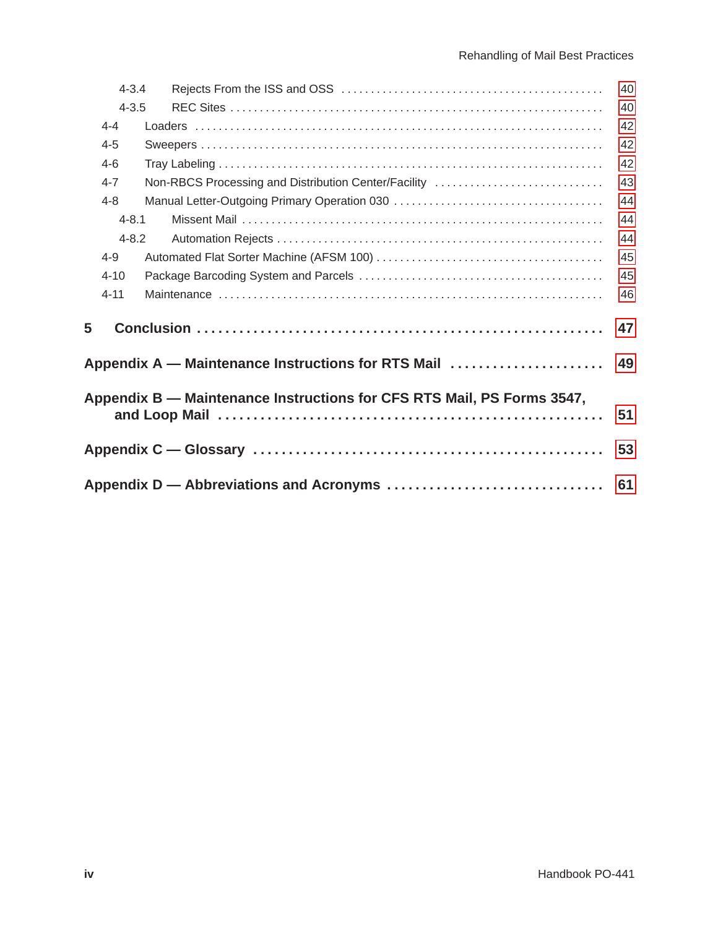|   | $4 - 3.4$ |                                                                        | 40 |
|---|-----------|------------------------------------------------------------------------|----|
|   | $4 - 3.5$ |                                                                        | 40 |
|   | $4 - 4$   |                                                                        | 42 |
|   | $4 - 5$   |                                                                        | 42 |
|   | $4 - 6$   |                                                                        | 42 |
|   | $4 - 7$   | Non-RBCS Processing and Distribution Center/Facility                   | 43 |
|   | $4 - 8$   |                                                                        | 44 |
|   | $4 - 8.1$ |                                                                        | 44 |
|   | $4 - 8.2$ |                                                                        | 44 |
|   | $4 - 9$   |                                                                        | 45 |
|   | $4 - 10$  |                                                                        | 45 |
|   | $4 - 11$  |                                                                        | 46 |
| 5 |           |                                                                        | 47 |
|   |           | Appendix A — Maintenance Instructions for RTS Mail                     | 49 |
|   |           | Appendix B — Maintenance Instructions for CFS RTS Mail, PS Forms 3547, | 51 |
|   |           |                                                                        | 53 |
|   |           | Appendix D — Abbreviations and Acronyms                                | 61 |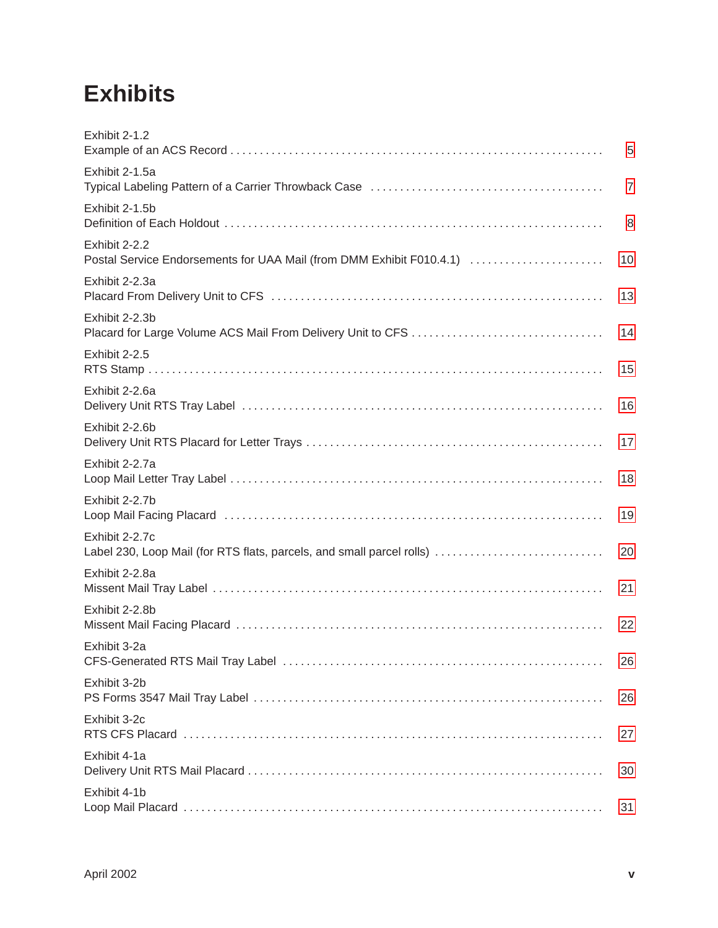## **Exhibits**

| Exhibit 2-1.2                                                                           | 5              |
|-----------------------------------------------------------------------------------------|----------------|
| Exhibit 2-1.5a                                                                          | $\overline{7}$ |
| Exhibit 2-1.5b                                                                          | 8              |
| Exhibit 2-2.2<br>Postal Service Endorsements for UAA Mail (from DMM Exhibit F010.4.1)   | 10             |
| Exhibit 2-2.3a                                                                          | 13             |
| Exhibit 2-2.3b                                                                          | 14             |
| Exhibit 2-2.5                                                                           | 15             |
| Exhibit 2-2.6a                                                                          | 16             |
| Exhibit 2-2.6b                                                                          | 17             |
| Exhibit 2-2.7a                                                                          | 18             |
| Exhibit 2-2.7b                                                                          | 19             |
| Exhibit 2-2.7c<br>Label 230, Loop Mail (for RTS flats, parcels, and small parcel rolls) | 20             |
| Exhibit 2-2.8a                                                                          | 21             |
| Exhibit 2-2.8b                                                                          | 22             |
| Exhibit 3-2a                                                                            | 26             |
| Exhibit 3-2b                                                                            | 26             |
| Exhibit 3-2c                                                                            | 27             |
| Exhibit 4-1a                                                                            | 30             |
| Exhibit 4-1b                                                                            | 31             |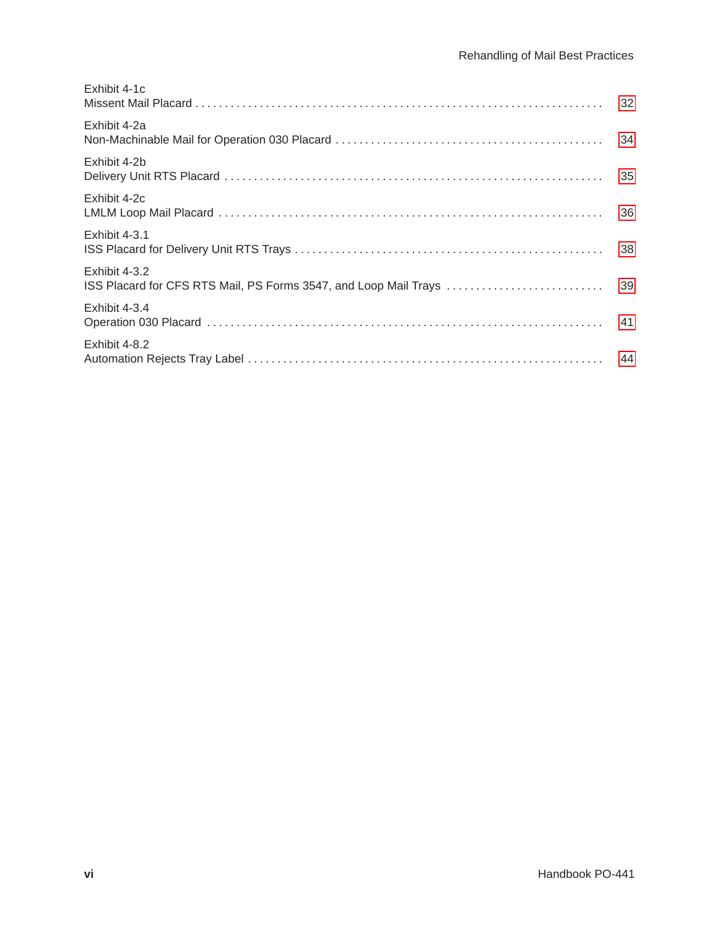| Exhibit 4-2a<br>Exhibit 4-2b<br>Exhibit 4-2c<br>Exhibit 4-3.1<br>Exhibit 4-3.2<br>ISS Placard for CFS RTS Mail, PS Forms 3547, and Loop Mail Trays<br>Exhibit 4-3.4<br>Exhibit 4-8.2 | Exhibit 4-1c |    |
|--------------------------------------------------------------------------------------------------------------------------------------------------------------------------------------|--------------|----|
|                                                                                                                                                                                      |              | 34 |
|                                                                                                                                                                                      |              |    |
|                                                                                                                                                                                      |              | 36 |
|                                                                                                                                                                                      |              |    |
|                                                                                                                                                                                      |              | 39 |
|                                                                                                                                                                                      |              |    |
|                                                                                                                                                                                      |              |    |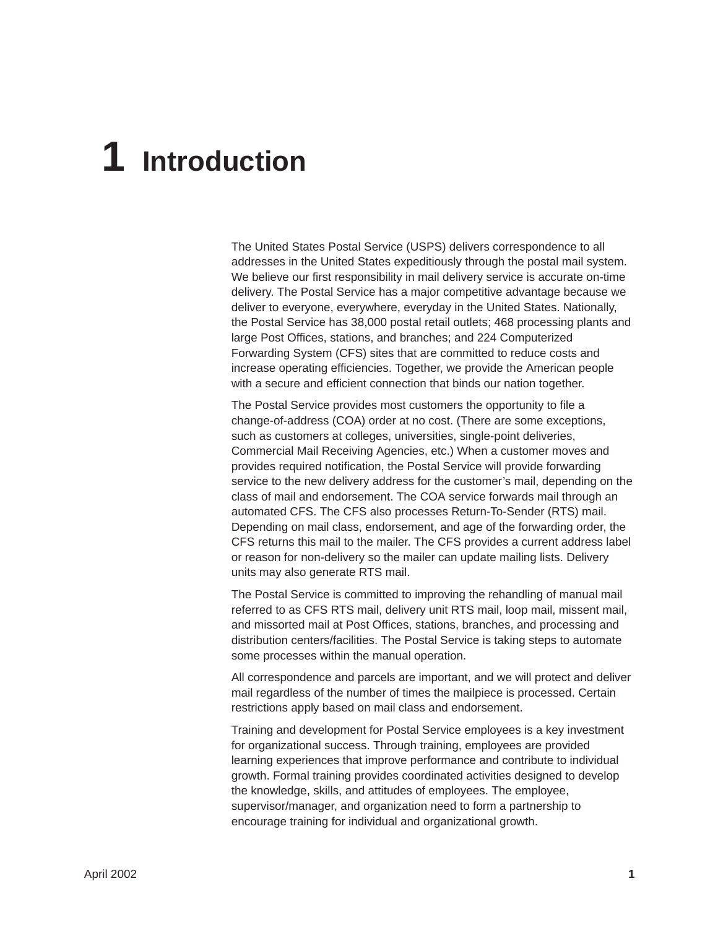# <span id="page-5-0"></span>**1 Introduction**

The United States Postal Service (USPS) delivers correspondence to all addresses in the United States expeditiously through the postal mail system. We believe our first responsibility in mail delivery service is accurate on-time delivery. The Postal Service has a major competitive advantage because we deliver to everyone, everywhere, everyday in the United States. Nationally, the Postal Service has 38,000 postal retail outlets; 468 processing plants and large Post Offices, stations, and branches; and 224 Computerized Forwarding System (CFS) sites that are committed to reduce costs and increase operating efficiencies. Together, we provide the American people with a secure and efficient connection that binds our nation together.

The Postal Service provides most customers the opportunity to file a change-of-address (COA) order at no cost. (There are some exceptions, such as customers at colleges, universities, single-point deliveries, Commercial Mail Receiving Agencies, etc.) When a customer moves and provides required notification, the Postal Service will provide forwarding service to the new delivery address for the customer's mail, depending on the class of mail and endorsement. The COA service forwards mail through an automated CFS. The CFS also processes Return-To-Sender (RTS) mail. Depending on mail class, endorsement, and age of the forwarding order, the CFS returns this mail to the mailer. The CFS provides a current address label or reason for non-delivery so the mailer can update mailing lists. Delivery units may also generate RTS mail.

The Postal Service is committed to improving the rehandling of manual mail referred to as CFS RTS mail, delivery unit RTS mail, loop mail, missent mail, and missorted mail at Post Offices, stations, branches, and processing and distribution centers/facilities. The Postal Service is taking steps to automate some processes within the manual operation.

All correspondence and parcels are important, and we will protect and deliver mail regardless of the number of times the mailpiece is processed. Certain restrictions apply based on mail class and endorsement.

Training and development for Postal Service employees is a key investment for organizational success. Through training, employees are provided learning experiences that improve performance and contribute to individual growth. Formal training provides coordinated activities designed to develop the knowledge, skills, and attitudes of employees. The employee, supervisor/manager, and organization need to form a partnership to encourage training for individual and organizational growth.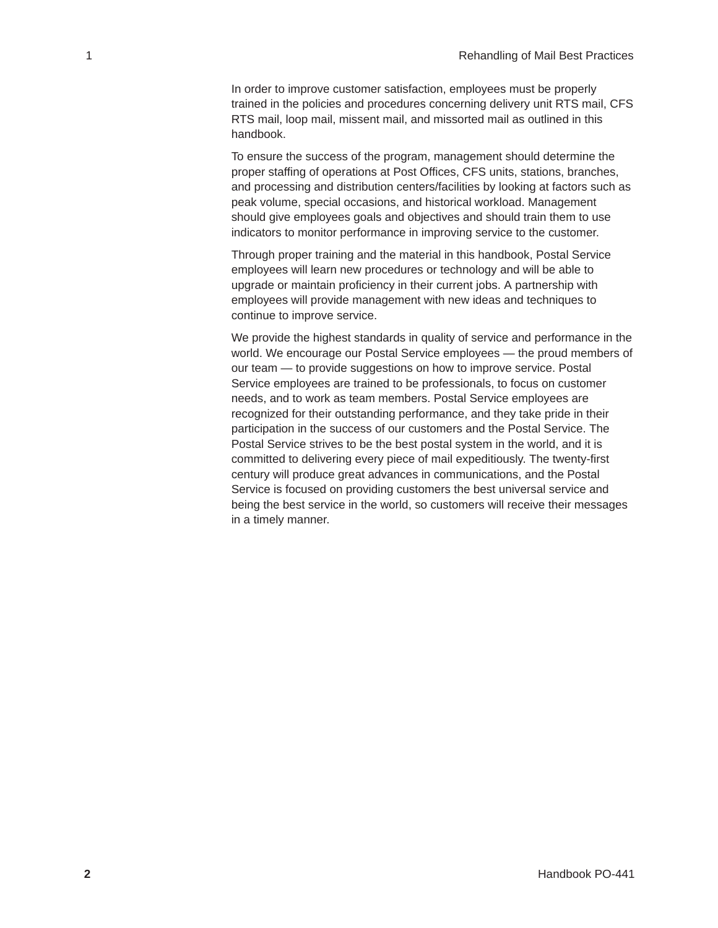In order to improve customer satisfaction, employees must be properly trained in the policies and procedures concerning delivery unit RTS mail, CFS RTS mail, loop mail, missent mail, and missorted mail as outlined in this handbook.

To ensure the success of the program, management should determine the proper staffing of operations at Post Offices, CFS units, stations, branches, and processing and distribution centers/facilities by looking at factors such as peak volume, special occasions, and historical workload. Management should give employees goals and objectives and should train them to use indicators to monitor performance in improving service to the customer.

Through proper training and the material in this handbook, Postal Service employees will learn new procedures or technology and will be able to upgrade or maintain proficiency in their current jobs. A partnership with employees will provide management with new ideas and techniques to continue to improve service.

We provide the highest standards in quality of service and performance in the world. We encourage our Postal Service employees — the proud members of our team — to provide suggestions on how to improve service. Postal Service employees are trained to be professionals, to focus on customer needs, and to work as team members. Postal Service employees are recognized for their outstanding performance, and they take pride in their participation in the success of our customers and the Postal Service. The Postal Service strives to be the best postal system in the world, and it is committed to delivering every piece of mail expeditiously. The twenty-first century will produce great advances in communications, and the Postal Service is focused on providing customers the best universal service and being the best service in the world, so customers will receive their messages in a timely manner.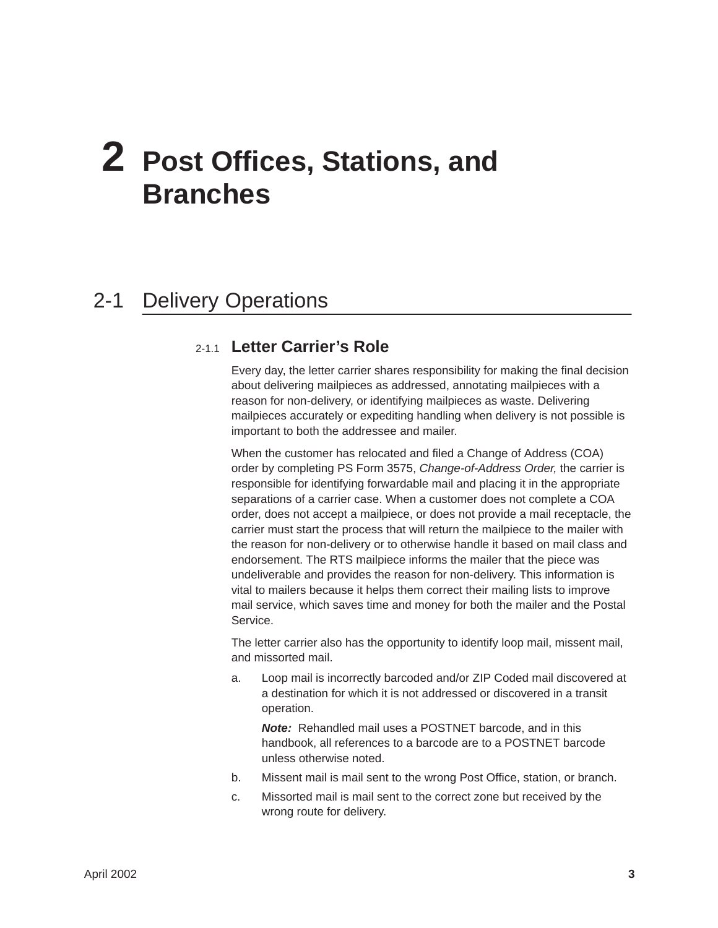# <span id="page-7-0"></span>**2 Post Offices, Stations, and Branches**

### 2-1 Delivery Operations

#### 2-1.1 **Letter Carrier's Role**

Every day, the letter carrier shares responsibility for making the final decision about delivering mailpieces as addressed, annotating mailpieces with a reason for non-delivery, or identifying mailpieces as waste. Delivering mailpieces accurately or expediting handling when delivery is not possible is important to both the addressee and mailer.

When the customer has relocated and filed a Change of Address (COA) order by completing PS Form 3575, *Change-of-Address Order,* the carrier is responsible for identifying forwardable mail and placing it in the appropriate separations of a carrier case. When a customer does not complete a COA order, does not accept a mailpiece, or does not provide a mail receptacle, the carrier must start the process that will return the mailpiece to the mailer with the reason for non-delivery or to otherwise handle it based on mail class and endorsement. The RTS mailpiece informs the mailer that the piece was undeliverable and provides the reason for non-delivery. This information is vital to mailers because it helps them correct their mailing lists to improve mail service, which saves time and money for both the mailer and the Postal Service.

The letter carrier also has the opportunity to identify loop mail, missent mail, and missorted mail.

a. Loop mail is incorrectly barcoded and/or ZIP Coded mail discovered at a destination for which it is not addressed or discovered in a transit operation.

*Note:* Rehandled mail uses a POSTNET barcode, and in this handbook, all references to a barcode are to a POSTNET barcode unless otherwise noted.

- b. Missent mail is mail sent to the wrong Post Office, station, or branch.
- c. Missorted mail is mail sent to the correct zone but received by the wrong route for delivery.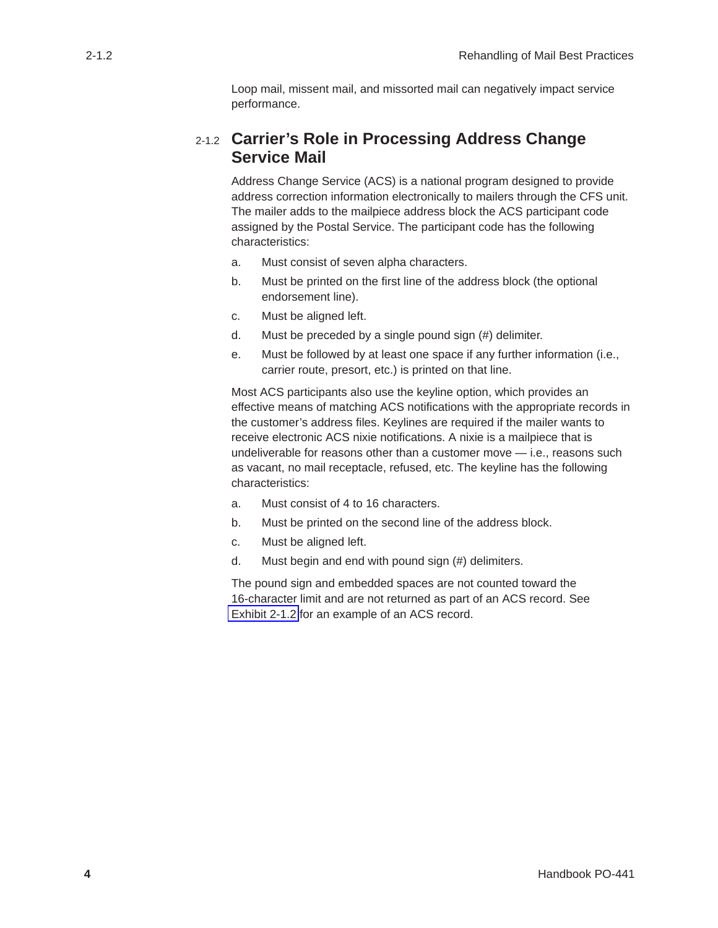Loop mail, missent mail, and missorted mail can negatively impact service performance.

#### <span id="page-8-0"></span>2-1.2 **Carrier's Role in Processing Address Change Service Mail**

Address Change Service (ACS) is a national program designed to provide address correction information electronically to mailers through the CFS unit. The mailer adds to the mailpiece address block the ACS participant code assigned by the Postal Service. The participant code has the following characteristics:

- a. Must consist of seven alpha characters.
- b. Must be printed on the first line of the address block (the optional endorsement line).
- c. Must be aligned left.
- d. Must be preceded by a single pound sign (#) delimiter.
- e. Must be followed by at least one space if any further information (i.e., carrier route, presort, etc.) is printed on that line.

Most ACS participants also use the keyline option, which provides an effective means of matching ACS notifications with the appropriate records in the customer's address files. Keylines are required if the mailer wants to receive electronic ACS nixie notifications. A nixie is a mailpiece that is undeliverable for reasons other than a customer move — i.e., reasons such as vacant, no mail receptacle, refused, etc. The keyline has the following characteristics:

- a. Must consist of 4 to 16 characters.
- b. Must be printed on the second line of the address block.
- c. Must be aligned left.
- d. Must begin and end with pound sign (#) delimiters.

The pound sign and embedded spaces are not counted toward the 16-character limit and are not returned as part of an ACS record. See [Exhibit 2-1.2](#page-9-0) for an example of an ACS record.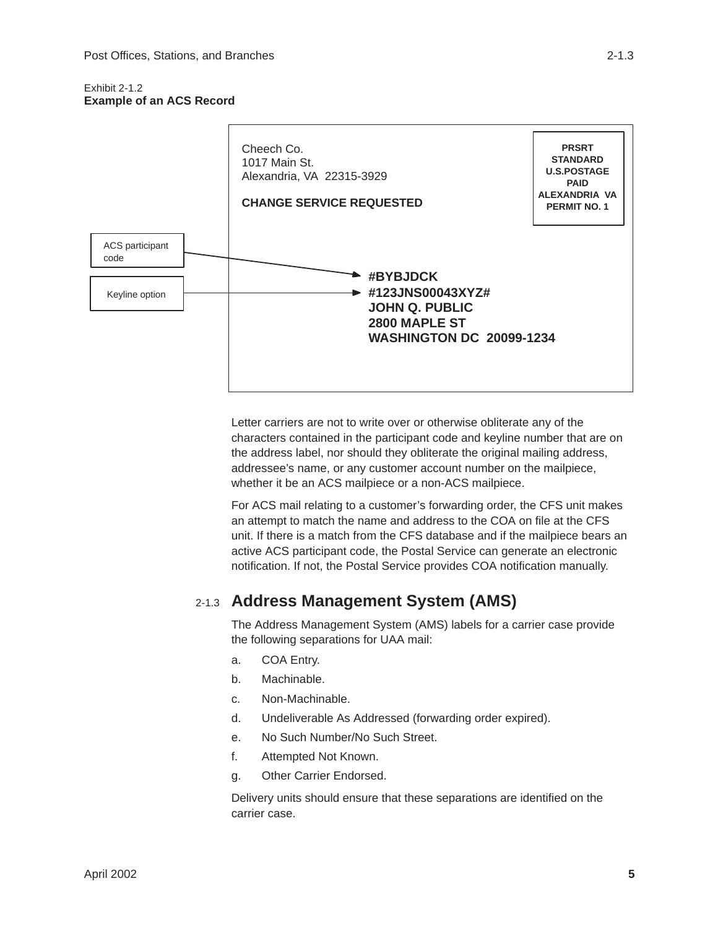#### <span id="page-9-0"></span>Exhibit 2-1.2 **Example of an ACS Record**



Letter carriers are not to write over or otherwise obliterate any of the characters contained in the participant code and keyline number that are on the address label, nor should they obliterate the original mailing address, addressee's name, or any customer account number on the mailpiece, whether it be an ACS mailpiece or a non-ACS mailpiece.

For ACS mail relating to a customer's forwarding order, the CFS unit makes an attempt to match the name and address to the COA on file at the CFS unit. If there is a match from the CFS database and if the mailpiece bears an active ACS participant code, the Postal Service can generate an electronic notification. If not, the Postal Service provides COA notification manually.

#### 2-1.3 **Address Management System (AMS)**

The Address Management System (AMS) labels for a carrier case provide the following separations for UAA mail:

- a. COA Entry.
- b. Machinable.
- c. Non-Machinable.
- d. Undeliverable As Addressed (forwarding order expired).
- e. No Such Number/No Such Street.
- f. Attempted Not Known.
- g. Other Carrier Endorsed.

Delivery units should ensure that these separations are identified on the carrier case.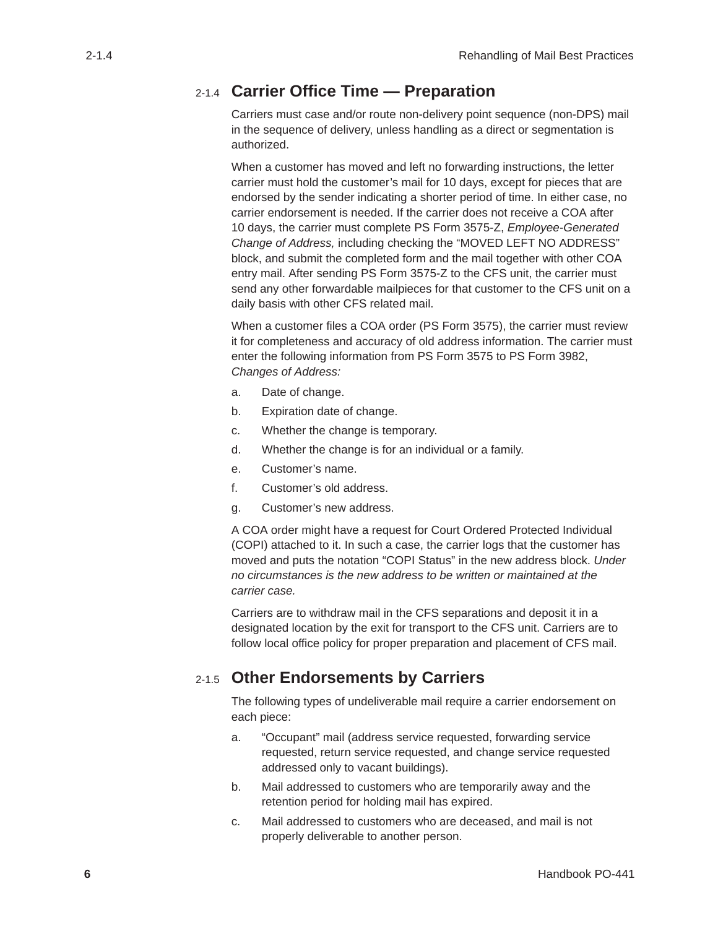#### <span id="page-10-0"></span>2-1.4 **Carrier Office Time — Preparation**

Carriers must case and/or route non-delivery point sequence (non-DPS) mail in the sequence of delivery, unless handling as a direct or segmentation is authorized.

When a customer has moved and left no forwarding instructions, the letter carrier must hold the customer's mail for 10 days, except for pieces that are endorsed by the sender indicating a shorter period of time. In either case, no carrier endorsement is needed. If the carrier does not receive a COA after 10 days, the carrier must complete PS Form 3575-Z, *Employee-Generated Change of Address,* including checking the "MOVED LEFT NO ADDRESS" block, and submit the completed form and the mail together with other COA entry mail. After sending PS Form 3575-Z to the CFS unit, the carrier must send any other forwardable mailpieces for that customer to the CFS unit on a daily basis with other CFS related mail.

When a customer files a COA order (PS Form 3575), the carrier must review it for completeness and accuracy of old address information. The carrier must enter the following information from PS Form 3575 to PS Form 3982, *Changes of Address:*

- a. Date of change.
- b. Expiration date of change.
- c. Whether the change is temporary.
- d. Whether the change is for an individual or a family.
- e. Customer's name.
- f. Customer's old address.
- g. Customer's new address.

A COA order might have a request for Court Ordered Protected Individual (COPI) attached to it. In such a case, the carrier logs that the customer has moved and puts the notation "COPI Status" in the new address block. *Under no circumstances is the new address to be written or maintained at the carrier case.*

Carriers are to withdraw mail in the CFS separations and deposit it in a designated location by the exit for transport to the CFS unit. Carriers are to follow local office policy for proper preparation and placement of CFS mail.

#### 2-1.5 **Other Endorsements by Carriers**

The following types of undeliverable mail require a carrier endorsement on each piece:

- a. "Occupant" mail (address service requested, forwarding service requested, return service requested, and change service requested addressed only to vacant buildings).
- b. Mail addressed to customers who are temporarily away and the retention period for holding mail has expired.
- c. Mail addressed to customers who are deceased, and mail is not properly deliverable to another person.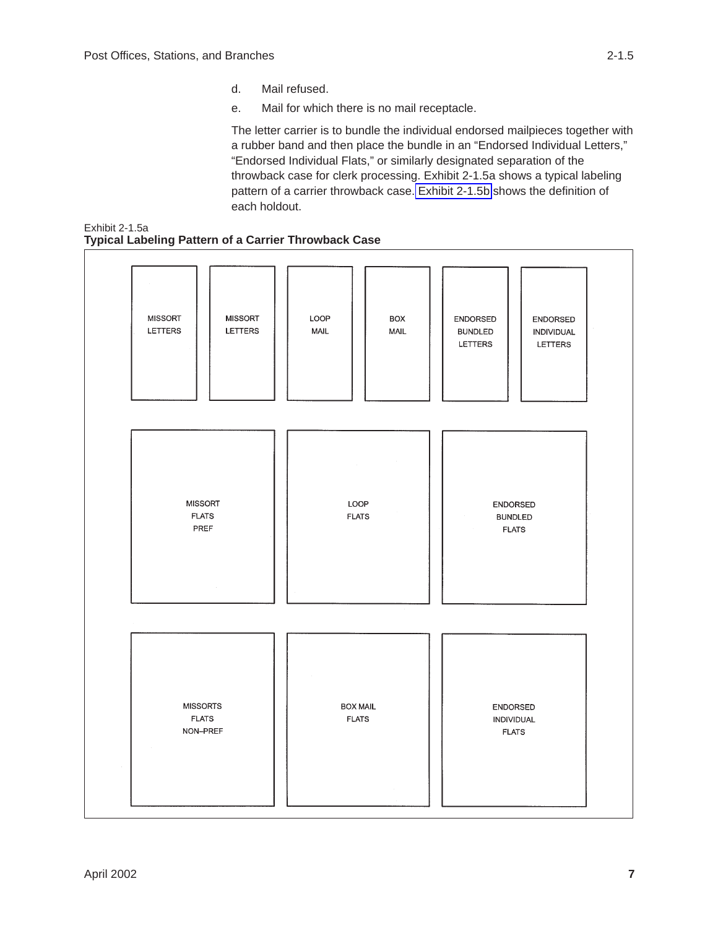- d. Mail refused.
- e. Mail for which there is no mail receptacle.

The letter carrier is to bundle the individual endorsed mailpieces together with a rubber band and then place the bundle in an "Endorsed Individual Letters," "Endorsed Individual Flats," or similarly designated separation of the throwback case for clerk processing. Exhibit 2-1.5a shows a typical labeling pattern of a carrier throwback case. [Exhibit 2-1.5b](#page-12-0) shows the definition of each holdout.

<span id="page-11-0"></span>

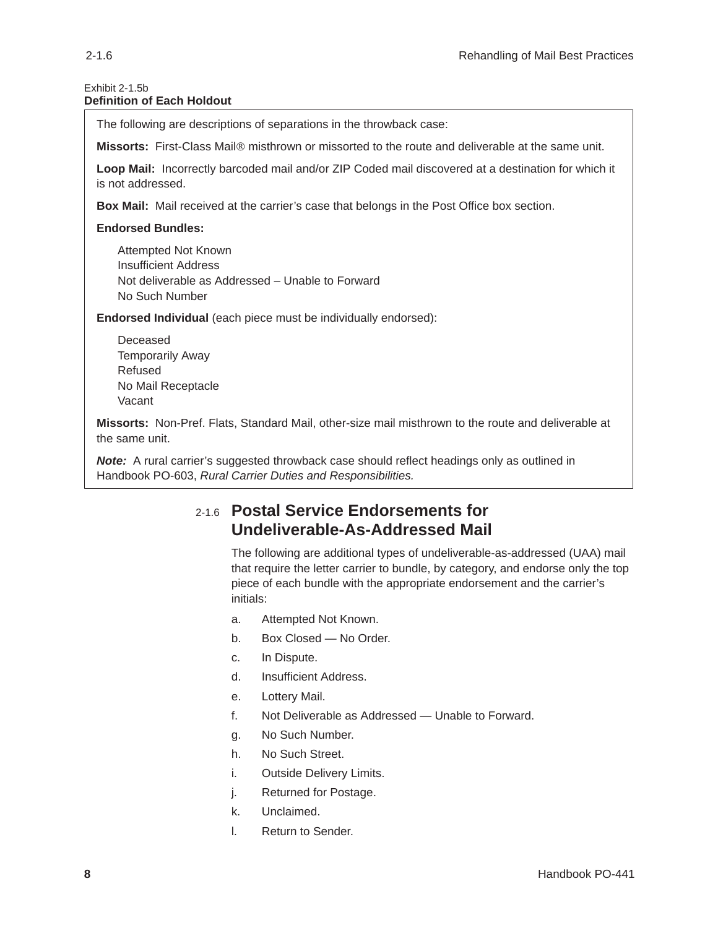#### <span id="page-12-0"></span>Exhibit 2-1.5b **Definition of Each Holdout**

The following are descriptions of separations in the throwback case:

**Missorts:** First-Class Mail<sup>®</sup> misthrown or missorted to the route and deliverable at the same unit.

**Loop Mail:** Incorrectly barcoded mail and/or ZIP Coded mail discovered at a destination for which it is not addressed.

**Box Mail:** Mail received at the carrier's case that belongs in the Post Office box section.

#### **Endorsed Bundles:**

Attempted Not Known Insufficient Address Not deliverable as Addressed – Unable to Forward No Such Number

**Endorsed Individual** (each piece must be individually endorsed):

Deceased Temporarily Away Refused No Mail Receptacle Vacant

**Missorts:** Non-Pref. Flats, Standard Mail, other-size mail misthrown to the route and deliverable at the same unit.

**Note:** A rural carrier's suggested throwback case should reflect headings only as outlined in Handbook PO-603, *Rural Carrier Duties and Responsibilities.*

#### 2-1.6 **Postal Service Endorsements for Undeliverable-As-Addressed Mail**

The following are additional types of undeliverable-as-addressed (UAA) mail that require the letter carrier to bundle, by category, and endorse only the top piece of each bundle with the appropriate endorsement and the carrier's initials:

- a. Attempted Not Known.
- b. Box Closed No Order.
- c. In Dispute.
- d. Insufficient Address.
- e. Lottery Mail.
- f. Not Deliverable as Addressed Unable to Forward.
- g. No Such Number.
- h. No Such Street.
- i. Outside Delivery Limits.
- j. Returned for Postage.
- k. Unclaimed.
- l. Return to Sender.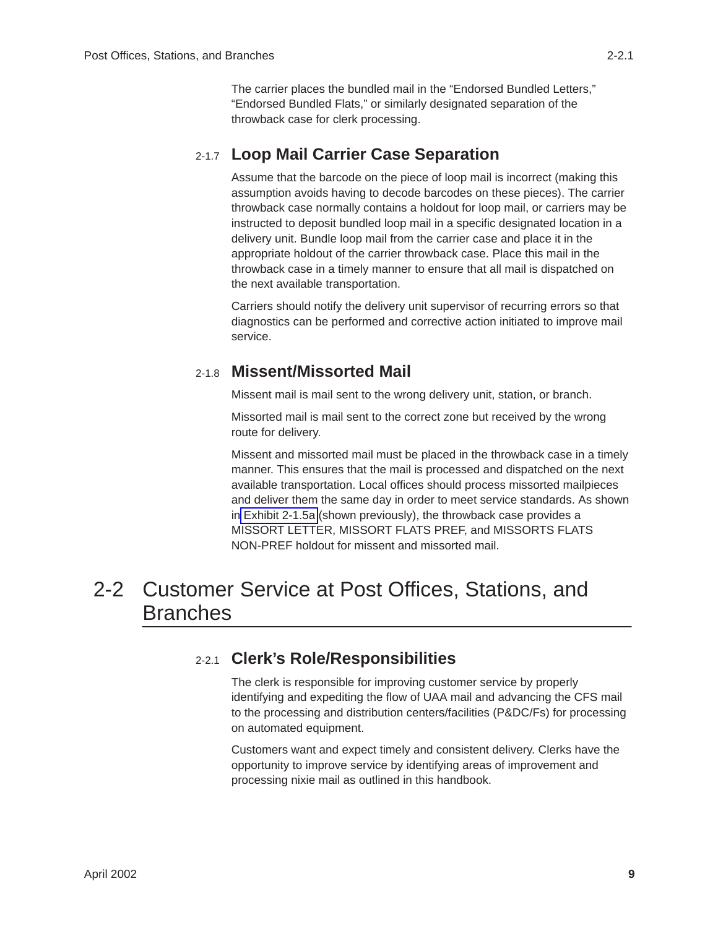The carrier places the bundled mail in the "Endorsed Bundled Letters," "Endorsed Bundled Flats," or similarly designated separation of the throwback case for clerk processing.

### <span id="page-13-0"></span>2-1.7 **Loop Mail Carrier Case Separation**

Assume that the barcode on the piece of loop mail is incorrect (making this assumption avoids having to decode barcodes on these pieces). The carrier throwback case normally contains a holdout for loop mail, or carriers may be instructed to deposit bundled loop mail in a specific designated location in a delivery unit. Bundle loop mail from the carrier case and place it in the appropriate holdout of the carrier throwback case. Place this mail in the throwback case in a timely manner to ensure that all mail is dispatched on the next available transportation.

Carriers should notify the delivery unit supervisor of recurring errors so that diagnostics can be performed and corrective action initiated to improve mail service.

### 2-1.8 **Missent/Missorted Mail**

Missent mail is mail sent to the wrong delivery unit, station, or branch.

Missorted mail is mail sent to the correct zone but received by the wrong route for delivery.

Missent and missorted mail must be placed in the throwback case in a timely manner. This ensures that the mail is processed and dispatched on the next available transportation. Local offices should process missorted mailpieces and deliver them the same day in order to meet service standards. As shown i[n Exhibit 2-1.5a](#page-11-0) (shown previously), the throwback case provides a MISSORT LETTER, MISSORT FLATS PREF, and MISSORTS FLATS NON-PREF holdout for missent and missorted mail.

### 2-2 Customer Service at Post Offices, Stations, and Branches

### 2-2.1 **Clerk's Role/Responsibilities**

The clerk is responsible for improving customer service by properly identifying and expediting the flow of UAA mail and advancing the CFS mail to the processing and distribution centers/facilities (P&DC/Fs) for processing on automated equipment.

Customers want and expect timely and consistent delivery. Clerks have the opportunity to improve service by identifying areas of improvement and processing nixie mail as outlined in this handbook.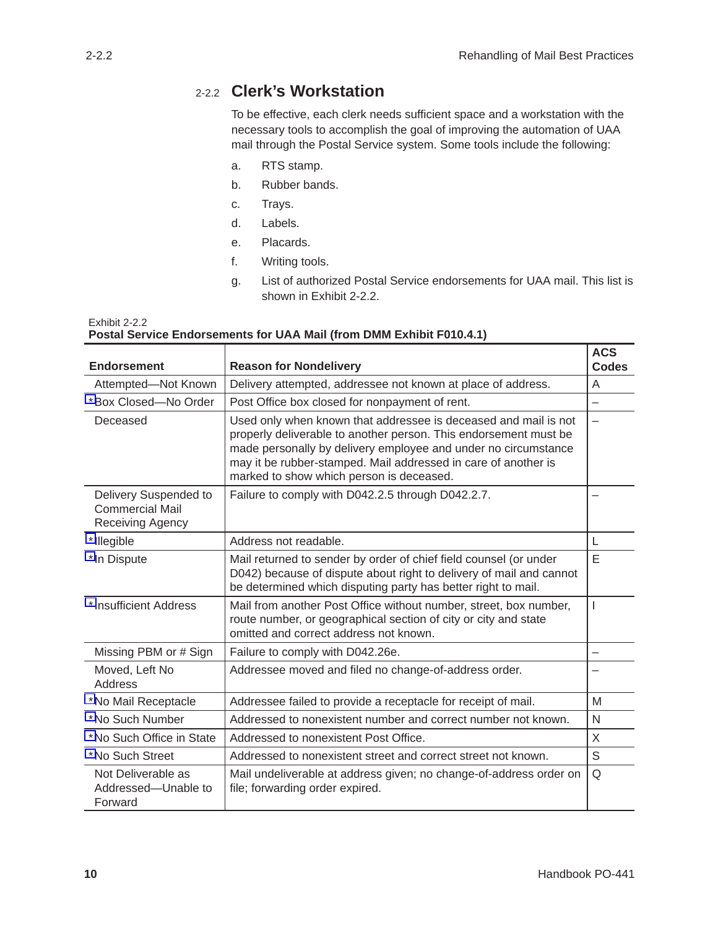### <span id="page-14-0"></span>2-2.2 **Clerk's Workstation**

To be effective, each clerk needs sufficient space and a workstation with the necessary tools to accomplish the goal of improving the automation of UAA mail through the Postal Service system. Some tools include the following:

- a. RTS stamp.
- b. Rubber bands.
- c. Trays.
- d. Labels.
- e. Placards.
- f. Writing tools.
- g. List of authorized Postal Service endorsements for UAA mail. This list is shown in Exhibit 2-2.2.

#### Exhibit 2-2.2 **Postal Service Endorsements for UAA Mail (from DMM Exhibit F010.4.1)**

| <b>Endorsement</b>                                                  | <b>Reason for Nondelivery</b>                                                                                                                                                                                                                                                                                       | <b>ACS</b><br><b>Codes</b> |
|---------------------------------------------------------------------|---------------------------------------------------------------------------------------------------------------------------------------------------------------------------------------------------------------------------------------------------------------------------------------------------------------------|----------------------------|
| Attempted-Not Known                                                 | Delivery attempted, addressee not known at place of address.                                                                                                                                                                                                                                                        | A                          |
| *Box Closed-No Order                                                | Post Office box closed for nonpayment of rent.                                                                                                                                                                                                                                                                      | —                          |
| Deceased                                                            | Used only when known that addressee is deceased and mail is not<br>properly deliverable to another person. This endorsement must be<br>made personally by delivery employee and under no circumstance<br>may it be rubber-stamped. Mail addressed in care of another is<br>marked to show which person is deceased. |                            |
| Delivery Suspended to<br><b>Commercial Mail</b><br>Receiving Agency | Failure to comply with D042.2.5 through D042.2.7.                                                                                                                                                                                                                                                                   |                            |
| *Illegible                                                          | Address not readable.                                                                                                                                                                                                                                                                                               | L                          |
| *In Dispute                                                         | Mail returned to sender by order of chief field counsel (or under<br>D042) because of dispute about right to delivery of mail and cannot<br>be determined which disputing party has better right to mail.                                                                                                           | E                          |
| *Insufficient Address                                               | Mail from another Post Office without number, street, box number,<br>route number, or geographical section of city or city and state<br>omitted and correct address not known.                                                                                                                                      | T                          |
| Missing PBM or # Sign                                               | Failure to comply with D042.26e.                                                                                                                                                                                                                                                                                    | —                          |
| Moved, Left No<br><b>Address</b>                                    | Addressee moved and filed no change-of-address order.                                                                                                                                                                                                                                                               |                            |
| *No Mail Receptacle                                                 | Addressee failed to provide a receptacle for receipt of mail.                                                                                                                                                                                                                                                       | M                          |
| *No Such Number                                                     | Addressed to nonexistent number and correct number not known.                                                                                                                                                                                                                                                       | N                          |
| *No Such Office in State                                            | Addressed to nonexistent Post Office.                                                                                                                                                                                                                                                                               | X                          |
| *No Such Street                                                     | Addressed to nonexistent street and correct street not known.                                                                                                                                                                                                                                                       | S                          |
| Not Deliverable as<br>Addressed-Unable to<br>Forward                | Mail undeliverable at address given; no change-of-address order on<br>file; forwarding order expired.                                                                                                                                                                                                               | Q                          |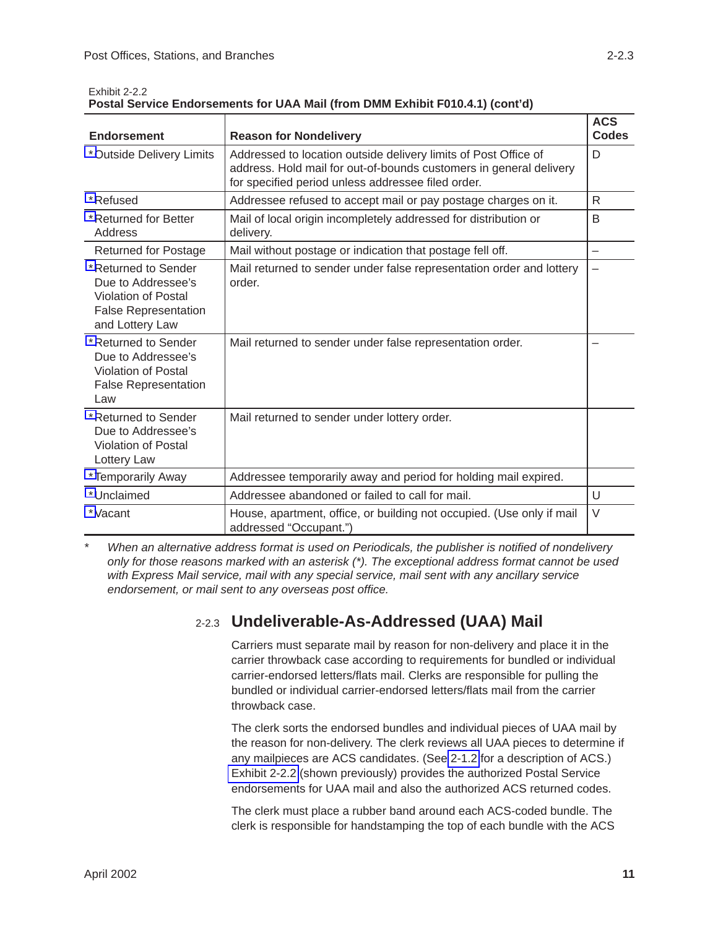| <b>Endorsement</b>                                                                                                        | <b>Reason for Nondelivery</b>                                                                                                                                                               | <b>ACS</b><br><b>Codes</b> |
|---------------------------------------------------------------------------------------------------------------------------|---------------------------------------------------------------------------------------------------------------------------------------------------------------------------------------------|----------------------------|
| *Outside Delivery Limits                                                                                                  | Addressed to location outside delivery limits of Post Office of<br>address. Hold mail for out-of-bounds customers in general delivery<br>for specified period unless addressee filed order. | D                          |
| *Refused                                                                                                                  | Addressee refused to accept mail or pay postage charges on it.                                                                                                                              | R                          |
| *Returned for Better<br>Address                                                                                           | Mail of local origin incompletely addressed for distribution or<br>delivery.                                                                                                                | B                          |
| <b>Returned for Postage</b>                                                                                               | Mail without postage or indication that postage fell off.                                                                                                                                   | —                          |
| *Returned to Sender<br>Due to Addressee's<br><b>Violation of Postal</b><br><b>False Representation</b><br>and Lottery Law | Mail returned to sender under false representation order and lottery<br>order.                                                                                                              | $\overline{\phantom{0}}$   |
| *Returned to Sender<br>Due to Addressee's<br><b>Violation of Postal</b><br><b>False Representation</b><br>Law             | Mail returned to sender under false representation order.                                                                                                                                   |                            |
| *Returned to Sender<br>Due to Addressee's<br><b>Violation of Postal</b><br>Lottery Law                                    | Mail returned to sender under lottery order.                                                                                                                                                |                            |
| *Temporarily Away                                                                                                         | Addressee temporarily away and period for holding mail expired.                                                                                                                             |                            |
| *Unclaimed                                                                                                                | Addressee abandoned or failed to call for mail.                                                                                                                                             | U                          |
| *Vacant                                                                                                                   | House, apartment, office, or building not occupied. (Use only if mail<br>addressed "Occupant.")                                                                                             | $\vee$                     |

<span id="page-15-0"></span>Exhibit 2-2.2

| Postal Service Endorsements for UAA Mail (from DMM Exhibit F010.4.1) (cont'd) |  |  |
|-------------------------------------------------------------------------------|--|--|
|-------------------------------------------------------------------------------|--|--|

*\* When an alternative address format is used on Periodicals, the publisher is notified of nondelivery only for those reasons marked with an asterisk (\*). The exceptional address format cannot be used with Express Mail service, mail with any special service, mail sent with any ancillary service endorsement, or mail sent to any overseas post office.*

### 2-2.3 **Undeliverable-As-Addressed (UAA) Mail**

Carriers must separate mail by reason for non-delivery and place it in the carrier throwback case according to requirements for bundled or individual carrier-endorsed letters/flats mail. Clerks are responsible for pulling the bundled or individual carrier-endorsed letters/flats mail from the carrier throwback case.

The clerk sorts the endorsed bundles and individual pieces of UAA mail by the reason for non-delivery. The clerk reviews all UAA pieces to determine if any mailpieces are ACS candidates. (See [2-1.2](#page-8-0) for a description of ACS.) Exhibit 2-2.2 (shown previously) provides the authorized Postal Service endorsements for UAA mail and also the authorized ACS returned codes.

The clerk must place a rubber band around each ACS-coded bundle. The clerk is responsible for handstamping the top of each bundle with the ACS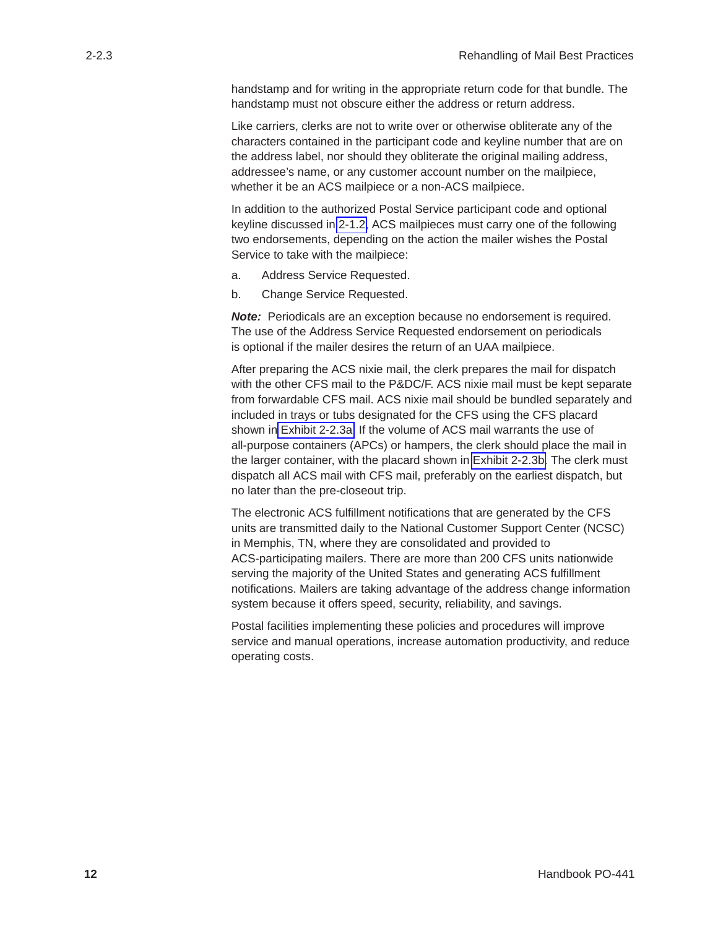handstamp and for writing in the appropriate return code for that bundle. The handstamp must not obscure either the address or return address.

Like carriers, clerks are not to write over or otherwise obliterate any of the characters contained in the participant code and keyline number that are on the address label, nor should they obliterate the original mailing address, addressee's name, or any customer account number on the mailpiece, whether it be an ACS mailpiece or a non-ACS mailpiece.

In addition to the authorized Postal Service participant code and optional keyline discussed in [2-1.2,](#page-8-0) ACS mailpieces must carry one of the following two endorsements, depending on the action the mailer wishes the Postal Service to take with the mailpiece:

- a. Address Service Requested.
- b. Change Service Requested.

**Note:** Periodicals are an exception because no endorsement is required. The use of the Address Service Requested endorsement on periodicals is optional if the mailer desires the return of an UAA mailpiece.

After preparing the ACS nixie mail, the clerk prepares the mail for dispatch with the other CFS mail to the P&DC/F. ACS nixie mail must be kept separate from forwardable CFS mail. ACS nixie mail should be bundled separately and included in trays or tubs designated for the CFS using the CFS placard shown in [Exhibit 2-2.3a.](#page-17-0) If the volume of ACS mail warrants the use of all-purpose containers (APCs) or hampers, the clerk should place the mail in the larger container, with the placard shown in [Exhibit 2-2.3b.](#page-18-0) The clerk must dispatch all ACS mail with CFS mail, preferably on the earliest dispatch, but no later than the pre-closeout trip.

The electronic ACS fulfillment notifications that are generated by the CFS units are transmitted daily to the National Customer Support Center (NCSC) in Memphis, TN, where they are consolidated and provided to ACS-participating mailers. There are more than 200 CFS units nationwide serving the majority of the United States and generating ACS fulfillment notifications. Mailers are taking advantage of the address change information system because it offers speed, security, reliability, and savings.

Postal facilities implementing these policies and procedures will improve service and manual operations, increase automation productivity, and reduce operating costs.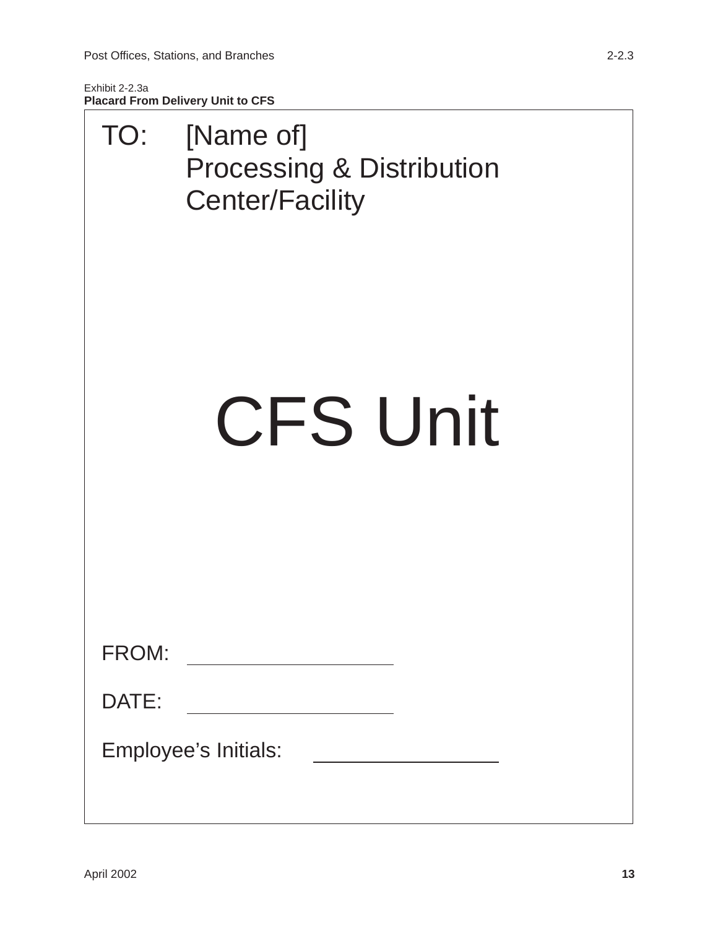<span id="page-17-0"></span>Exhibit 2-2.3a **Placard From Delivery Unit to CFS**

| TO:   | [Name of]<br><b>Processing &amp; Distribution</b><br><b>Center/Facility</b>         |
|-------|-------------------------------------------------------------------------------------|
|       | <b>CFS Unit</b>                                                                     |
| FROM: | <u> 1989 - Andrea Station Barbara, amerikan per</u>                                 |
| DATE: |                                                                                     |
|       | Employee's Initials:<br><u> 1989 - Andrea Station Books, amerikansk politiker (</u> |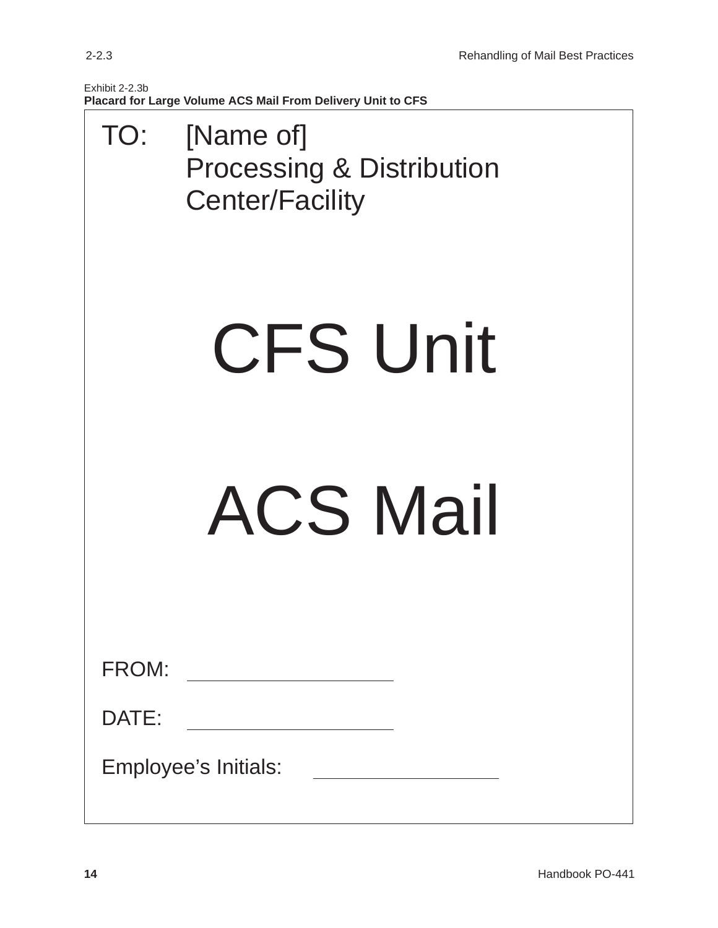<span id="page-18-0"></span>

| Exhibit 2-2.3b                                              |
|-------------------------------------------------------------|
| Placard for Large Volume ACS Mail From Delivery Unit to CFS |

| TO:   | [Name of]<br><b>Processing &amp; Distribution</b><br><b>Center/Facility</b> |
|-------|-----------------------------------------------------------------------------|
|       | <b>CFS Unit</b>                                                             |
|       | <b>ACS Mail</b>                                                             |
| FROM: |                                                                             |
| DATE: | Employee's Initials:                                                        |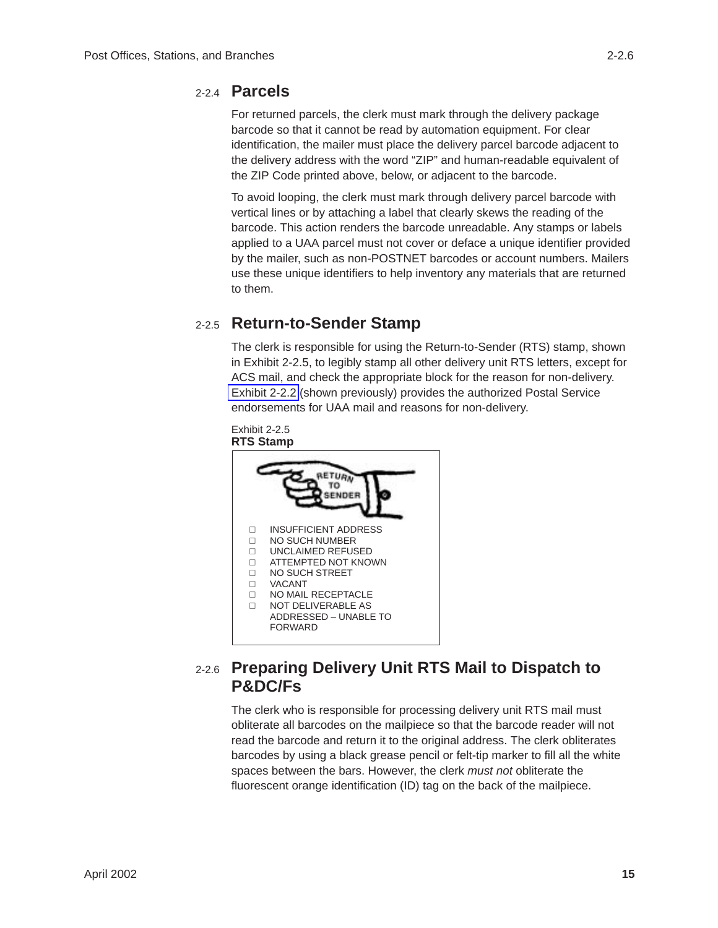<span id="page-19-0"></span>For returned parcels, the clerk must mark through the delivery package barcode so that it cannot be read by automation equipment. For clear identification, the mailer must place the delivery parcel barcode adjacent to the delivery address with the word "ZIP" and human-readable equivalent of the ZIP Code printed above, below, or adjacent to the barcode.

To avoid looping, the clerk must mark through delivery parcel barcode with vertical lines or by attaching a label that clearly skews the reading of the barcode. This action renders the barcode unreadable. Any stamps or labels applied to a UAA parcel must not cover or deface a unique identifier provided by the mailer, such as non-POSTNET barcodes or account numbers. Mailers use these unique identifiers to help inventory any materials that are returned to them.

### 2-2.5 **Return-to-Sender Stamp**

The clerk is responsible for using the Return-to-Sender (RTS) stamp, shown in Exhibit 2-2.5, to legibly stamp all other delivery unit RTS letters, except for ACS mail, and check the appropriate block for the reason for non-delivery. [Exhibit 2-2.2](#page-14-0) (shown previously) provides the authorized Postal Service endorsements for UAA mail and reasons for non-delivery.



### 2-2.6 **Preparing Delivery Unit RTS Mail to Dispatch to P&DC/Fs**

The clerk who is responsible for processing delivery unit RTS mail must obliterate all barcodes on the mailpiece so that the barcode reader will not read the barcode and return it to the original address. The clerk obliterates barcodes by using a black grease pencil or felt-tip marker to fill all the white spaces between the bars. However, the clerk *must not* obliterate the fluorescent orange identification (ID) tag on the back of the mailpiece.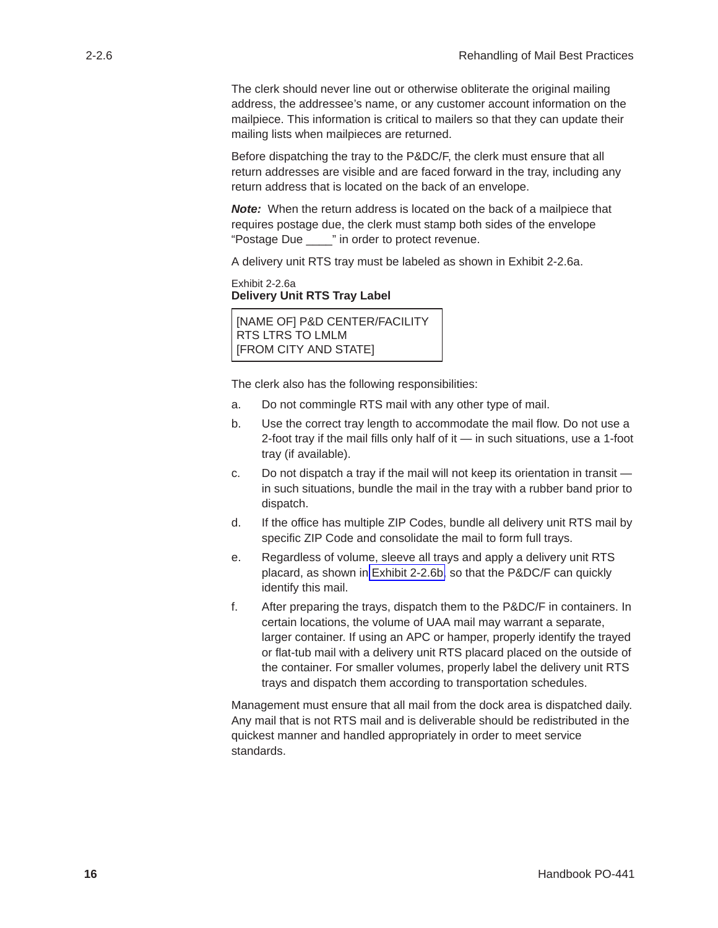<span id="page-20-0"></span>The clerk should never line out or otherwise obliterate the original mailing address, the addressee's name, or any customer account information on the mailpiece. This information is critical to mailers so that they can update their mailing lists when mailpieces are returned.

Before dispatching the tray to the P&DC/F, the clerk must ensure that all return addresses are visible and are faced forward in the tray, including any return address that is located on the back of an envelope.

*Note:* When the return address is located on the back of a mailpiece that requires postage due, the clerk must stamp both sides of the envelope "Postage Due \_\_\_\_" in order to protect revenue.

A delivery unit RTS tray must be labeled as shown in Exhibit 2-2.6a.

```
Exhibit 2-2.6a
Delivery Unit RTS Tray Label
```
[NAME OF] P&D CENTER/FACILITY RTS LTRS TO LMLM [FROM CITY AND STATE]

The clerk also has the following responsibilities:

- a. Do not commingle RTS mail with any other type of mail.
- b. Use the correct tray length to accommodate the mail flow. Do not use a 2-foot tray if the mail fills only half of it — in such situations, use a 1-foot tray (if available).
- c. Do not dispatch a tray if the mail will not keep its orientation in transit in such situations, bundle the mail in the tray with a rubber band prior to dispatch.
- d. If the office has multiple ZIP Codes, bundle all delivery unit RTS mail by specific ZIP Code and consolidate the mail to form full trays.
- e. Regardless of volume, sleeve all trays and apply a delivery unit RTS placard, as shown in [Exhibit 2-2.6b,](#page-21-0) so that the P&DC/F can quickly identify this mail.
- f. After preparing the trays, dispatch them to the P&DC/F in containers. In certain locations, the volume of UAA mail may warrant a separate, larger container. If using an APC or hamper, properly identify the trayed or flat-tub mail with a delivery unit RTS placard placed on the outside of the container. For smaller volumes, properly label the delivery unit RTS trays and dispatch them according to transportation schedules.

Management must ensure that all mail from the dock area is dispatched daily. Any mail that is not RTS mail and is deliverable should be redistributed in the quickest manner and handled appropriately in order to meet service standards.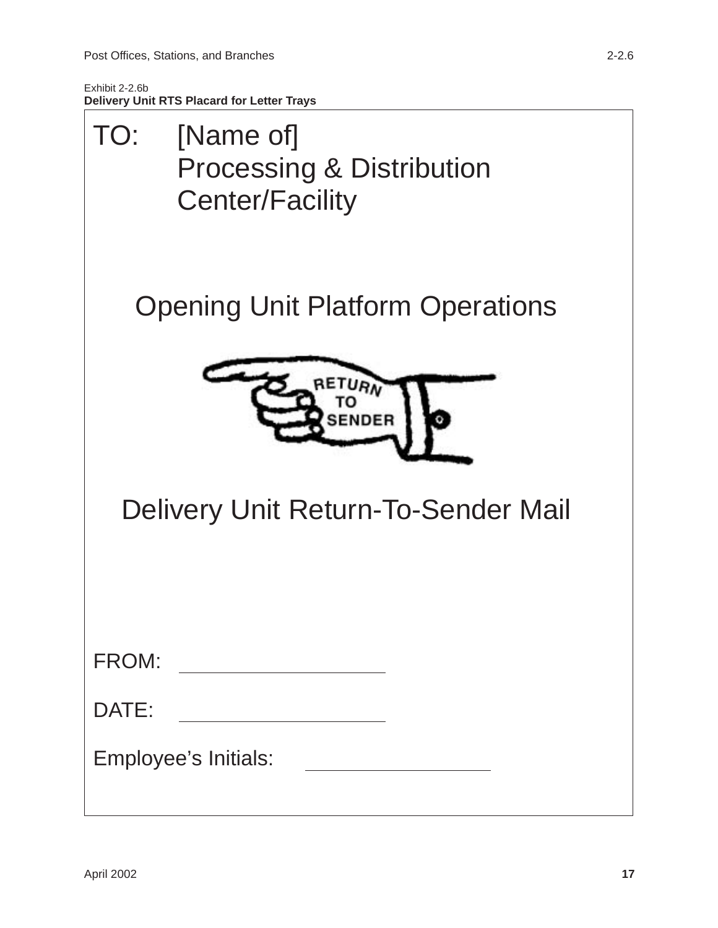<span id="page-21-0"></span>

| [Name of]<br>TO:<br><b>Processing &amp; Distribution</b><br><b>Center/Facility</b> |
|------------------------------------------------------------------------------------|
| <b>Opening Unit Platform Operations</b>                                            |
| RETURN<br>SENDER                                                                   |
| <b>Delivery Unit Return-To-Sender Mail</b>                                         |
| FROM:                                                                              |
| DATE:                                                                              |
| Employee's Initials:                                                               |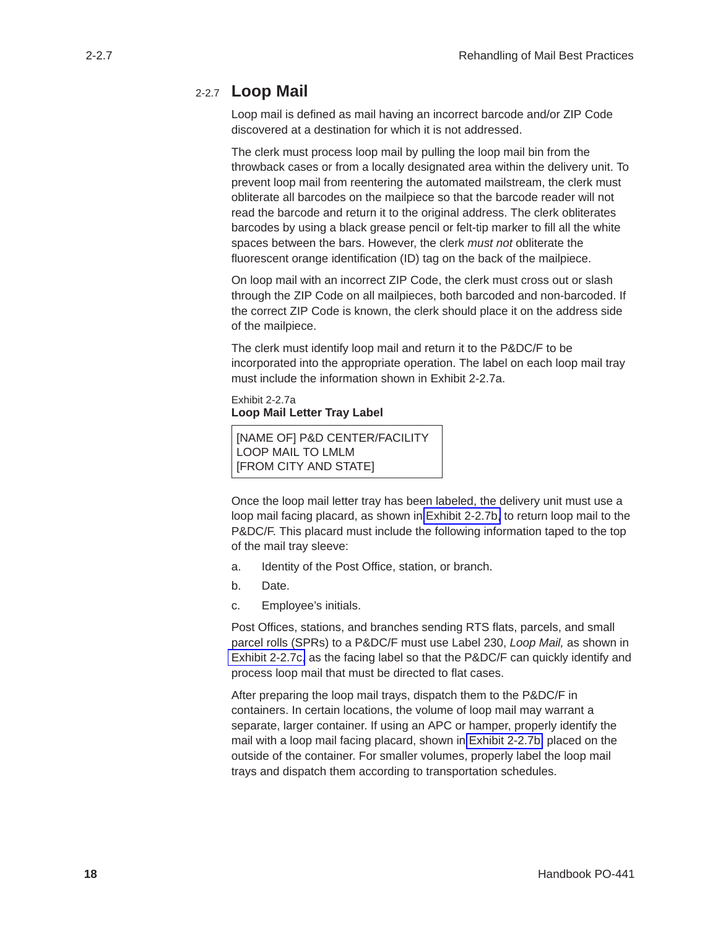#### <span id="page-22-0"></span>2-2.7 **Loop Mail**

Loop mail is defined as mail having an incorrect barcode and/or ZIP Code discovered at a destination for which it is not addressed.

The clerk must process loop mail by pulling the loop mail bin from the throwback cases or from a locally designated area within the delivery unit. To prevent loop mail from reentering the automated mailstream, the clerk must obliterate all barcodes on the mailpiece so that the barcode reader will not read the barcode and return it to the original address. The clerk obliterates barcodes by using a black grease pencil or felt-tip marker to fill all the white spaces between the bars. However, the clerk *must not* obliterate the fluorescent orange identification (ID) tag on the back of the mailpiece.

On loop mail with an incorrect ZIP Code, the clerk must cross out or slash through the ZIP Code on all mailpieces, both barcoded and non-barcoded. If the correct ZIP Code is known, the clerk should place it on the address side of the mailpiece.

The clerk must identify loop mail and return it to the P&DC/F to be incorporated into the appropriate operation. The label on each loop mail tray must include the information shown in Exhibit 2-2.7a.

```
Exhibit 2-2.7a
Loop Mail Letter Tray Label
```

```
[NAME OF] P&D CENTER/FACILITY
LOOP MAIL TO LMLM
[FROM CITY AND STATE]
```
Once the loop mail letter tray has been labeled, the delivery unit must use a loop mail facing placard, as shown in [Exhibit 2-2.7b,](#page-23-0) to return loop mail to the P&DC/F. This placard must include the following information taped to the top of the mail tray sleeve:

- a. Identity of the Post Office, station, or branch.
- b. Date.
- c. Employee's initials.

Post Offices, stations, and branches sending RTS flats, parcels, and small parcel rolls (SPRs) to a P&DC/F must use Label 230, *Loop Mail,* as shown in [Exhibit 2-2.7c,](#page-24-0) as the facing label so that the P&DC/F can quickly identify and process loop mail that must be directed to flat cases.

After preparing the loop mail trays, dispatch them to the P&DC/F in containers. In certain locations, the volume of loop mail may warrant a separate, larger container. If using an APC or hamper, properly identify the mail with a loop mail facing placard, shown in [Exhibit 2-2.7b,](#page-23-0) placed on the outside of the container. For smaller volumes, properly label the loop mail trays and dispatch them according to transportation schedules.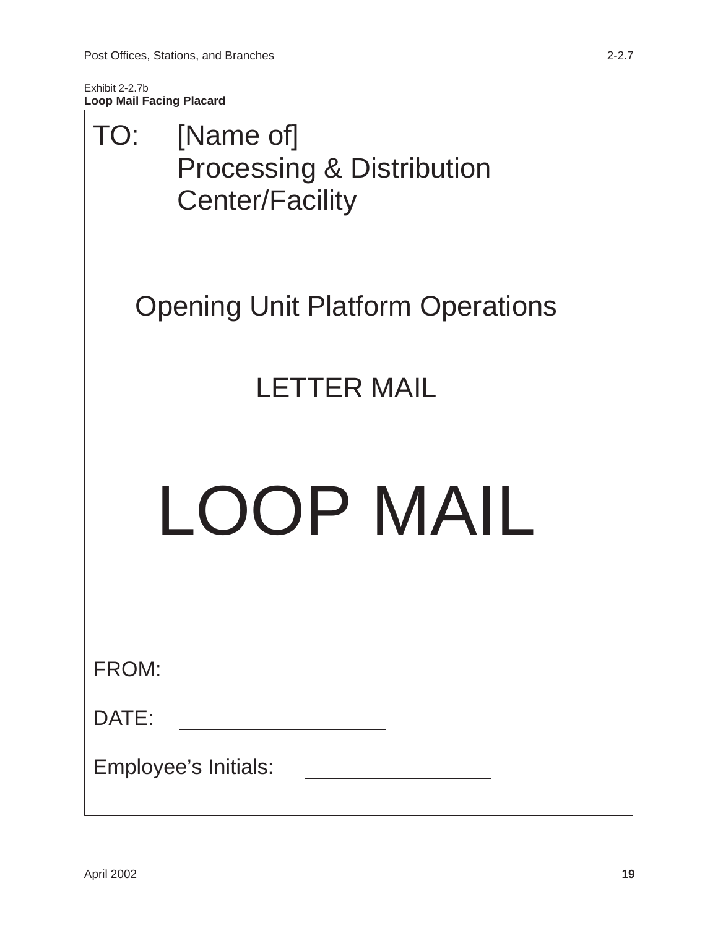<span id="page-23-0"></span>Exhibit 2-2.7b **Loop Mail Facing Placard**

| TO:                  | [Name of]<br><b>Processing &amp; Distribution</b><br><b>Center/Facility</b> |  |  |
|----------------------|-----------------------------------------------------------------------------|--|--|
|                      | <b>Opening Unit Platform Operations</b>                                     |  |  |
|                      | <b>LETTER MAIL</b>                                                          |  |  |
|                      | LOOP MAIL                                                                   |  |  |
| FROM:                |                                                                             |  |  |
| DATE:                |                                                                             |  |  |
| Employee's Initials: |                                                                             |  |  |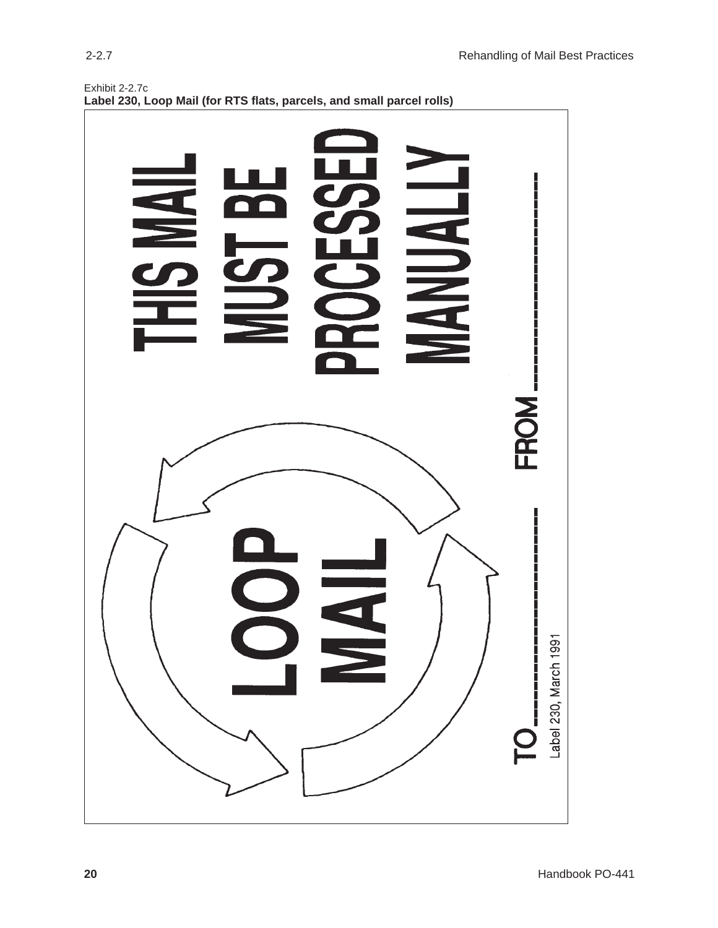<span id="page-24-0"></span>

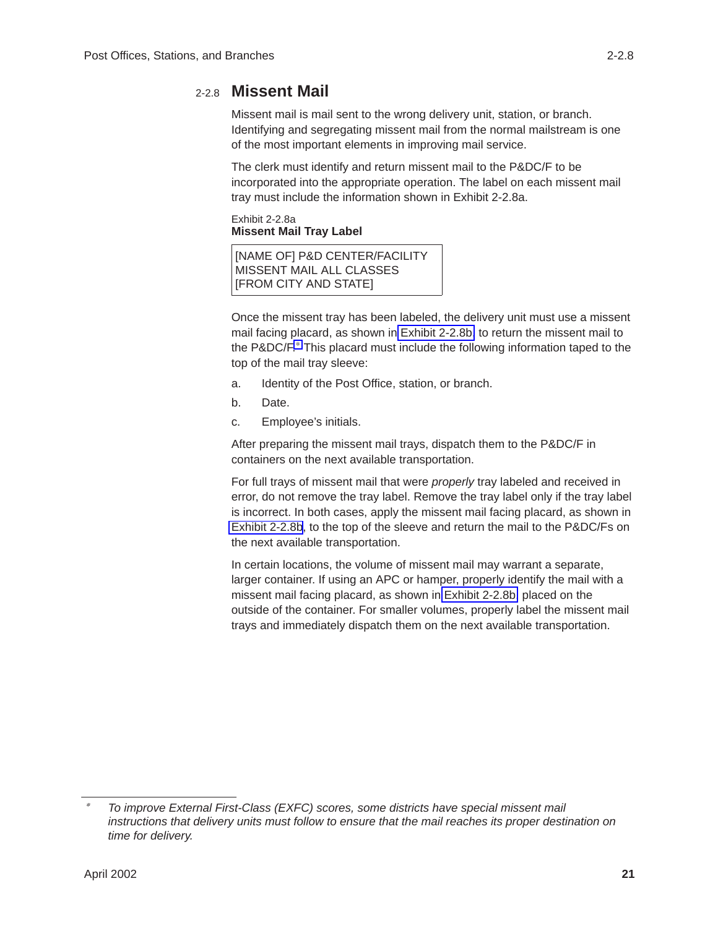<span id="page-25-0"></span>Missent mail is mail sent to the wrong delivery unit, station, or branch. Identifying and segregating missent mail from the normal mailstream is one of the most important elements in improving mail service.

The clerk must identify and return missent mail to the P&DC/F to be incorporated into the appropriate operation. The label on each missent mail tray must include the information shown in Exhibit 2-2.8a.

Exhibit 2-2.8a **Missent Mail Tray Label**

[NAME OF] P&D CENTER/FACILITY MISSENT MAIL ALL CLASSES [FROM CITY AND STATE]

Once the missent tray has been labeled, the delivery unit must use a missent mail facing placard, as shown in [Exhibit 2-2.8b,](#page-26-0) to return the missent mail to the P&DC/F.∗ This placard must include the following information taped to the top of the mail tray sleeve:

- a. Identity of the Post Office, station, or branch.
- b. Date.
- c. Employee's initials.

After preparing the missent mail trays, dispatch them to the P&DC/F in containers on the next available transportation.

For full trays of missent mail that were *properly* tray labeled and received in error, do not remove the tray label. Remove the tray label only if the tray label is incorrect. In both cases, apply the missent mail facing placard, as shown in [Exhibit 2-2.8b](#page-26-0), to the top of the sleeve and return the mail to the P&DC/Fs on the next available transportation.

In certain locations, the volume of missent mail may warrant a separate, larger container. If using an APC or hamper, properly identify the mail with a missent mail facing placard, as shown in [Exhibit 2-2.8b,](#page-26-0) placed on the outside of the container. For smaller volumes, properly label the missent mail trays and immediately dispatch them on the next available transportation.

 $\overline{\phantom{a}}$  *To improve External First-Class (EXFC) scores, some districts have special missent mail instructions that delivery units must follow to ensure that the mail reaches its proper destination on time for delivery.*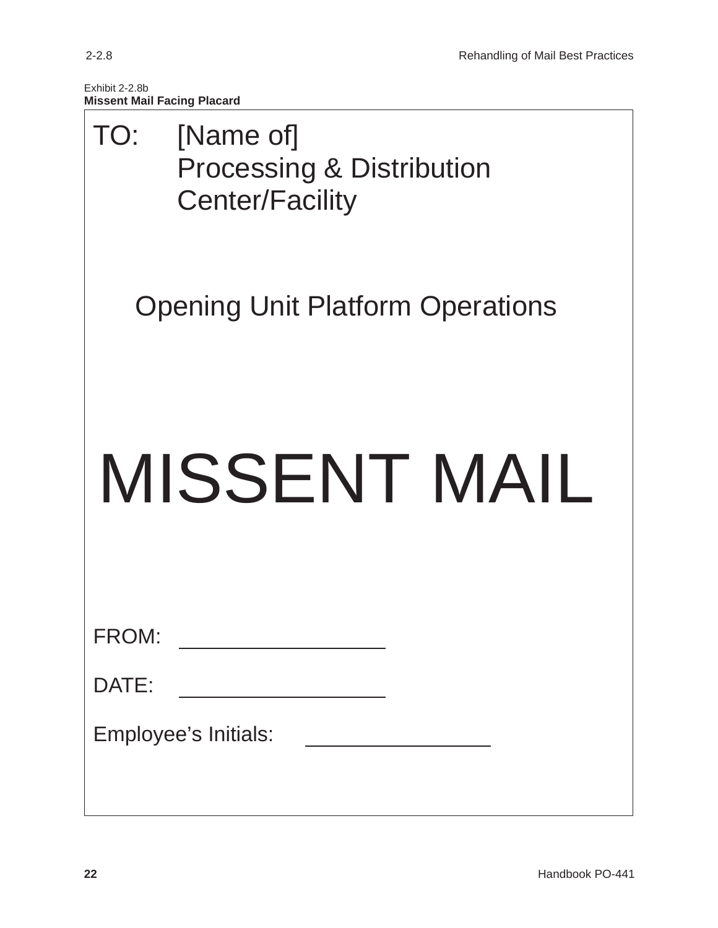<span id="page-26-0"></span>Exhibit 2-2.8b **Missent Mail Facing Placard**

| TO:   | [Name of]<br><b>Processing &amp; Distribution</b><br><b>Center/Facility</b> |
|-------|-----------------------------------------------------------------------------|
|       | <b>Opening Unit Platform Operations</b>                                     |
|       | MISSENT MAIL                                                                |
| FROM: |                                                                             |
| DATE: |                                                                             |
|       | Employee's Initials:<br><u> 1989 - Johann Barbara, martxa amerikan per</u>  |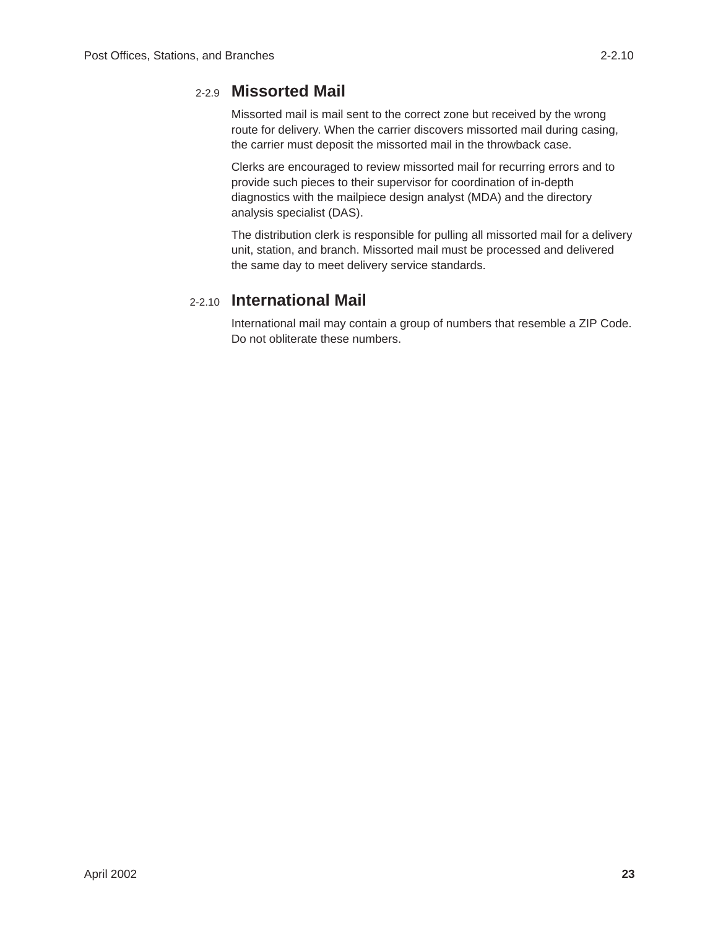### <span id="page-27-0"></span>2-2.9 **Missorted Mail**

Missorted mail is mail sent to the correct zone but received by the wrong route for delivery. When the carrier discovers missorted mail during casing, the carrier must deposit the missorted mail in the throwback case.

Clerks are encouraged to review missorted mail for recurring errors and to provide such pieces to their supervisor for coordination of in-depth diagnostics with the mailpiece design analyst (MDA) and the directory analysis specialist (DAS).

The distribution clerk is responsible for pulling all missorted mail for a delivery unit, station, and branch. Missorted mail must be processed and delivered the same day to meet delivery service standards.

#### 2-2.10 **International Mail**

International mail may contain a group of numbers that resemble a ZIP Code. Do not obliterate these numbers.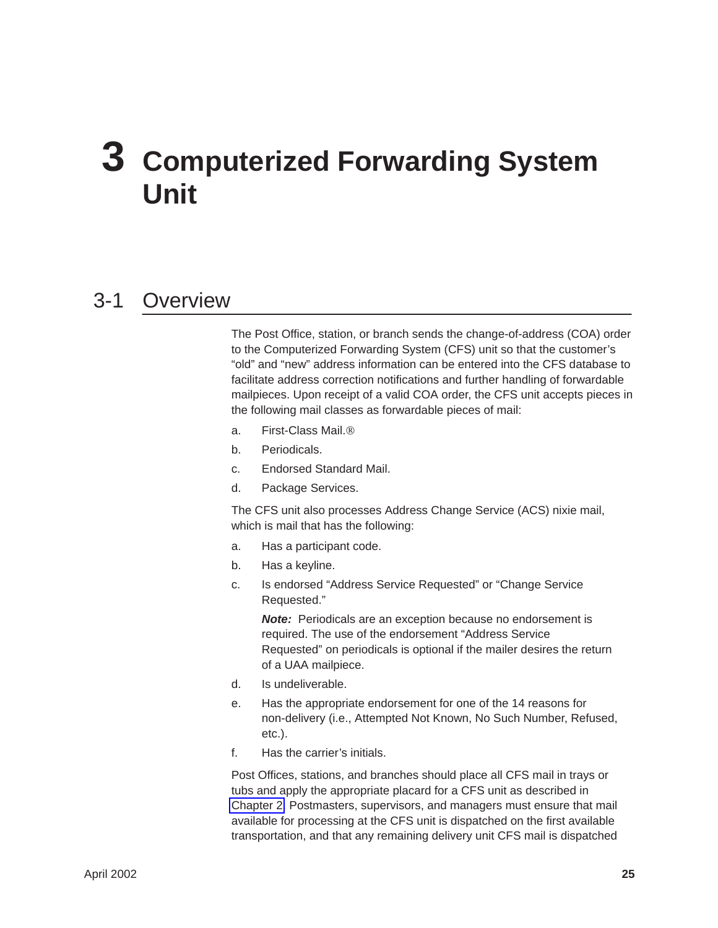# <span id="page-28-0"></span>**3 Computerized Forwarding System Unit**

### 3-1 Overview

The Post Office, station, or branch sends the change-of-address (COA) order to the Computerized Forwarding System (CFS) unit so that the customer's "old" and "new" address information can be entered into the CFS database to facilitate address correction notifications and further handling of forwardable mailpieces. Upon receipt of a valid COA order, the CFS unit accepts pieces in the following mail classes as forwardable pieces of mail:

- a. First-Class Mail.
- b. Periodicals.
- c. Endorsed Standard Mail.
- d. Package Services.

The CFS unit also processes Address Change Service (ACS) nixie mail, which is mail that has the following:

- a. Has a participant code.
- b. Has a keyline.
- c. Is endorsed "Address Service Requested" or "Change Service Requested."

*Note:* Periodicals are an exception because no endorsement is required. The use of the endorsement "Address Service Requested" on periodicals is optional if the mailer desires the return of a UAA mailpiece.

- d. Is undeliverable.
- e. Has the appropriate endorsement for one of the 14 reasons for non-delivery (i.e., Attempted Not Known, No Such Number, Refused, etc.).
- f. Has the carrier's initials.

Post Offices, stations, and branches should place all CFS mail in trays or tubs and apply the appropriate placard for a CFS unit as described in [Chapter 2.](#page-7-0) Postmasters, supervisors, and managers must ensure that mail available for processing at the CFS unit is dispatched on the first available transportation, and that any remaining delivery unit CFS mail is dispatched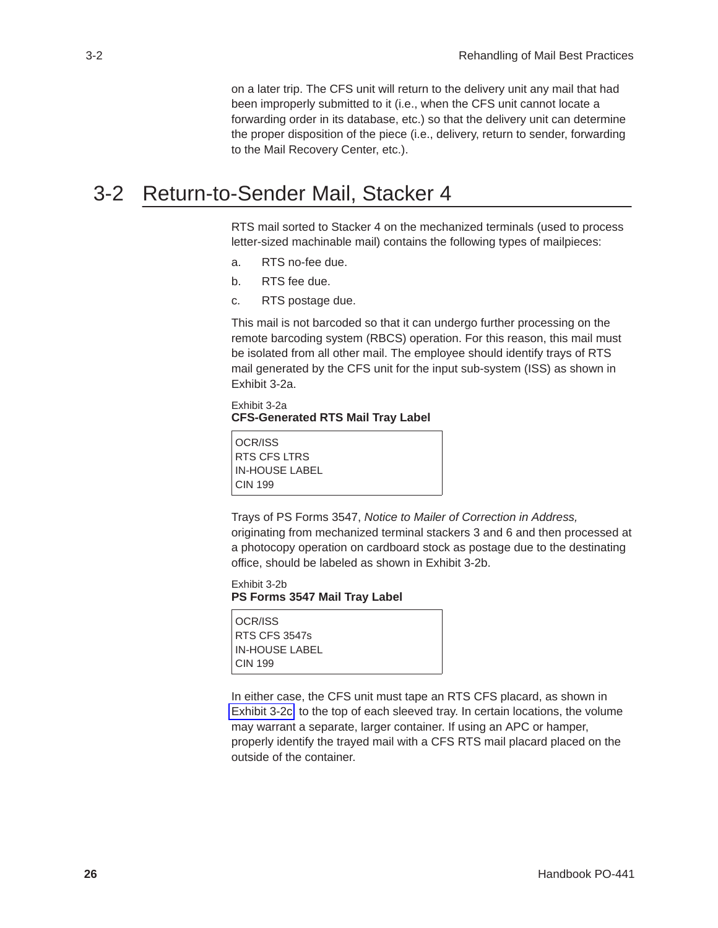on a later trip. The CFS unit will return to the delivery unit any mail that had been improperly submitted to it (i.e., when the CFS unit cannot locate a forwarding order in its database, etc.) so that the delivery unit can determine the proper disposition of the piece (i.e., delivery, return to sender, forwarding to the Mail Recovery Center, etc.).

### <span id="page-29-0"></span>3-2 Return-to-Sender Mail, Stacker 4

RTS mail sorted to Stacker 4 on the mechanized terminals (used to process letter-sized machinable mail) contains the following types of mailpieces:

- a. RTS no-fee due.
- b. RTS fee due.
- c. RTS postage due.

This mail is not barcoded so that it can undergo further processing on the remote barcoding system (RBCS) operation. For this reason, this mail must be isolated from all other mail. The employee should identify trays of RTS mail generated by the CFS unit for the input sub-system (ISS) as shown in Exhibit 3-2a.

#### Exhibit 3-2a **CFS-Generated RTS Mail Tray Label**

OCR/ISS RTS CFS LTRS IN-HOUSE LABEL CIN 199

Trays of PS Forms 3547, *Notice to Mailer of Correction in Address,* originating from mechanized terminal stackers 3 and 6 and then processed at a photocopy operation on cardboard stock as postage due to the destinating office, should be labeled as shown in Exhibit 3-2b.

Exhibit 3-2b **PS Forms 3547 Mail Tray Label**

OCR/ISS RTS CFS 3547s IN-HOUSE LABEL CIN 199

In either case, the CFS unit must tape an RTS CFS placard, as shown in [Exhibit 3-2c,](#page-30-0) to the top of each sleeved tray. In certain locations, the volume may warrant a separate, larger container. If using an APC or hamper, properly identify the trayed mail with a CFS RTS mail placard placed on the outside of the container.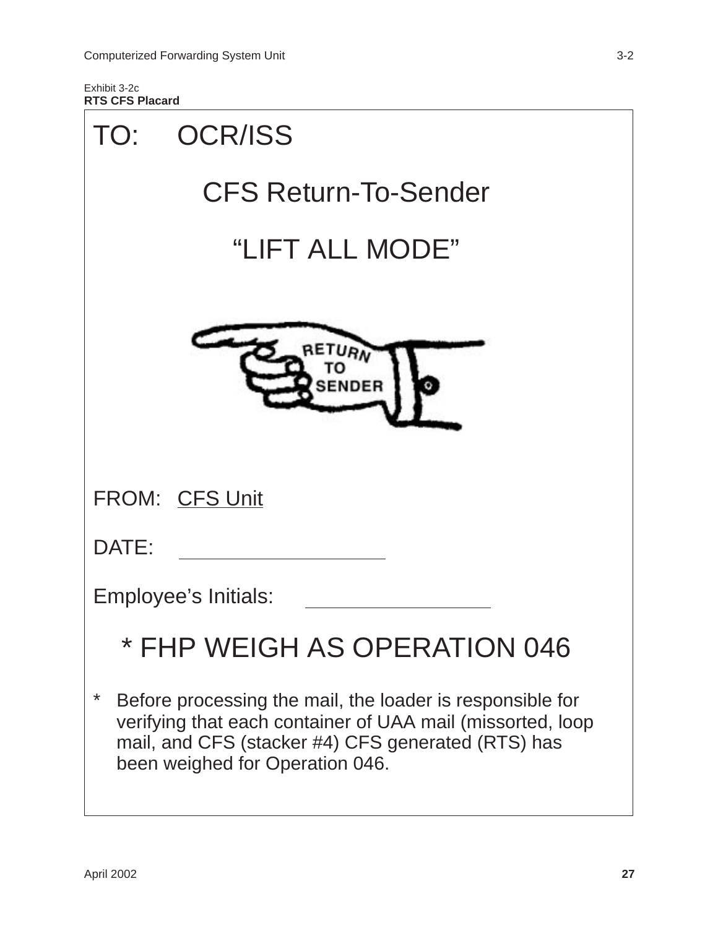<span id="page-30-0"></span>Exhibit 3-2c **RTS CFS Placard**

| TO:   | <b>OCR/ISS</b>                                                                                                                                                                                                   |
|-------|------------------------------------------------------------------------------------------------------------------------------------------------------------------------------------------------------------------|
|       | <b>CFS Return-To-Sender</b>                                                                                                                                                                                      |
|       | "LIFT ALL MODE"                                                                                                                                                                                                  |
|       | RETURA<br><b>SENDER</b>                                                                                                                                                                                          |
|       | <b>FROM: CFS Unit</b>                                                                                                                                                                                            |
| DATE: |                                                                                                                                                                                                                  |
|       | Employee's Initials:                                                                                                                                                                                             |
|       | * FHP WEIGH AS OPERATION 046                                                                                                                                                                                     |
| *     | Before processing the mail, the loader is responsible for<br>verifying that each container of UAA mail (missorted, loop<br>mail, and CFS (stacker #4) CFS generated (RTS) has<br>been weighed for Operation 046. |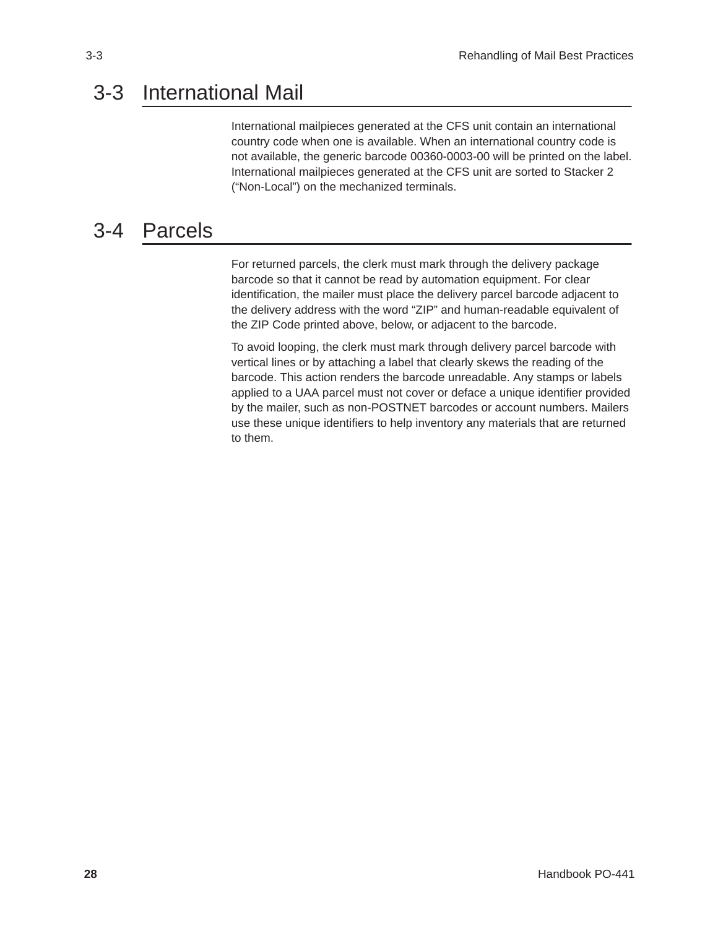### <span id="page-31-0"></span>3-3 International Mail

International mailpieces generated at the CFS unit contain an international country code when one is available. When an international country code is not available, the generic barcode 00360-0003-00 will be printed on the label. International mailpieces generated at the CFS unit are sorted to Stacker 2 ("Non-Local") on the mechanized terminals.

### 3-4 Parcels

For returned parcels, the clerk must mark through the delivery package barcode so that it cannot be read by automation equipment. For clear identification, the mailer must place the delivery parcel barcode adjacent to the delivery address with the word "ZIP" and human-readable equivalent of the ZIP Code printed above, below, or adjacent to the barcode.

To avoid looping, the clerk must mark through delivery parcel barcode with vertical lines or by attaching a label that clearly skews the reading of the barcode. This action renders the barcode unreadable. Any stamps or labels applied to a UAA parcel must not cover or deface a unique identifier provided by the mailer, such as non-POSTNET barcodes or account numbers. Mailers use these unique identifiers to help inventory any materials that are returned to them.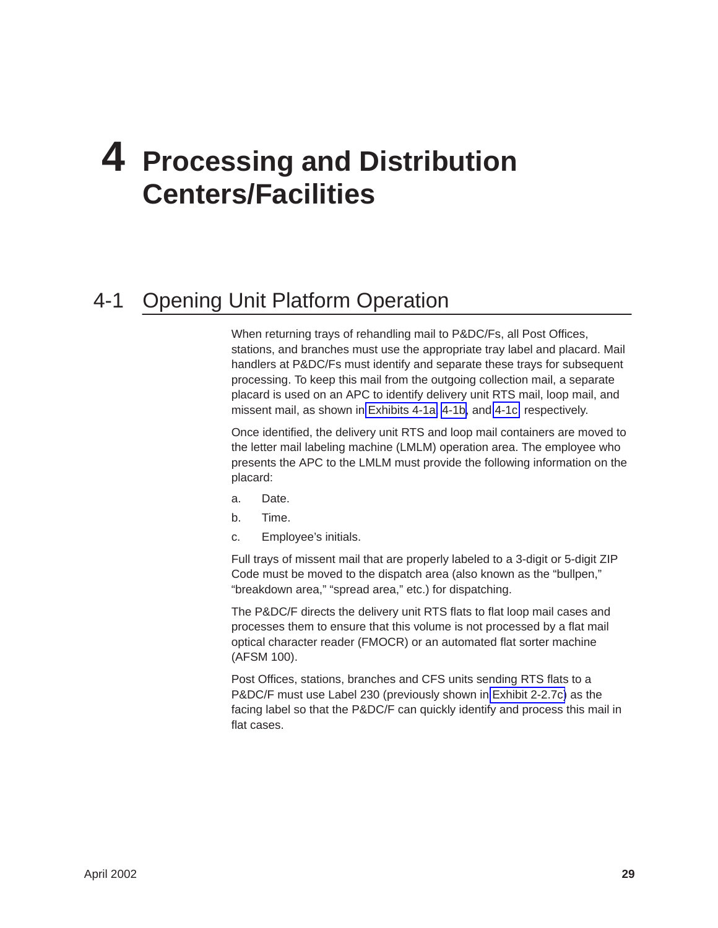# <span id="page-32-0"></span>**4 Processing and Distribution Centers/Facilities**

### 4-1 Opening Unit Platform Operation

When returning trays of rehandling mail to P&DC/Fs, all Post Offices, stations, and branches must use the appropriate tray label and placard. Mail handlers at P&DC/Fs must identify and separate these trays for subsequent processing. To keep this mail from the outgoing collection mail, a separate placard is used on an APC to identify delivery unit RTS mail, loop mail, and missent mail, as shown in [Exhibits 4-1a,](#page-33-0) [4-1b,](#page-34-0) and [4-1c,](#page-35-0) respectively.

Once identified, the delivery unit RTS and loop mail containers are moved to the letter mail labeling machine (LMLM) operation area. The employee who presents the APC to the LMLM must provide the following information on the placard:

- a. Date.
- b. Time.
- c. Employee's initials.

Full trays of missent mail that are properly labeled to a 3-digit or 5-digit ZIP Code must be moved to the dispatch area (also known as the "bullpen," "breakdown area," "spread area," etc.) for dispatching.

The P&DC/F directs the delivery unit RTS flats to flat loop mail cases and processes them to ensure that this volume is not processed by a flat mail optical character reader (FMOCR) or an automated flat sorter machine (AFSM 100).

Post Offices, stations, branches and CFS units sending RTS flats to a P&DC/F must use Label 230 (previously shown in [Exhibit 2-2.7c\)](#page-24-0) as the facing label so that the P&DC/F can quickly identify and process this mail in flat cases.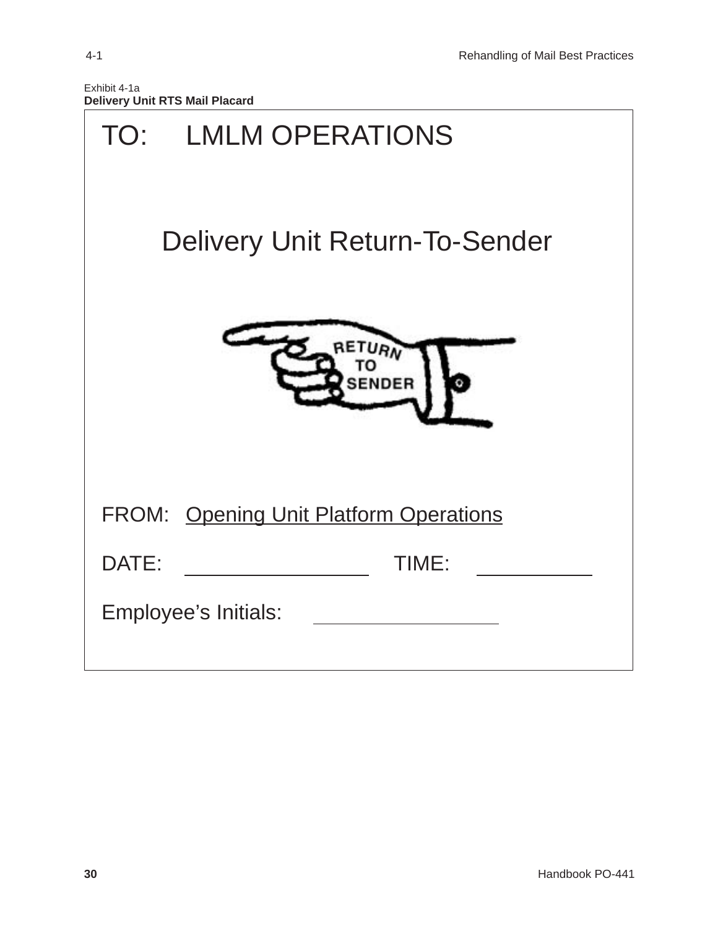<span id="page-33-0"></span>

| Exhibit 4-1a                          |  |  |
|---------------------------------------|--|--|
| <b>Delivery Unit RTS Mail Placard</b> |  |  |

| TO: LMLM OPERATIONS                    |
|----------------------------------------|
| <b>Delivery Unit Return-To-Sender</b>  |
| RETURN<br><b>SENDER</b>                |
| FROM: Opening Unit Platform Operations |
| TIME:<br>DATE:                         |
| Employee's Initials:                   |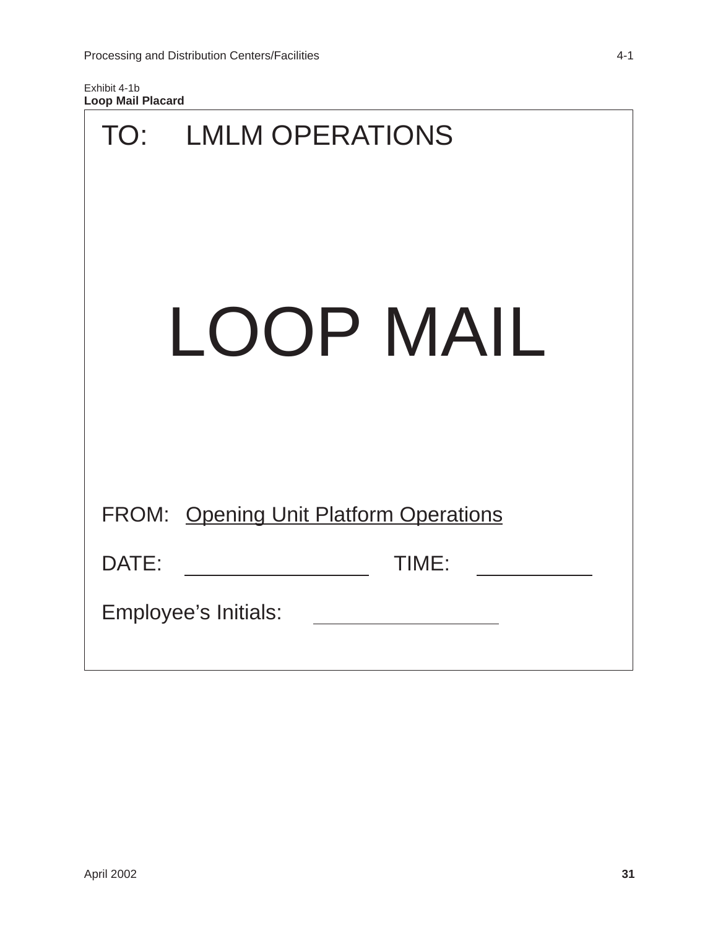<span id="page-34-0"></span>Exhibit 4-1b **Loop Mail Placard**

| TO:   | <b>LMLM OPERATIONS</b>                        |
|-------|-----------------------------------------------|
|       | LOOP MAIL                                     |
|       |                                               |
|       | <b>FROM: Opening Unit Platform Operations</b> |
| DATE: | TIME:                                         |
|       | Employee's Initials:                          |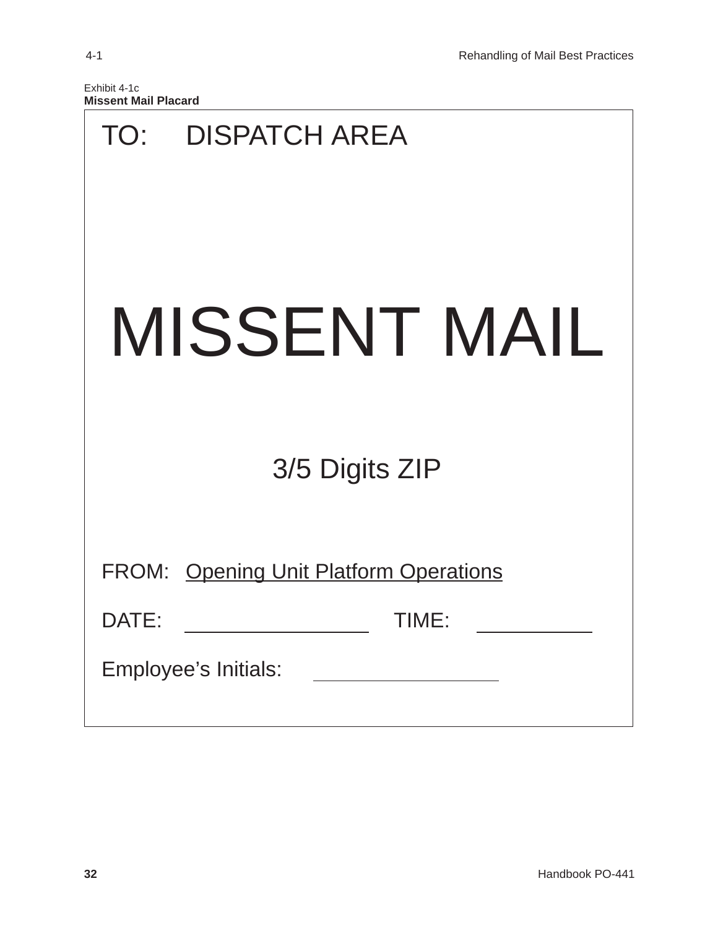<span id="page-35-0"></span>

| Exhibit 4-1c                |  |
|-----------------------------|--|
| <b>Missent Mail Placard</b> |  |

|       | TO: DISPATCH AREA                             |
|-------|-----------------------------------------------|
|       | MISSENT MAIL                                  |
|       | 3/5 Digits ZIP                                |
|       | <b>FROM: Opening Unit Platform Operations</b> |
| DATE: | TIME:                                         |
|       | Employee's Initials:                          |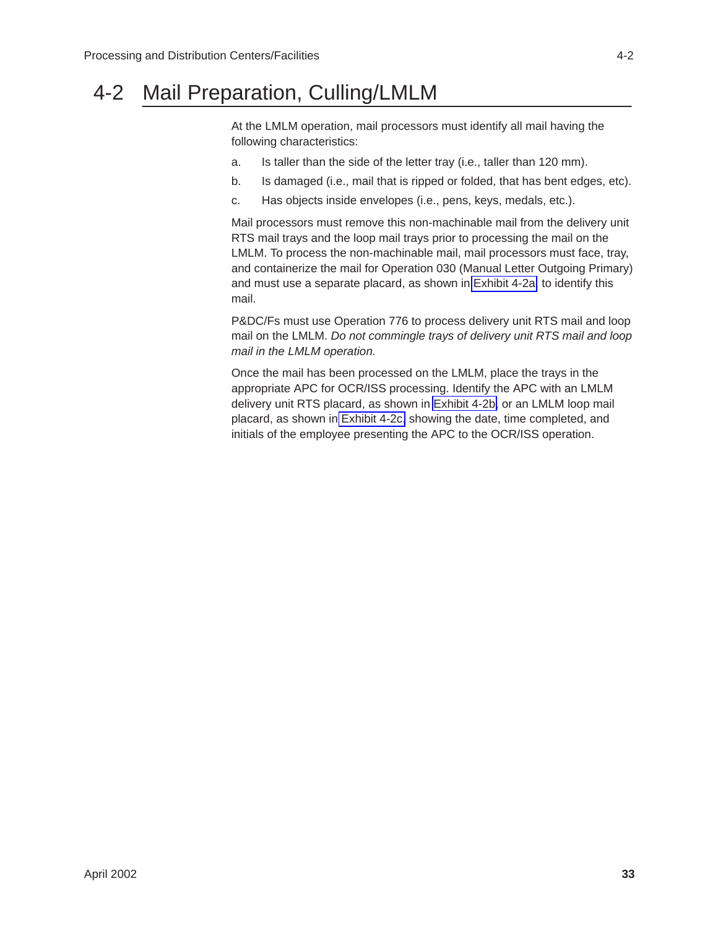### <span id="page-36-0"></span>4-2 Mail Preparation, Culling/LMLM

At the LMLM operation, mail processors must identify all mail having the following characteristics:

- a. Is taller than the side of the letter tray (i.e., taller than 120 mm).
- b. Is damaged (i.e., mail that is ripped or folded, that has bent edges, etc).
- c. Has objects inside envelopes (i.e., pens, keys, medals, etc.).

Mail processors must remove this non-machinable mail from the delivery unit RTS mail trays and the loop mail trays prior to processing the mail on the LMLM. To process the non-machinable mail, mail processors must face, tray, and containerize the mail for Operation 030 (Manual Letter Outgoing Primary) and must use a separate placard, as shown in [Exhibit 4-2a,](#page-37-0) to identify this mail.

P&DC/Fs must use Operation 776 to process delivery unit RTS mail and loop mail on the LMLM. *Do not commingle trays of delivery unit RTS mail and loop mail in the LMLM operation.*

Once the mail has been processed on the LMLM, place the trays in the appropriate APC for OCR/ISS processing. Identify the APC with an LMLM delivery unit RTS placard, as shown in [Exhibit 4-2b,](#page-38-0) or an LMLM loop mail placard, as shown in [Exhibit 4-2c,](#page-39-0) showing the date, time completed, and initials of the employee presenting the APC to the OCR/ISS operation.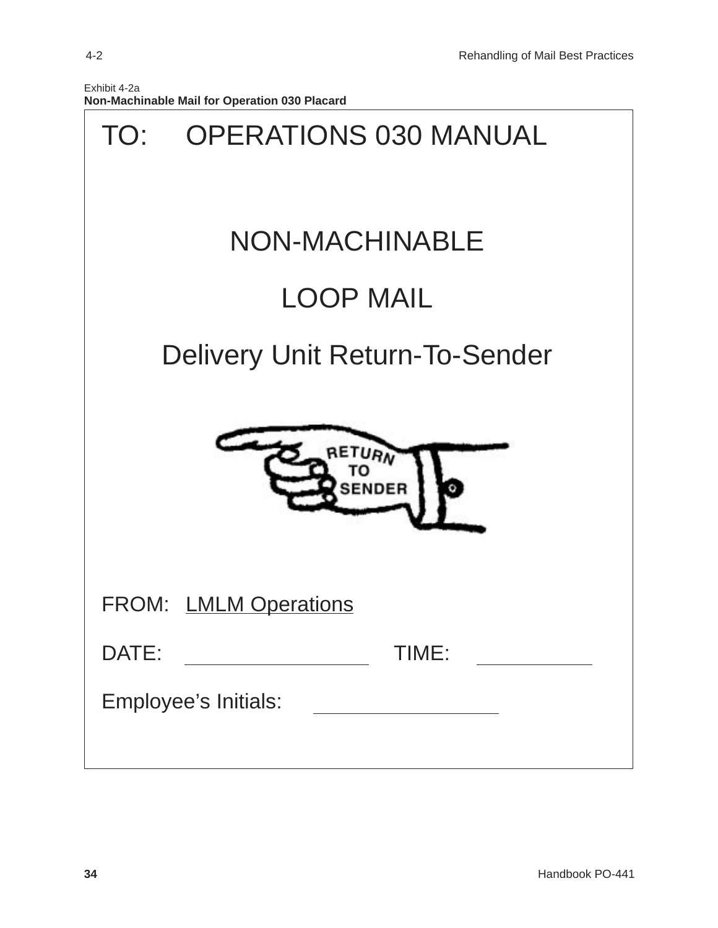<span id="page-37-0"></span>

| TO:   | <b>OPERATIONS 030 MANUAL</b>          |
|-------|---------------------------------------|
|       | <b>NON-MACHINABLE</b>                 |
|       | <b>LOOP MAIL</b>                      |
|       | <b>Delivery Unit Return-To-Sender</b> |
|       | RE<br><b>SENDER</b>                   |
|       | <b>FROM: LMLM Operations</b>          |
| DATE: | TIME:                                 |
|       | Employee's Initials:                  |
|       |                                       |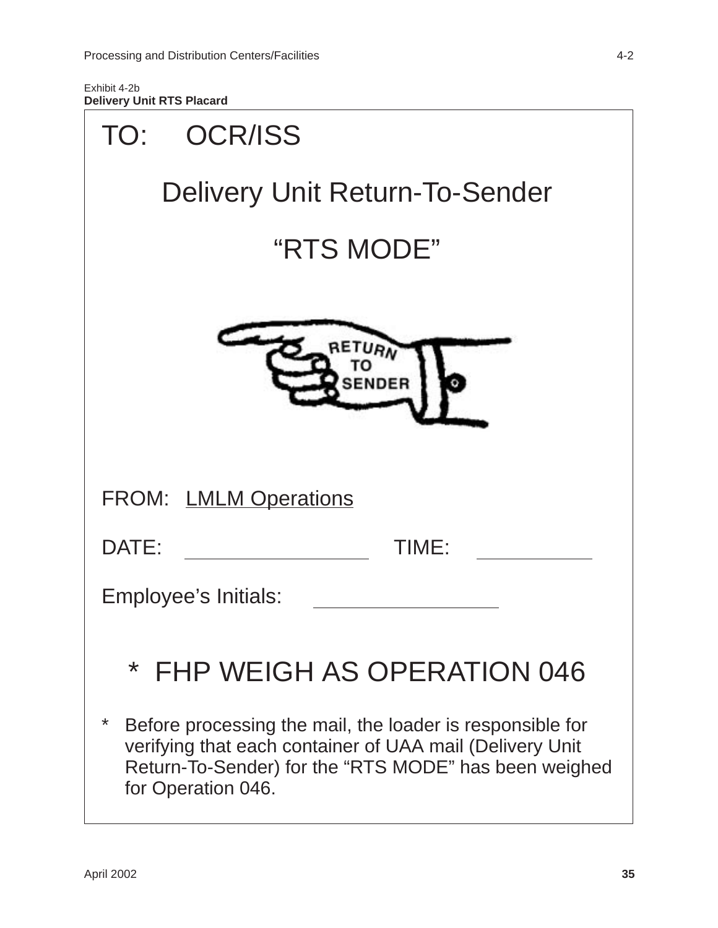<span id="page-38-0"></span>Exhibit 4-2b **Delivery Unit RTS Placard**

| <b>OCR/ISS</b><br>TO:                                                                                                                                                                                     |
|-----------------------------------------------------------------------------------------------------------------------------------------------------------------------------------------------------------|
| <b>Delivery Unit Return-To-Sender</b>                                                                                                                                                                     |
| "RTS MODE"                                                                                                                                                                                                |
| ENDER                                                                                                                                                                                                     |
| <b>FROM: LMLM Operations</b>                                                                                                                                                                              |
| DATE:<br>TIME:                                                                                                                                                                                            |
| Employee's Initials:                                                                                                                                                                                      |
| * FHP WEIGH AS OPERATION 046                                                                                                                                                                              |
| *<br>Before processing the mail, the loader is responsible for<br>verifying that each container of UAA mail (Delivery Unit<br>Return-To-Sender) for the "RTS MODE" has been weighed<br>for Operation 046. |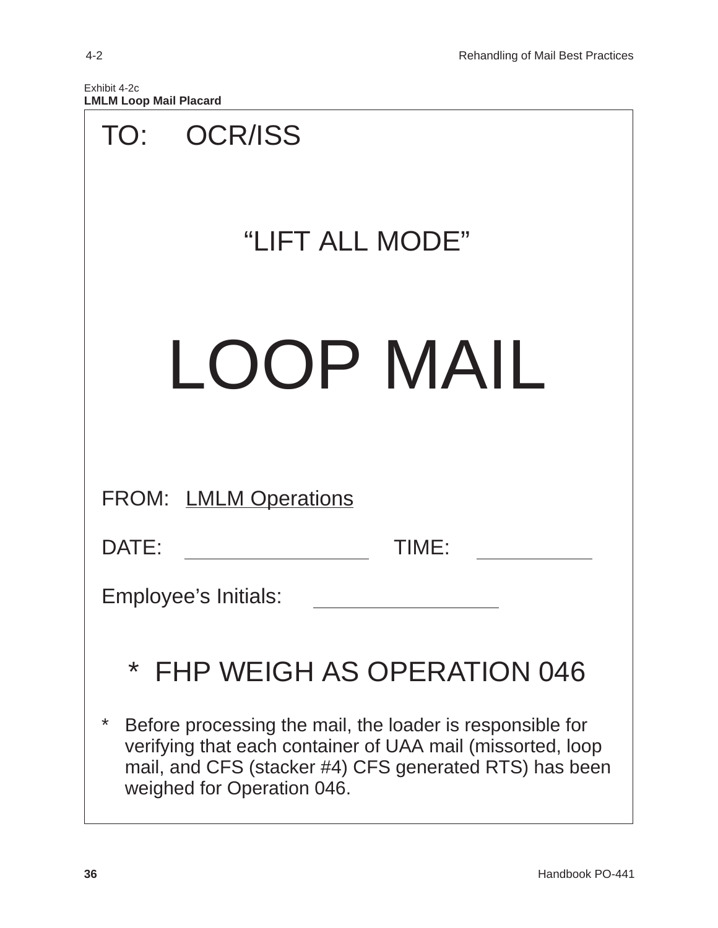<span id="page-39-0"></span>

| Exhibit 4-2c |  |                               |
|--------------|--|-------------------------------|
|              |  | <b>LMLM Loop Mail Placard</b> |

| TO: OCR/ISS                                                                                                                                                                                                          |
|----------------------------------------------------------------------------------------------------------------------------------------------------------------------------------------------------------------------|
| "LIFT ALL MODE"                                                                                                                                                                                                      |
| LOOP MAIL                                                                                                                                                                                                            |
| <b>FROM: LMLM Operations</b>                                                                                                                                                                                         |
| DATE:<br>TIME:                                                                                                                                                                                                       |
| Employee's Initials:                                                                                                                                                                                                 |
| * FHP WEIGH AS OPERATION 046                                                                                                                                                                                         |
| *<br>Before processing the mail, the loader is responsible for<br>verifying that each container of UAA mail (missorted, loop<br>mail, and CFS (stacker #4) CFS generated RTS) has been<br>weighed for Operation 046. |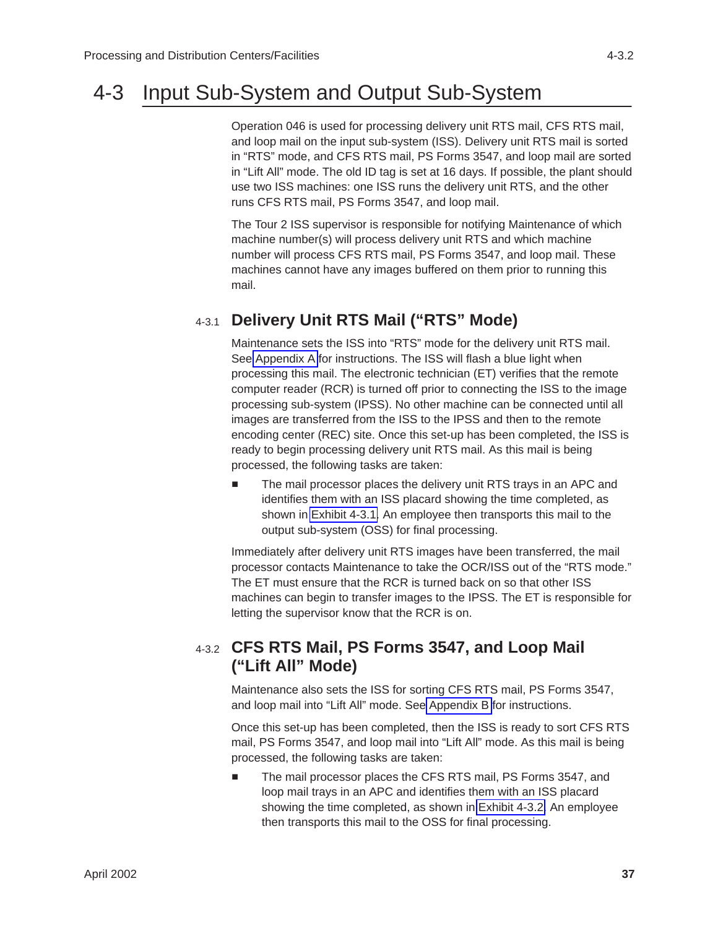### <span id="page-40-0"></span>4-3 Input Sub-System and Output Sub-System

Operation 046 is used for processing delivery unit RTS mail, CFS RTS mail, and loop mail on the input sub-system (ISS). Delivery unit RTS mail is sorted in "RTS" mode, and CFS RTS mail, PS Forms 3547, and loop mail are sorted in "Lift All" mode. The old ID tag is set at 16 days. If possible, the plant should use two ISS machines: one ISS runs the delivery unit RTS, and the other runs CFS RTS mail, PS Forms 3547, and loop mail.

The Tour 2 ISS supervisor is responsible for notifying Maintenance of which machine number(s) will process delivery unit RTS and which machine number will process CFS RTS mail, PS Forms 3547, and loop mail. These machines cannot have any images buffered on them prior to running this mail.

#### 4-3.1 **Delivery Unit RTS Mail ("RTS" Mode)**

Maintenance sets the ISS into "RTS" mode for the delivery unit RTS mail. See [Appendix A](#page-51-0) for instructions. The ISS will flash a blue light when processing this mail. The electronic technician (ET) verifies that the remote computer reader (RCR) is turned off prior to connecting the ISS to the image processing sub-system (IPSS). No other machine can be connected until all images are transferred from the ISS to the IPSS and then to the remote encoding center (REC) site. Once this set-up has been completed, the ISS is ready to begin processing delivery unit RTS mail. As this mail is being processed, the following tasks are taken:

 $\blacksquare$  The mail processor places the delivery unit RTS trays in an APC and identifies them with an ISS placard showing the time completed, as shown in [Exhibit 4-3.1.](#page-41-0) An employee then transports this mail to the output sub-system (OSS) for final processing.

Immediately after delivery unit RTS images have been transferred, the mail processor contacts Maintenance to take the OCR/ISS out of the "RTS mode." The ET must ensure that the RCR is turned back on so that other ISS machines can begin to transfer images to the IPSS. The ET is responsible for letting the supervisor know that the RCR is on.

#### 4-3.2 **CFS RTS Mail, PS Forms 3547, and Loop Mail ("Lift All" Mode)**

Maintenance also sets the ISS for sorting CFS RTS mail, PS Forms 3547, and loop mail into "Lift All" mode. See [Appendix B](#page-52-0) for instructions.

Once this set-up has been completed, then the ISS is ready to sort CFS RTS mail, PS Forms 3547, and loop mail into "Lift All" mode. As this mail is being processed, the following tasks are taken:

 $\overline{\phantom{a}}$  The mail processor places the CFS RTS mail, PS Forms 3547, and loop mail trays in an APC and identifies them with an ISS placard showing the time completed, as shown in [Exhibit 4-3.2.](#page-42-0) An employee then transports this mail to the OSS for final processing.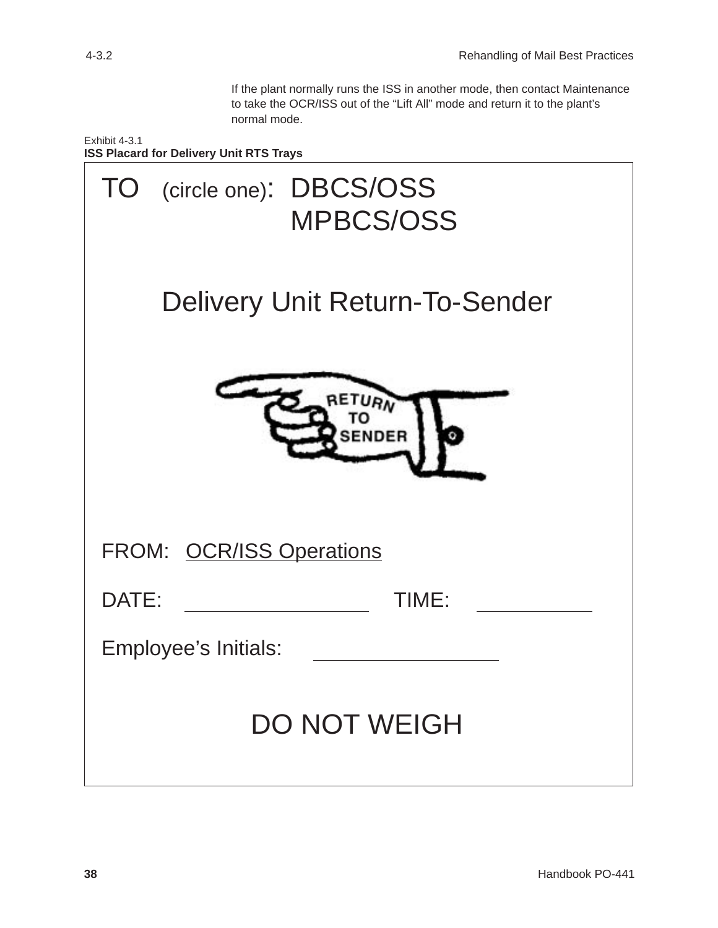If the plant normally runs the ISS in another mode, then contact Maintenance to take the OCR/ISS out of the "Lift All" mode and return it to the plant's normal mode.

<span id="page-41-0"></span>Exhibit 4-3.1 **ISS Placard for Delivery Unit RTS Trays**

| TO (circle one): DBCS/OSS<br><b>MPBCS/OSS</b> |
|-----------------------------------------------|
| <b>Delivery Unit Return-To-Sender</b>         |
| <b>SENDER</b>                                 |
| FROM: OCR/ISS Operations                      |
| DATE:<br>TIME:                                |
| Employee's Initials:                          |
| <b>DO NOT WEIGH</b>                           |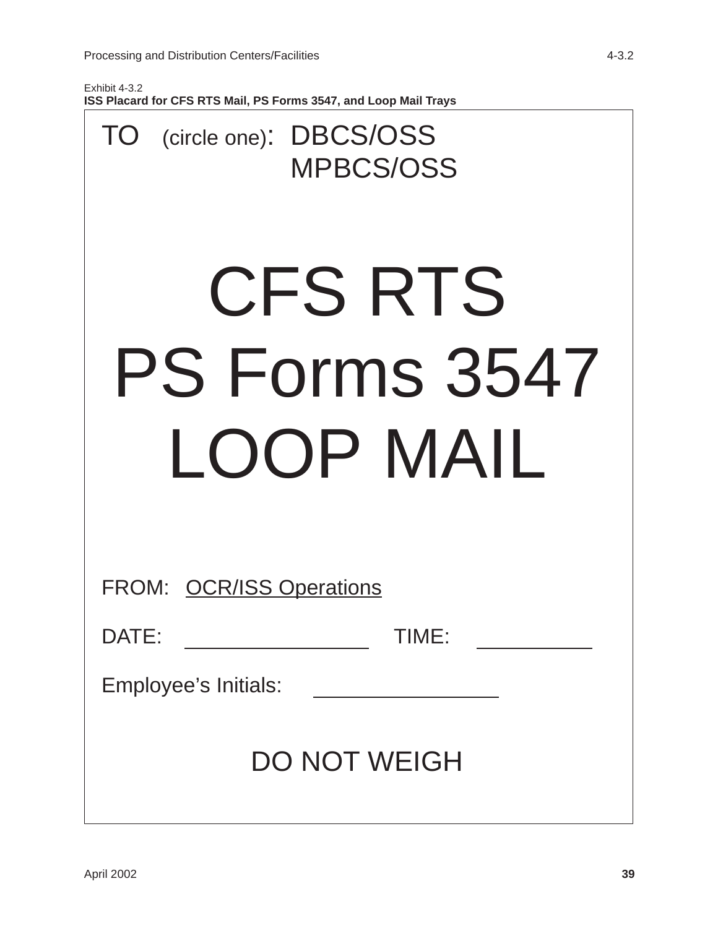$\Gamma$ 

<span id="page-42-0"></span>Exhibit 4-3.2 **ISS Placard for CFS RTS Mail, PS Forms 3547, and Loop Mail Trays**

| TO (circle one): DBCS/OSS<br><b>MPBCS/OSS</b> |
|-----------------------------------------------|
| CFS RTS<br>PS Forms 3547<br>LOOP MAIL         |
| FROM: OCR/ISS Operations                      |
|                                               |
| TIME:<br>DATE:                                |
| Employee's Initials:                          |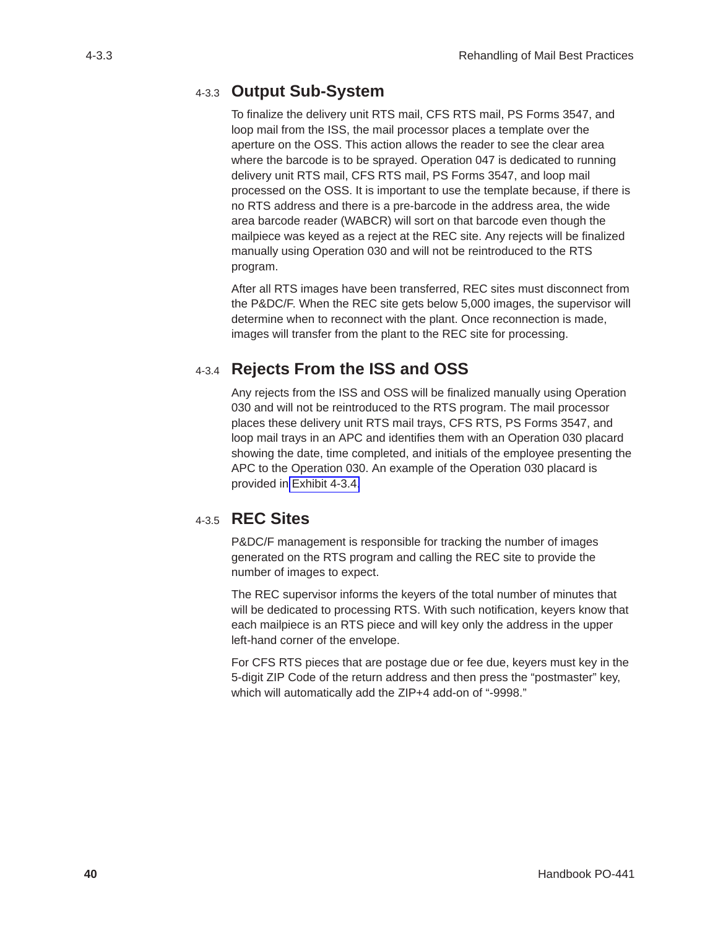#### <span id="page-43-0"></span>4-3.3 **Output Sub-System**

To finalize the delivery unit RTS mail, CFS RTS mail, PS Forms 3547, and loop mail from the ISS, the mail processor places a template over the aperture on the OSS. This action allows the reader to see the clear area where the barcode is to be sprayed. Operation 047 is dedicated to running delivery unit RTS mail, CFS RTS mail, PS Forms 3547, and loop mail processed on the OSS. It is important to use the template because, if there is no RTS address and there is a pre-barcode in the address area, the wide area barcode reader (WABCR) will sort on that barcode even though the mailpiece was keyed as a reject at the REC site. Any rejects will be finalized manually using Operation 030 and will not be reintroduced to the RTS program.

After all RTS images have been transferred, REC sites must disconnect from the P&DC/F. When the REC site gets below 5,000 images, the supervisor will determine when to reconnect with the plant. Once reconnection is made, images will transfer from the plant to the REC site for processing.

### 4-3.4 **Rejects From the ISS and OSS**

Any rejects from the ISS and OSS will be finalized manually using Operation 030 and will not be reintroduced to the RTS program. The mail processor places these delivery unit RTS mail trays, CFS RTS, PS Forms 3547, and loop mail trays in an APC and identifies them with an Operation 030 placard showing the date, time completed, and initials of the employee presenting the APC to the Operation 030. An example of the Operation 030 placard is provided in [Exhibit 4-3.4.](#page-44-0)

#### 4-3.5 **REC Sites**

P&DC/F management is responsible for tracking the number of images generated on the RTS program and calling the REC site to provide the number of images to expect.

The REC supervisor informs the keyers of the total number of minutes that will be dedicated to processing RTS. With such notification, keyers know that each mailpiece is an RTS piece and will key only the address in the upper left-hand corner of the envelope.

For CFS RTS pieces that are postage due or fee due, keyers must key in the 5-digit ZIP Code of the return address and then press the "postmaster" key, which will automatically add the ZIP+4 add-on of "-9998."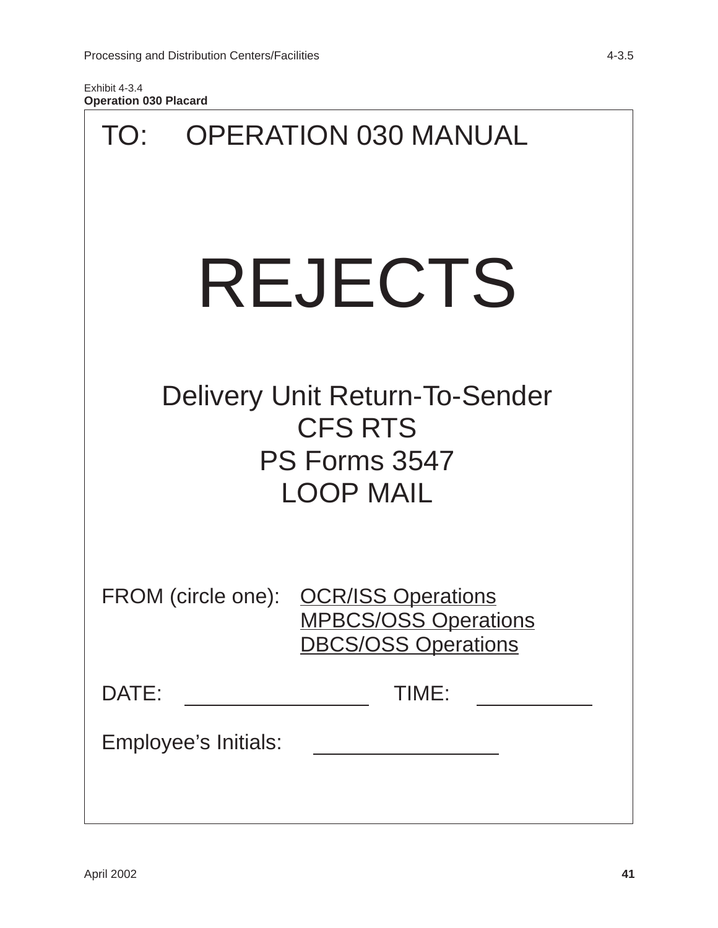<span id="page-44-0"></span>

| TO:     |                      | <b>OPERATION 030 MANUAL</b>                                                                        |  |
|---------|----------------------|----------------------------------------------------------------------------------------------------|--|
| REJECTS |                      |                                                                                                    |  |
|         |                      | Delivery Unit Return-To-Sender<br><b>CFS RTS</b><br>PS Forms 3547<br><b>LOOP MAIL</b>              |  |
|         |                      | FROM (circle one): OCR/ISS Operations<br><b>MPBCS/OSS Operations</b><br><b>DBCS/OSS Operations</b> |  |
| DATE:   |                      | TIME:                                                                                              |  |
|         | Employee's Initials: | <u> 1990 - Johann Barnett, fransk politik (</u>                                                    |  |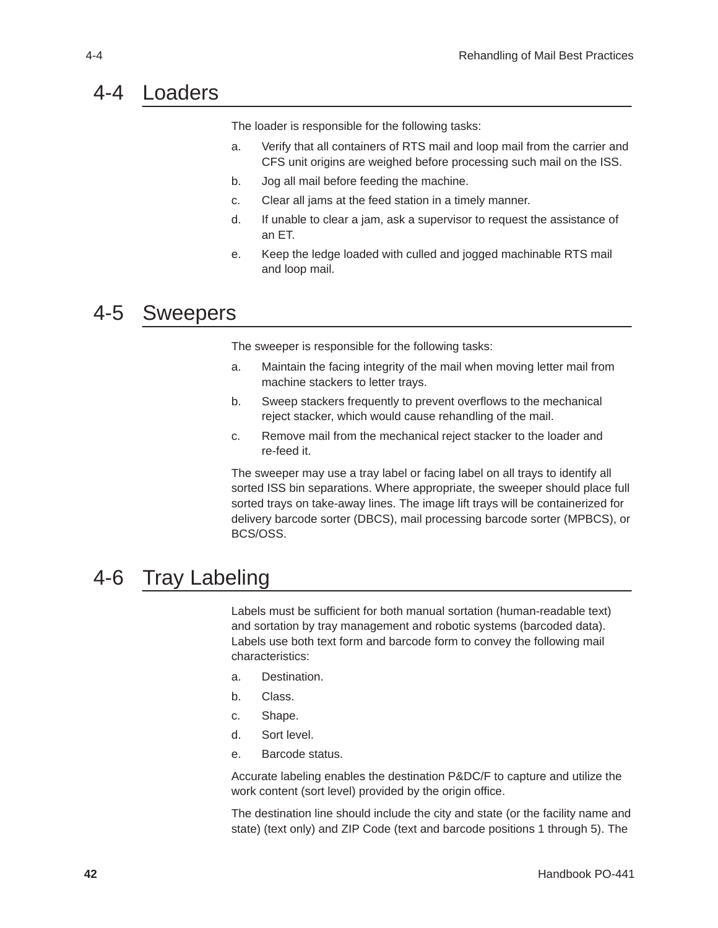### <span id="page-45-0"></span>4-4 Loaders

The loader is responsible for the following tasks:

- a. Verify that all containers of RTS mail and loop mail from the carrier and CFS unit origins are weighed before processing such mail on the ISS.
- b. Jog all mail before feeding the machine.
- c. Clear all jams at the feed station in a timely manner.
- d. If unable to clear a jam, ask a supervisor to request the assistance of an ET.
- e. Keep the ledge loaded with culled and jogged machinable RTS mail and loop mail.

### 4-5 Sweepers

The sweeper is responsible for the following tasks:

- a. Maintain the facing integrity of the mail when moving letter mail from machine stackers to letter trays.
- b. Sweep stackers frequently to prevent overflows to the mechanical reject stacker, which would cause rehandling of the mail.
- c. Remove mail from the mechanical reject stacker to the loader and re-feed it.

The sweeper may use a tray label or facing label on all trays to identify all sorted ISS bin separations. Where appropriate, the sweeper should place full sorted trays on take-away lines. The image lift trays will be containerized for delivery barcode sorter (DBCS), mail processing barcode sorter (MPBCS), or BCS/OSS.

### 4-6 Tray Labeling

Labels must be sufficient for both manual sortation (human-readable text) and sortation by tray management and robotic systems (barcoded data). Labels use both text form and barcode form to convey the following mail characteristics:

- a. Destination.
- b. Class.
- c. Shape.
- d. Sort level.
- e. Barcode status.

Accurate labeling enables the destination P&DC/F to capture and utilize the work content (sort level) provided by the origin office.

The destination line should include the city and state (or the facility name and state) (text only) and ZIP Code (text and barcode positions 1 through 5). The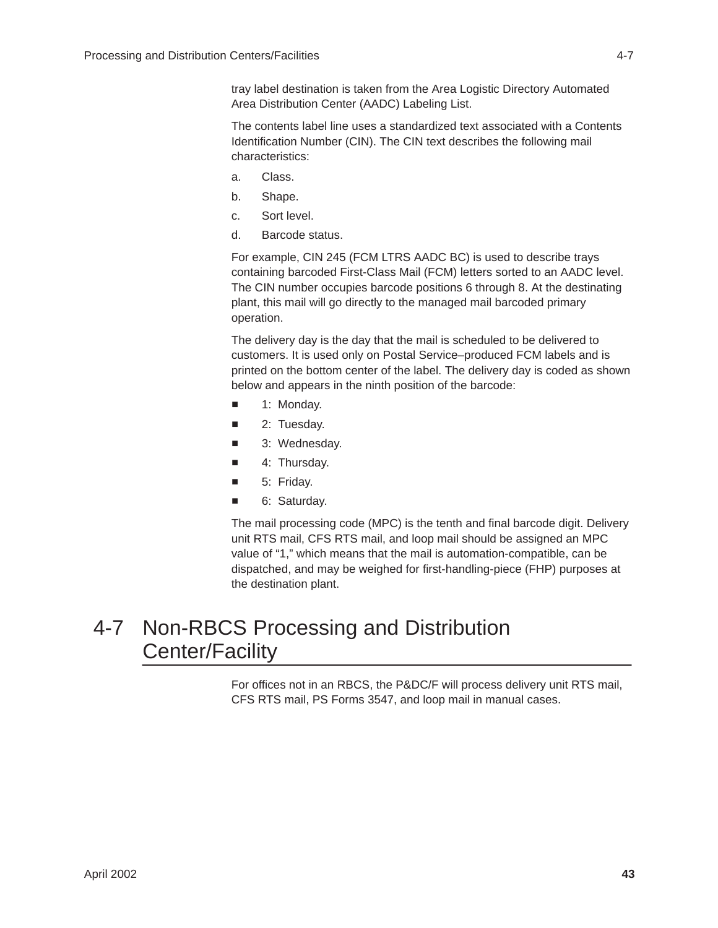<span id="page-46-0"></span>tray label destination is taken from the Area Logistic Directory Automated Area Distribution Center (AADC) Labeling List.

The contents label line uses a standardized text associated with a Contents Identification Number (CIN). The CIN text describes the following mail characteristics:

- a. Class.
- b. Shape.
- c. Sort level.
- d. Barcode status.

For example, CIN 245 (FCM LTRS AADC BC) is used to describe trays containing barcoded First-Class Mail (FCM) letters sorted to an AADC level. The CIN number occupies barcode positions 6 through 8. At the destinating plant, this mail will go directly to the managed mail barcoded primary operation.

The delivery day is the day that the mail is scheduled to be delivered to customers. It is used only on Postal Service–produced FCM labels and is printed on the bottom center of the label. The delivery day is coded as shown below and appears in the ninth position of the barcode:

- i. 1: Monday.
- i. 2: Tuesday.
- $\overline{\phantom{a}}$ 3: Wednesday.
- ٠ 4: Thursday.
- $\blacksquare$ 5: Friday.
- n. 6: Saturday.

The mail processing code (MPC) is the tenth and final barcode digit. Delivery unit RTS mail, CFS RTS mail, and loop mail should be assigned an MPC value of "1," which means that the mail is automation-compatible, can be dispatched, and may be weighed for first-handling-piece (FHP) purposes at the destination plant.

### 4-7 Non-RBCS Processing and Distribution Center/Facility

For offices not in an RBCS, the P&DC/F will process delivery unit RTS mail, CFS RTS mail, PS Forms 3547, and loop mail in manual cases.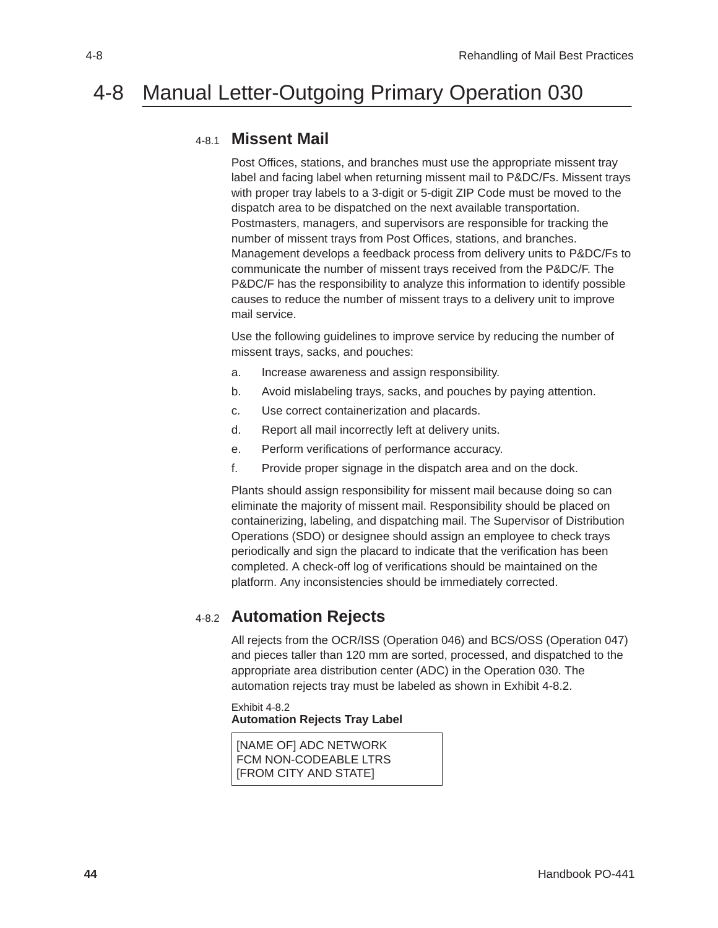### <span id="page-47-0"></span>4-8 Manual Letter-Outgoing Primary Operation 030

#### 4-8.1 **Missent Mail**

Post Offices, stations, and branches must use the appropriate missent tray label and facing label when returning missent mail to P&DC/Fs. Missent trays with proper tray labels to a 3-digit or 5-digit ZIP Code must be moved to the dispatch area to be dispatched on the next available transportation. Postmasters, managers, and supervisors are responsible for tracking the number of missent trays from Post Offices, stations, and branches. Management develops a feedback process from delivery units to P&DC/Fs to communicate the number of missent trays received from the P&DC/F. The P&DC/F has the responsibility to analyze this information to identify possible causes to reduce the number of missent trays to a delivery unit to improve mail service.

Use the following guidelines to improve service by reducing the number of missent trays, sacks, and pouches:

- a. Increase awareness and assign responsibility.
- b. Avoid mislabeling trays, sacks, and pouches by paying attention.
- c. Use correct containerization and placards.
- d. Report all mail incorrectly left at delivery units.
- e. Perform verifications of performance accuracy.
- f. Provide proper signage in the dispatch area and on the dock.

Plants should assign responsibility for missent mail because doing so can eliminate the majority of missent mail. Responsibility should be placed on containerizing, labeling, and dispatching mail. The Supervisor of Distribution Operations (SDO) or designee should assign an employee to check trays periodically and sign the placard to indicate that the verification has been completed. A check-off log of verifications should be maintained on the platform. Any inconsistencies should be immediately corrected.

#### 4-8.2 **Automation Rejects**

All rejects from the OCR/ISS (Operation 046) and BCS/OSS (Operation 047) and pieces taller than 120 mm are sorted, processed, and dispatched to the appropriate area distribution center (ADC) in the Operation 030. The automation rejects tray must be labeled as shown in Exhibit 4-8.2.

Exhibit 4-8.2 **Automation Rejects Tray Label**

[NAME OF] ADC NETWORK FCM NON-CODEABLE LTRS [FROM CITY AND STATE]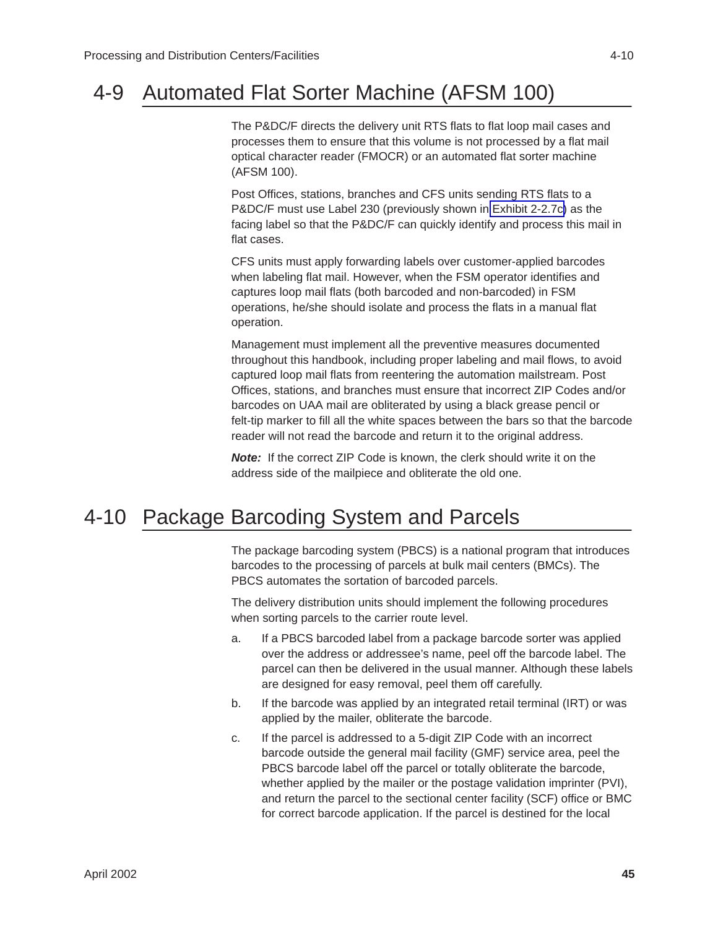### <span id="page-48-0"></span>4-9 Automated Flat Sorter Machine (AFSM 100)

The P&DC/F directs the delivery unit RTS flats to flat loop mail cases and processes them to ensure that this volume is not processed by a flat mail optical character reader (FMOCR) or an automated flat sorter machine (AFSM 100).

Post Offices, stations, branches and CFS units sending RTS flats to a P&DC/F must use Label 230 (previously shown in [Exhibit 2-2.7c\)](#page-24-0) as the facing label so that the P&DC/F can quickly identify and process this mail in flat cases.

CFS units must apply forwarding labels over customer-applied barcodes when labeling flat mail. However, when the FSM operator identifies and captures loop mail flats (both barcoded and non-barcoded) in FSM operations, he/she should isolate and process the flats in a manual flat operation.

Management must implement all the preventive measures documented throughout this handbook, including proper labeling and mail flows, to avoid captured loop mail flats from reentering the automation mailstream. Post Offices, stations, and branches must ensure that incorrect ZIP Codes and/or barcodes on UAA mail are obliterated by using a black grease pencil or felt-tip marker to fill all the white spaces between the bars so that the barcode reader will not read the barcode and return it to the original address.

*Note:*If the correct ZIP Code is known, the clerk should write it on the address side of the mailpiece and obliterate the old one.

### 4-10 Package Barcoding System and Parcels

The package barcoding system (PBCS) is a national program that introduces barcodes to the processing of parcels at bulk mail centers (BMCs). The PBCS automates the sortation of barcoded parcels.

The delivery distribution units should implement the following procedures when sorting parcels to the carrier route level.

- a. If a PBCS barcoded label from a package barcode sorter was applied over the address or addressee's name, peel off the barcode label. The parcel can then be delivered in the usual manner. Although these labels are designed for easy removal, peel them off carefully.
- b. If the barcode was applied by an integrated retail terminal (IRT) or was applied by the mailer, obliterate the barcode.
- c. If the parcel is addressed to a 5-digit ZIP Code with an incorrect barcode outside the general mail facility (GMF) service area, peel the PBCS barcode label off the parcel or totally obliterate the barcode, whether applied by the mailer or the postage validation imprinter (PVI), and return the parcel to the sectional center facility (SCF) office or BMC for correct barcode application. If the parcel is destined for the local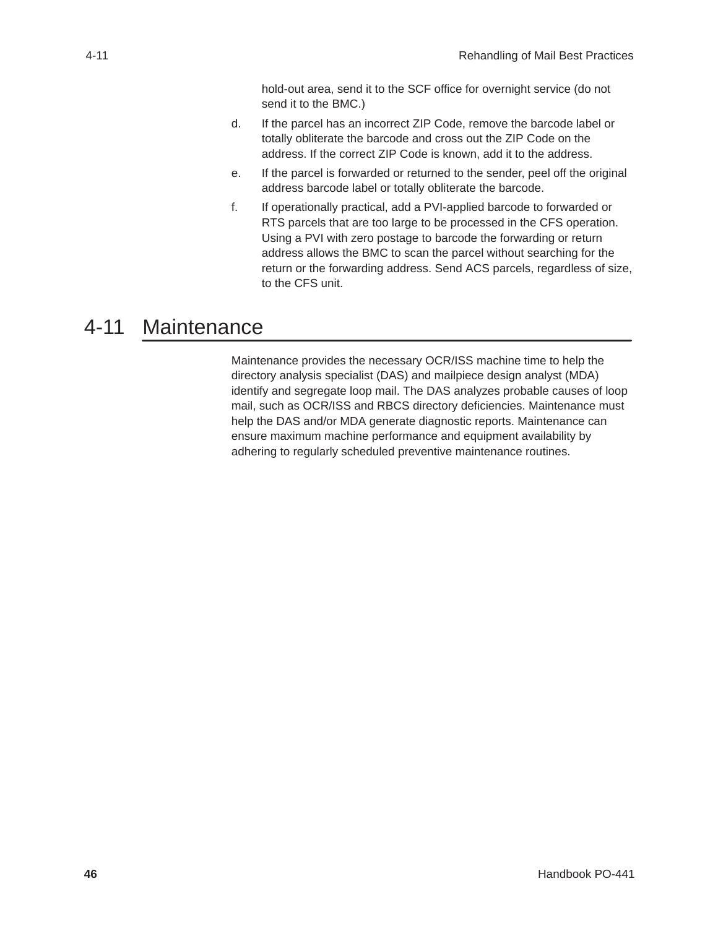hold-out area, send it to the SCF office for overnight service (do not send it to the BMC.)

- <span id="page-49-0"></span>d. If the parcel has an incorrect ZIP Code, remove the barcode label or totally obliterate the barcode and cross out the ZIP Code on the address. If the correct ZIP Code is known, add it to the address.
- e. If the parcel is forwarded or returned to the sender, peel off the original address barcode label or totally obliterate the barcode.
- f. If operationally practical, add a PVI-applied barcode to forwarded or RTS parcels that are too large to be processed in the CFS operation. Using a PVI with zero postage to barcode the forwarding or return address allows the BMC to scan the parcel without searching for the return or the forwarding address. Send ACS parcels, regardless of size, to the CFS unit.

### 4-11 Maintenance

Maintenance provides the necessary OCR/ISS machine time to help the directory analysis specialist (DAS) and mailpiece design analyst (MDA) identify and segregate loop mail. The DAS analyzes probable causes of loop mail, such as OCR/ISS and RBCS directory deficiencies. Maintenance must help the DAS and/or MDA generate diagnostic reports. Maintenance can ensure maximum machine performance and equipment availability by adhering to regularly scheduled preventive maintenance routines.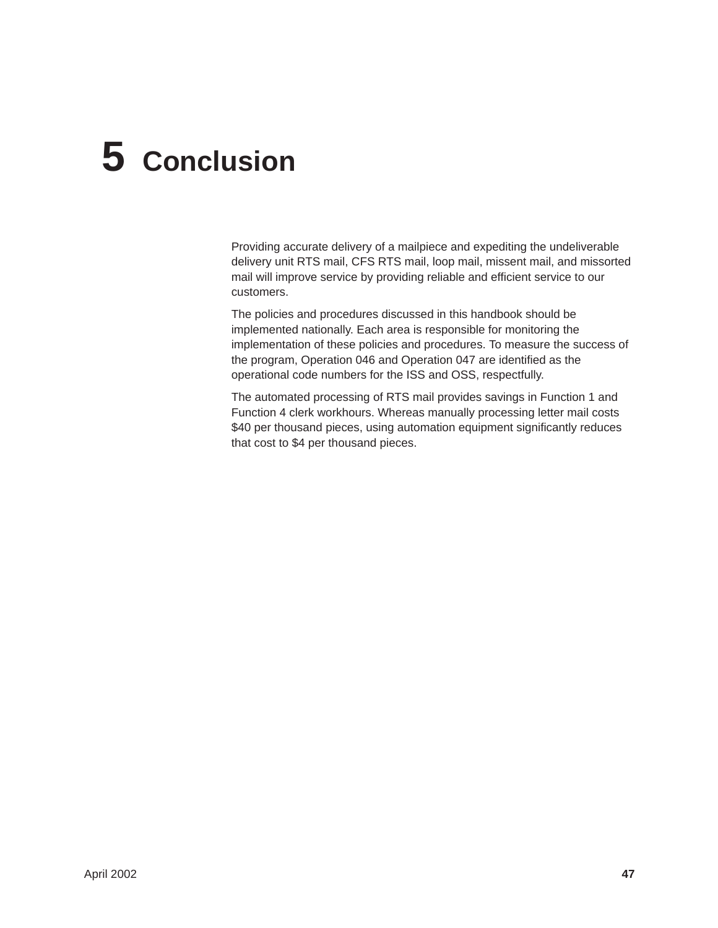# <span id="page-50-0"></span>**5 Conclusion**

Providing accurate delivery of a mailpiece and expediting the undeliverable delivery unit RTS mail, CFS RTS mail, loop mail, missent mail, and missorted mail will improve service by providing reliable and efficient service to our customers.

The policies and procedures discussed in this handbook should be implemented nationally. Each area is responsible for monitoring the implementation of these policies and procedures. To measure the success of the program, Operation 046 and Operation 047 are identified as the operational code numbers for the ISS and OSS, respectfully.

The automated processing of RTS mail provides savings in Function 1 and Function 4 clerk workhours. Whereas manually processing letter mail costs \$40 per thousand pieces, using automation equipment significantly reduces that cost to \$4 per thousand pieces.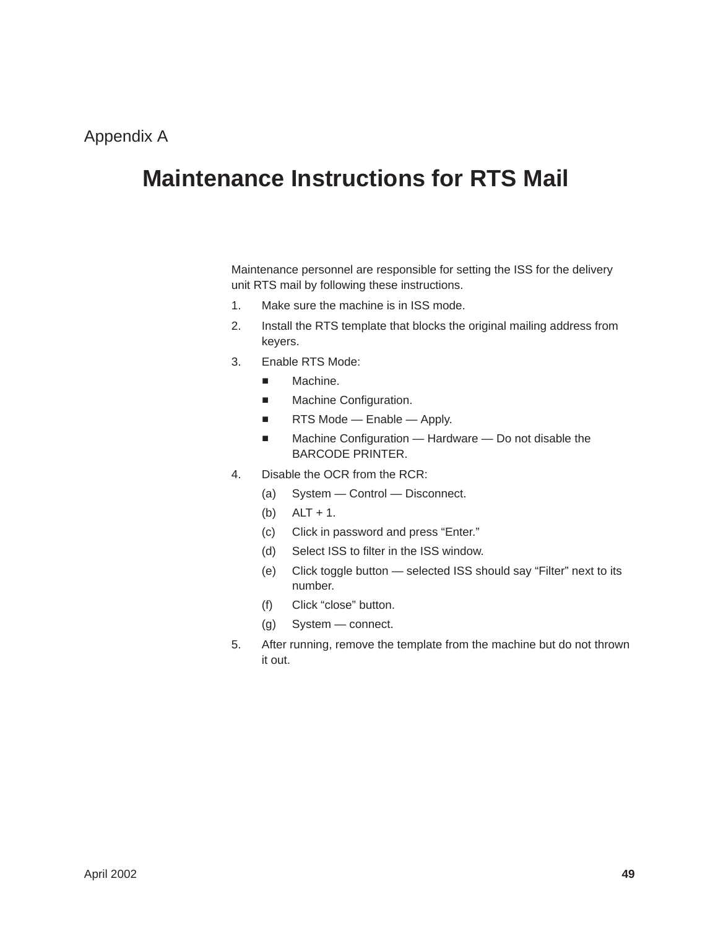## <span id="page-51-0"></span>**Maintenance Instructions for RTS Mail**

Maintenance personnel are responsible for setting the ISS for the delivery unit RTS mail by following these instructions.

- 1. Make sure the machine is in ISS mode.
- 2. Install the RTS template that blocks the original mailing address from keyers.
- 3. Enable RTS Mode:
	- ٠ Machine.
	- $\blacksquare$ Machine Configuration.
	- $\blacksquare$ RTS Mode — Enable — Apply.
	- $\blacksquare$  Machine Configuration — Hardware — Do not disable the BARCODE PRINTER.
- 4. Disable the OCR from the RCR:
	- (a) System Control Disconnect.
	- (b) ALT + 1.
	- (c) Click in password and press "Enter."
	- (d) Select ISS to filter in the ISS window.
	- (e) Click toggle button selected ISS should say "Filter" next to its number.
	- (f) Click "close" button.
	- (g) System connect.
- 5. After running, remove the template from the machine but do not thrown it out.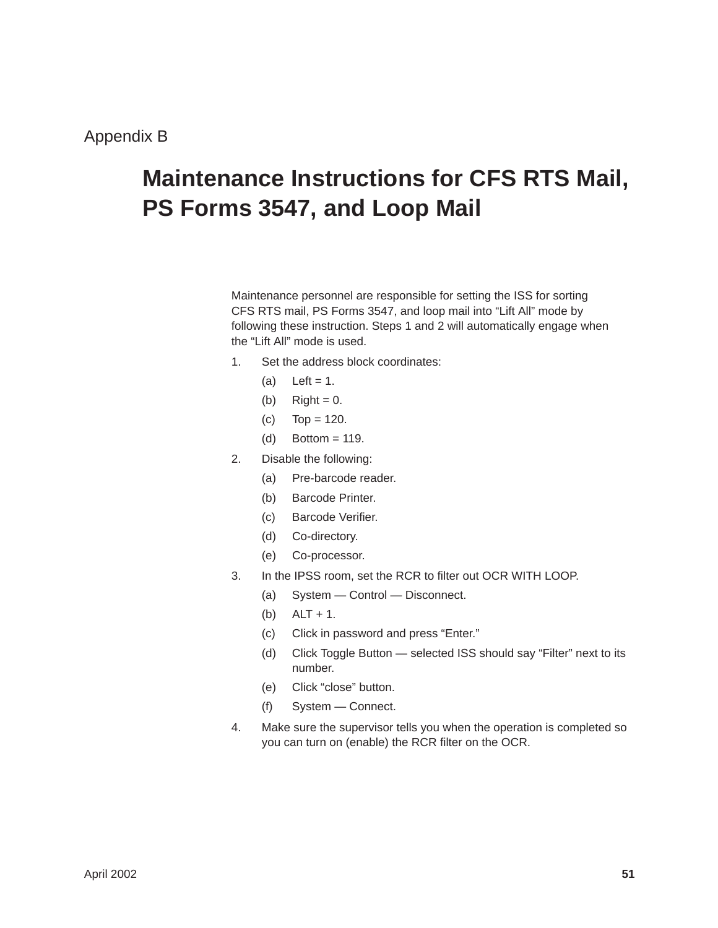## <span id="page-52-0"></span>**Maintenance Instructions for CFS RTS Mail, PS Forms 3547, and Loop Mail**

Maintenance personnel are responsible for setting the ISS for sorting CFS RTS mail, PS Forms 3547, and loop mail into "Lift All" mode by following these instruction. Steps 1 and 2 will automatically engage when the "Lift All" mode is used.

- 1. Set the address block coordinates:
	- $(a)$  Left = 1.
	- (b)  $Right = 0$ .
	- (c) Top =  $120$ .
	- (d) Bottom = 119.
- 2. Disable the following:
	- (a) Pre-barcode reader.
	- (b) Barcode Printer.
	- (c) Barcode Verifier.
	- (d) Co-directory.
	- (e) Co-processor.
- 3. In the IPSS room, set the RCR to filter out OCR WITH LOOP.
	- (a) System Control Disconnect.
	- (b) ALT + 1.
	- (c) Click in password and press "Enter."
	- (d) Click Toggle Button selected ISS should say "Filter" next to its number.
	- (e) Click "close" button.
	- (f) System Connect.
- 4. Make sure the supervisor tells you when the operation is completed so you can turn on (enable) the RCR filter on the OCR.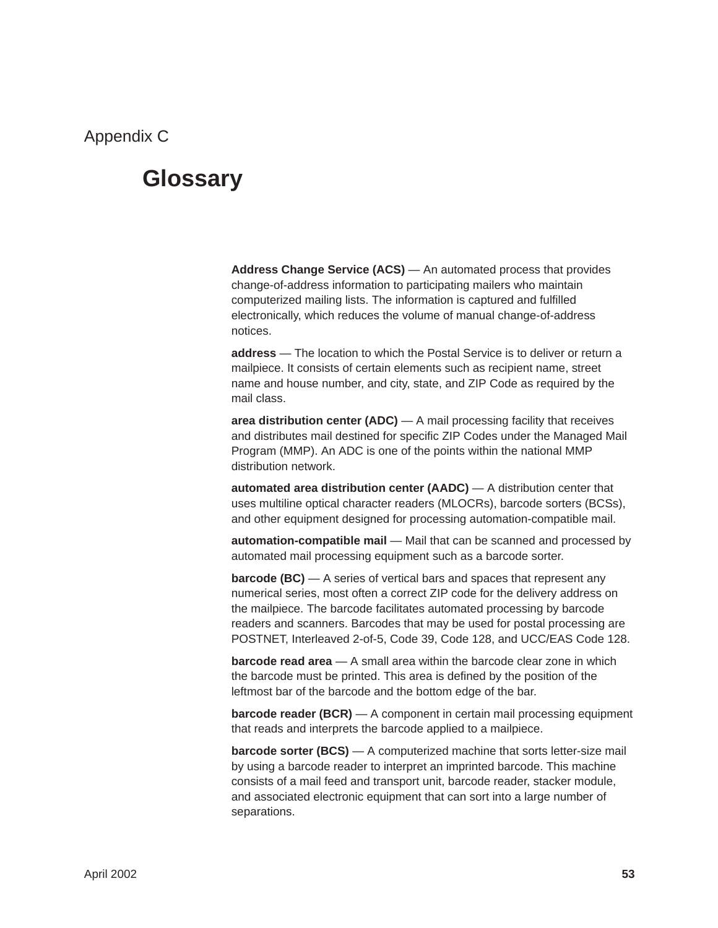### <span id="page-53-0"></span>**Glossary**

**Address Change Service (ACS)** — An automated process that provides change-of-address information to participating mailers who maintain computerized mailing lists. The information is captured and fulfilled electronically, which reduces the volume of manual change-of-address notices.

**address** — The location to which the Postal Service is to deliver or return a mailpiece. It consists of certain elements such as recipient name, street name and house number, and city, state, and ZIP Code as required by the mail class.

**area distribution center (ADC)** — A mail processing facility that receives and distributes mail destined for specific ZIP Codes under the Managed Mail Program (MMP). An ADC is one of the points within the national MMP distribution network.

**automated area distribution center (AADC)** — A distribution center that uses multiline optical character readers (MLOCRs), barcode sorters (BCSs), and other equipment designed for processing automation-compatible mail.

**automation-compatible mail** — Mail that can be scanned and processed by automated mail processing equipment such as a barcode sorter.

**barcode (BC)** — A series of vertical bars and spaces that represent any numerical series, most often a correct ZIP code for the delivery address on the mailpiece. The barcode facilitates automated processing by barcode readers and scanners. Barcodes that may be used for postal processing are POSTNET, Interleaved 2-of-5, Code 39, Code 128, and UCC/EAS Code 128.

**barcode read area** — A small area within the barcode clear zone in which the barcode must be printed. This area is defined by the position of the leftmost bar of the barcode and the bottom edge of the bar.

**barcode reader (BCR)** — A component in certain mail processing equipment that reads and interprets the barcode applied to a mailpiece.

**barcode sorter (BCS)** — A computerized machine that sorts letter-size mail by using a barcode reader to interpret an imprinted barcode. This machine consists of a mail feed and transport unit, barcode reader, stacker module, and associated electronic equipment that can sort into a large number of separations.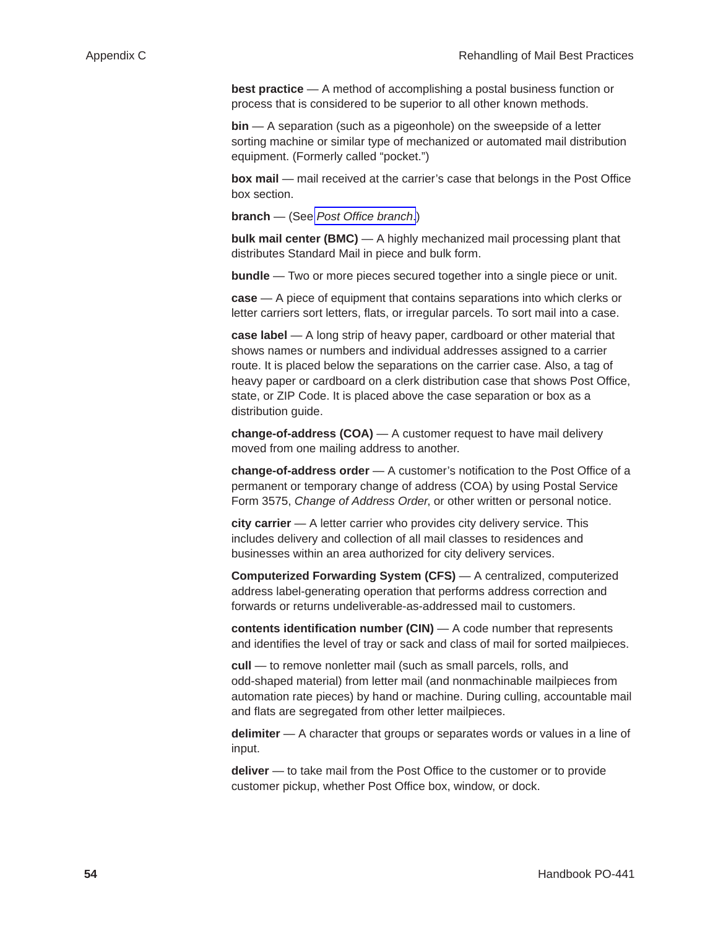<span id="page-54-0"></span>**best practice** — A method of accomplishing a postal business function or process that is considered to be superior to all other known methods.

**bin** — A separation (such as a pigeonhole) on the sweepside of a letter sorting machine or similar type of mechanized or automated mail distribution equipment. (Formerly called "pocket.")

**box mail** — mail received at the carrier's case that belongs in the Post Office box section.

**branch** — (See *[Post Office branch](#page-58-0)*.)

**bulk mail center (BMC)** — A highly mechanized mail processing plant that distributes Standard Mail in piece and bulk form.

**bundle** — Two or more pieces secured together into a single piece or unit.

**case** — A piece of equipment that contains separations into which clerks or letter carriers sort letters, flats, or irregular parcels. To sort mail into a case.

**case label** — A long strip of heavy paper, cardboard or other material that shows names or numbers and individual addresses assigned to a carrier route. It is placed below the separations on the carrier case. Also, a tag of heavy paper or cardboard on a clerk distribution case that shows Post Office, state, or ZIP Code. It is placed above the case separation or box as a distribution guide.

**change-of-address (COA)** — A customer request to have mail delivery moved from one mailing address to another.

**change-of-address order** — A customer's notification to the Post Office of a permanent or temporary change of address (COA) by using Postal Service Form 3575, *Change of Address Order*, or other written or personal notice.

**city carrier** — A letter carrier who provides city delivery service. This includes delivery and collection of all mail classes to residences and businesses within an area authorized for city delivery services.

**Computerized Forwarding System (CFS)** — A centralized, computerized address label-generating operation that performs address correction and forwards or returns undeliverable-as-addressed mail to customers.

**contents identification number (CIN)** — A code number that represents and identifies the level of tray or sack and class of mail for sorted mailpieces.

**cull** — to remove nonletter mail (such as small parcels, rolls, and odd-shaped material) from letter mail (and nonmachinable mailpieces from automation rate pieces) by hand or machine. During culling, accountable mail and flats are segregated from other letter mailpieces.

**delimiter** — A character that groups or separates words or values in a line of input.

**deliver** — to take mail from the Post Office to the customer or to provide customer pickup, whether Post Office box, window, or dock.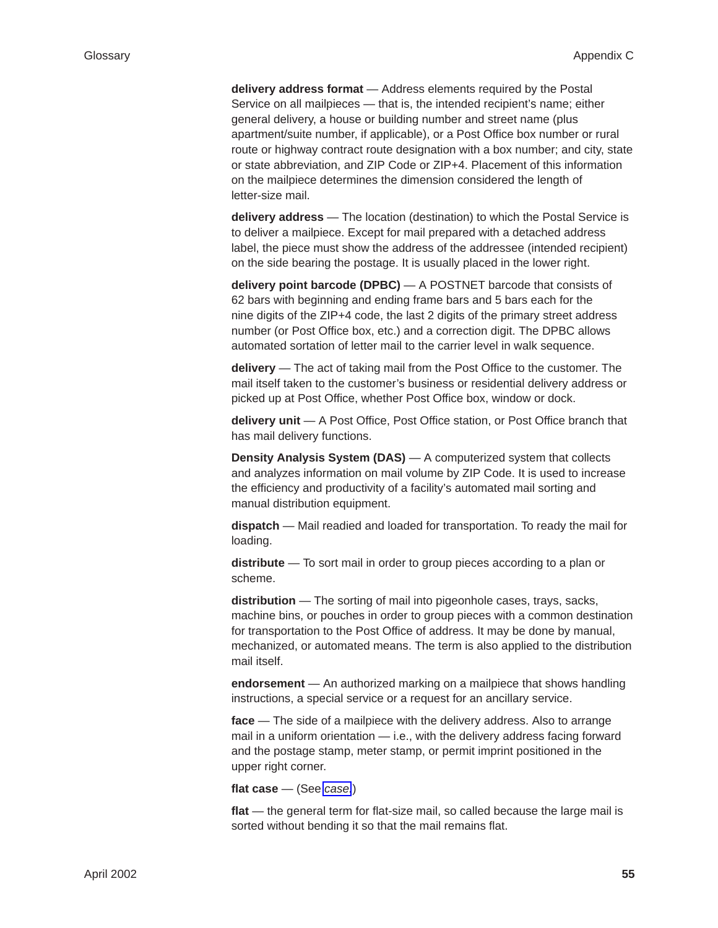**delivery address format** — Address elements required by the Postal Service on all mailpieces — that is, the intended recipient's name; either general delivery, a house or building number and street name (plus apartment/suite number, if applicable), or a Post Office box number or rural route or highway contract route designation with a box number; and city, state or state abbreviation, and ZIP Code or ZIP+4. Placement of this information on the mailpiece determines the dimension considered the length of letter-size mail.

**delivery address** — The location (destination) to which the Postal Service is to deliver a mailpiece. Except for mail prepared with a detached address label, the piece must show the address of the addressee (intended recipient) on the side bearing the postage. It is usually placed in the lower right.

**delivery point barcode (DPBC)** — A POSTNET barcode that consists of 62 bars with beginning and ending frame bars and 5 bars each for the nine digits of the ZIP+4 code, the last 2 digits of the primary street address number (or Post Office box, etc.) and a correction digit. The DPBC allows automated sortation of letter mail to the carrier level in walk sequence.

**delivery** — The act of taking mail from the Post Office to the customer. The mail itself taken to the customer's business or residential delivery address or picked up at Post Office, whether Post Office box, window or dock.

**delivery unit** — A Post Office, Post Office station, or Post Office branch that has mail delivery functions.

**Density Analysis System (DAS)** — A computerized system that collects and analyzes information on mail volume by ZIP Code. It is used to increase the efficiency and productivity of a facility's automated mail sorting and manual distribution equipment.

**dispatch** — Mail readied and loaded for transportation. To ready the mail for loading.

**distribute** — To sort mail in order to group pieces according to a plan or scheme.

**distribution** — The sorting of mail into pigeonhole cases, trays, sacks, machine bins, or pouches in order to group pieces with a common destination for transportation to the Post Office of address. It may be done by manual, mechanized, or automated means. The term is also applied to the distribution mail itself.

**endorsement** — An authorized marking on a mailpiece that shows handling instructions, a special service or a request for an ancillary service.

**face** — The side of a mailpiece with the delivery address. Also to arrange mail in a uniform orientation — i.e., with the delivery address facing forward and the postage stamp, meter stamp, or permit imprint positioned in the upper right corner.

**flat case** — (See *[case.](#page-54-0)*)

**flat** — the general term for flat-size mail, so called because the large mail is sorted without bending it so that the mail remains flat.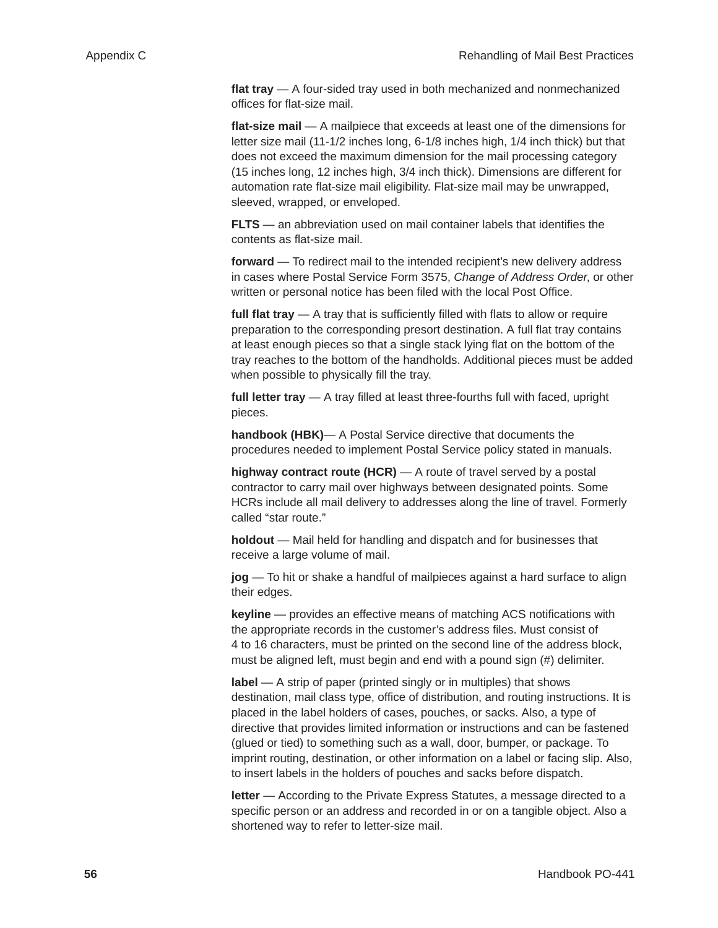**flat tray** — A four-sided tray used in both mechanized and nonmechanized offices for flat-size mail.

**flat-size mail** — A mailpiece that exceeds at least one of the dimensions for letter size mail (11-1/2 inches long, 6-1/8 inches high, 1/4 inch thick) but that does not exceed the maximum dimension for the mail processing category (15 inches long, 12 inches high, 3/4 inch thick). Dimensions are different for automation rate flat-size mail eligibility. Flat-size mail may be unwrapped, sleeved, wrapped, or enveloped.

**FLTS** — an abbreviation used on mail container labels that identifies the contents as flat-size mail.

**forward** — To redirect mail to the intended recipient's new delivery address in cases where Postal Service Form 3575, *Change of Address Order*, or other written or personal notice has been filed with the local Post Office.

**full flat tray** — A tray that is sufficiently filled with flats to allow or require preparation to the corresponding presort destination. A full flat tray contains at least enough pieces so that a single stack lying flat on the bottom of the tray reaches to the bottom of the handholds. Additional pieces must be added when possible to physically fill the tray.

**full letter tray** — A tray filled at least three-fourths full with faced, upright pieces.

**handbook (HBK)**— A Postal Service directive that documents the procedures needed to implement Postal Service policy stated in manuals.

**highway contract route (HCR)** — A route of travel served by a postal contractor to carry mail over highways between designated points. Some HCRs include all mail delivery to addresses along the line of travel. Formerly called "star route."

**holdout** — Mail held for handling and dispatch and for businesses that receive a large volume of mail.

**jog** — To hit or shake a handful of mailpieces against a hard surface to align their edges.

**keyline** — provides an effective means of matching ACS notifications with the appropriate records in the customer's address files. Must consist of 4 to 16 characters, must be printed on the second line of the address block, must be aligned left, must begin and end with a pound sign (#) delimiter.

**label** — A strip of paper (printed singly or in multiples) that shows destination, mail class type, office of distribution, and routing instructions. It is placed in the label holders of cases, pouches, or sacks. Also, a type of directive that provides limited information or instructions and can be fastened (glued or tied) to something such as a wall, door, bumper, or package. To imprint routing, destination, or other information on a label or facing slip. Also, to insert labels in the holders of pouches and sacks before dispatch.

**letter** — According to the Private Express Statutes, a message directed to a specific person or an address and recorded in or on a tangible object. Also a shortened way to refer to letter-size mail.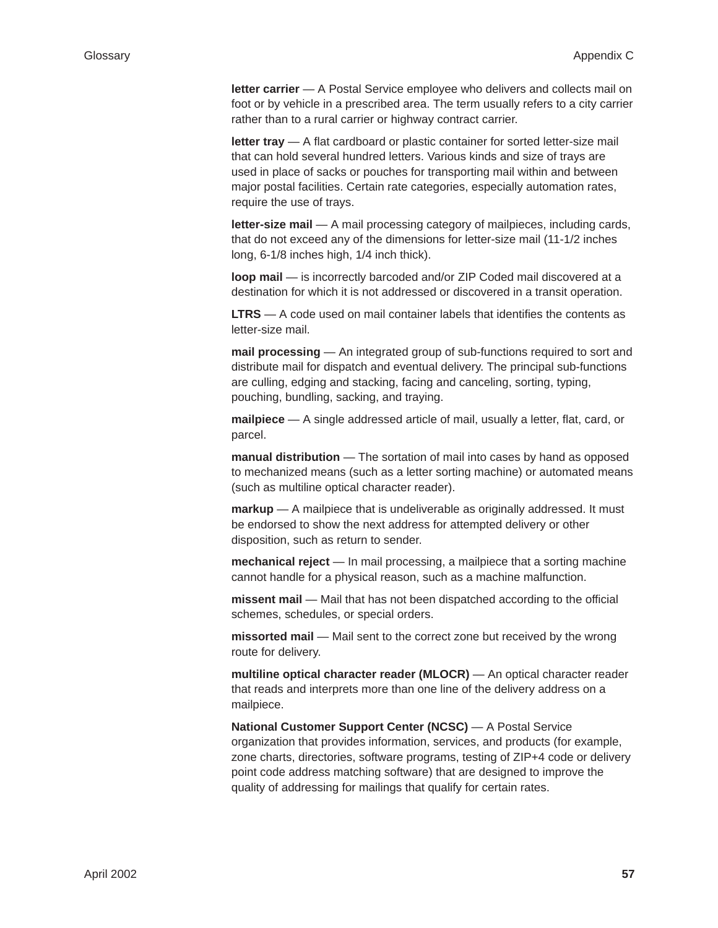**letter carrier** — A Postal Service employee who delivers and collects mail on foot or by vehicle in a prescribed area. The term usually refers to a city carrier rather than to a rural carrier or highway contract carrier.

**letter tray** — A flat cardboard or plastic container for sorted letter-size mail that can hold several hundred letters. Various kinds and size of trays are used in place of sacks or pouches for transporting mail within and between major postal facilities. Certain rate categories, especially automation rates, require the use of trays.

**letter-size mail** — A mail processing category of mailpieces, including cards, that do not exceed any of the dimensions for letter-size mail (11-1/2 inches long, 6-1/8 inches high, 1/4 inch thick).

**loop mail** — is incorrectly barcoded and/or ZIP Coded mail discovered at a destination for which it is not addressed or discovered in a transit operation.

**LTRS** — A code used on mail container labels that identifies the contents as letter-size mail.

**mail processing** — An integrated group of sub-functions required to sort and distribute mail for dispatch and eventual delivery. The principal sub-functions are culling, edging and stacking, facing and canceling, sorting, typing, pouching, bundling, sacking, and traying.

**mailpiece** — A single addressed article of mail, usually a letter, flat, card, or parcel.

**manual distribution** — The sortation of mail into cases by hand as opposed to mechanized means (such as a letter sorting machine) or automated means (such as multiline optical character reader).

**markup** — A mailpiece that is undeliverable as originally addressed. It must be endorsed to show the next address for attempted delivery or other disposition, such as return to sender.

**mechanical reject** — In mail processing, a mailpiece that a sorting machine cannot handle for a physical reason, such as a machine malfunction.

**missent mail** — Mail that has not been dispatched according to the official schemes, schedules, or special orders.

**missorted mail** — Mail sent to the correct zone but received by the wrong route for delivery.

**multiline optical character reader (MLOCR)** — An optical character reader that reads and interprets more than one line of the delivery address on a mailpiece.

**National Customer Support Center (NCSC)** — A Postal Service organization that provides information, services, and products (for example, zone charts, directories, software programs, testing of ZIP+4 code or delivery point code address matching software) that are designed to improve the quality of addressing for mailings that qualify for certain rates.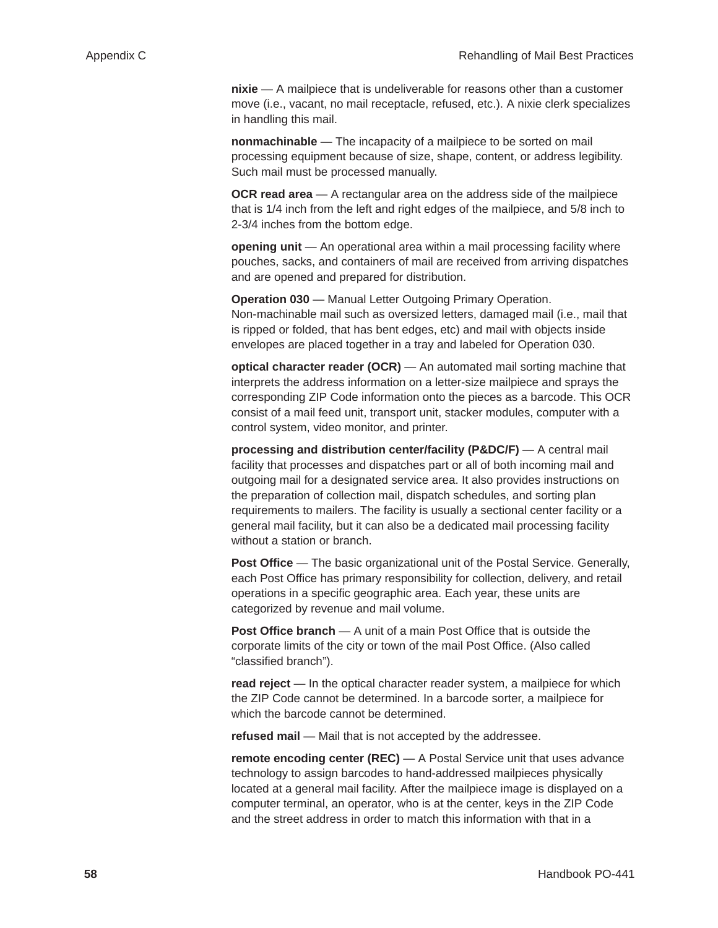<span id="page-58-0"></span>**nixie** — A mailpiece that is undeliverable for reasons other than a customer move (i.e., vacant, no mail receptacle, refused, etc.). A nixie clerk specializes in handling this mail.

**nonmachinable** — The incapacity of a mailpiece to be sorted on mail processing equipment because of size, shape, content, or address legibility. Such mail must be processed manually.

**OCR read area** — A rectangular area on the address side of the mailpiece that is 1/4 inch from the left and right edges of the mailpiece, and 5/8 inch to 2-3/4 inches from the bottom edge.

**opening unit** — An operational area within a mail processing facility where pouches, sacks, and containers of mail are received from arriving dispatches and are opened and prepared for distribution.

**Operation 030** — Manual Letter Outgoing Primary Operation. Non-machinable mail such as oversized letters, damaged mail (i.e., mail that is ripped or folded, that has bent edges, etc) and mail with objects inside envelopes are placed together in a tray and labeled for Operation 030.

**optical character reader (OCR)** — An automated mail sorting machine that interprets the address information on a letter-size mailpiece and sprays the corresponding ZIP Code information onto the pieces as a barcode. This OCR consist of a mail feed unit, transport unit, stacker modules, computer with a control system, video monitor, and printer.

**processing and distribution center/facility (P&DC/F)** — A central mail facility that processes and dispatches part or all of both incoming mail and outgoing mail for a designated service area. It also provides instructions on the preparation of collection mail, dispatch schedules, and sorting plan requirements to mailers. The facility is usually a sectional center facility or a general mail facility, but it can also be a dedicated mail processing facility without a station or branch.

**Post Office** — The basic organizational unit of the Postal Service. Generally, each Post Office has primary responsibility for collection, delivery, and retail operations in a specific geographic area. Each year, these units are categorized by revenue and mail volume.

**Post Office branch** — A unit of a main Post Office that is outside the corporate limits of the city or town of the mail Post Office. (Also called "classified branch").

**read reject** — In the optical character reader system, a mailpiece for which the ZIP Code cannot be determined. In a barcode sorter, a mailpiece for which the barcode cannot be determined.

**refused mail** — Mail that is not accepted by the addressee.

**remote encoding center (REC)** — A Postal Service unit that uses advance technology to assign barcodes to hand-addressed mailpieces physically located at a general mail facility. After the mailpiece image is displayed on a computer terminal, an operator, who is at the center, keys in the ZIP Code and the street address in order to match this information with that in a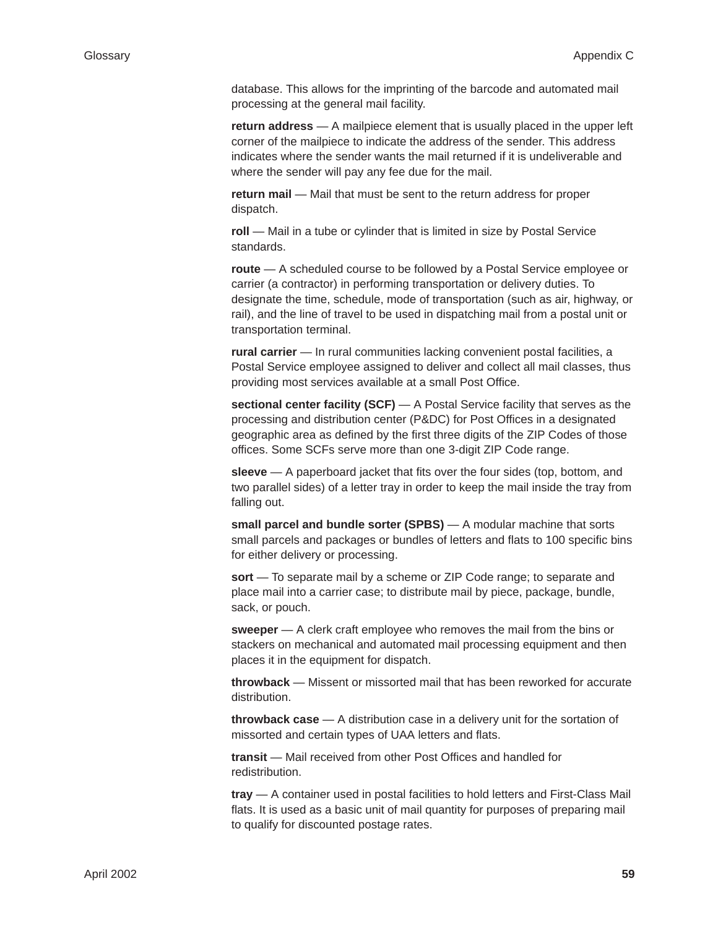database. This allows for the imprinting of the barcode and automated mail processing at the general mail facility.

**return address** — A mailpiece element that is usually placed in the upper left corner of the mailpiece to indicate the address of the sender. This address indicates where the sender wants the mail returned if it is undeliverable and where the sender will pay any fee due for the mail.

**return mail** — Mail that must be sent to the return address for proper dispatch.

roll — Mail in a tube or cylinder that is limited in size by Postal Service standards.

**route** — A scheduled course to be followed by a Postal Service employee or carrier (a contractor) in performing transportation or delivery duties. To designate the time, schedule, mode of transportation (such as air, highway, or rail), and the line of travel to be used in dispatching mail from a postal unit or transportation terminal.

**rural carrier** — In rural communities lacking convenient postal facilities, a Postal Service employee assigned to deliver and collect all mail classes, thus providing most services available at a small Post Office.

**sectional center facility (SCF)** — A Postal Service facility that serves as the processing and distribution center (P&DC) for Post Offices in a designated geographic area as defined by the first three digits of the ZIP Codes of those offices. Some SCFs serve more than one 3-digit ZIP Code range.

**sleeve** — A paperboard jacket that fits over the four sides (top, bottom, and two parallel sides) of a letter tray in order to keep the mail inside the tray from falling out.

**small parcel and bundle sorter (SPBS)** — A modular machine that sorts small parcels and packages or bundles of letters and flats to 100 specific bins for either delivery or processing.

**sort** — To separate mail by a scheme or ZIP Code range; to separate and place mail into a carrier case; to distribute mail by piece, package, bundle, sack, or pouch.

**sweeper** — A clerk craft employee who removes the mail from the bins or stackers on mechanical and automated mail processing equipment and then places it in the equipment for dispatch.

**throwback** — Missent or missorted mail that has been reworked for accurate distribution.

**throwback case** — A distribution case in a delivery unit for the sortation of missorted and certain types of UAA letters and flats.

**transit** — Mail received from other Post Offices and handled for redistribution.

**tray** — A container used in postal facilities to hold letters and First-Class Mail flats. It is used as a basic unit of mail quantity for purposes of preparing mail to qualify for discounted postage rates.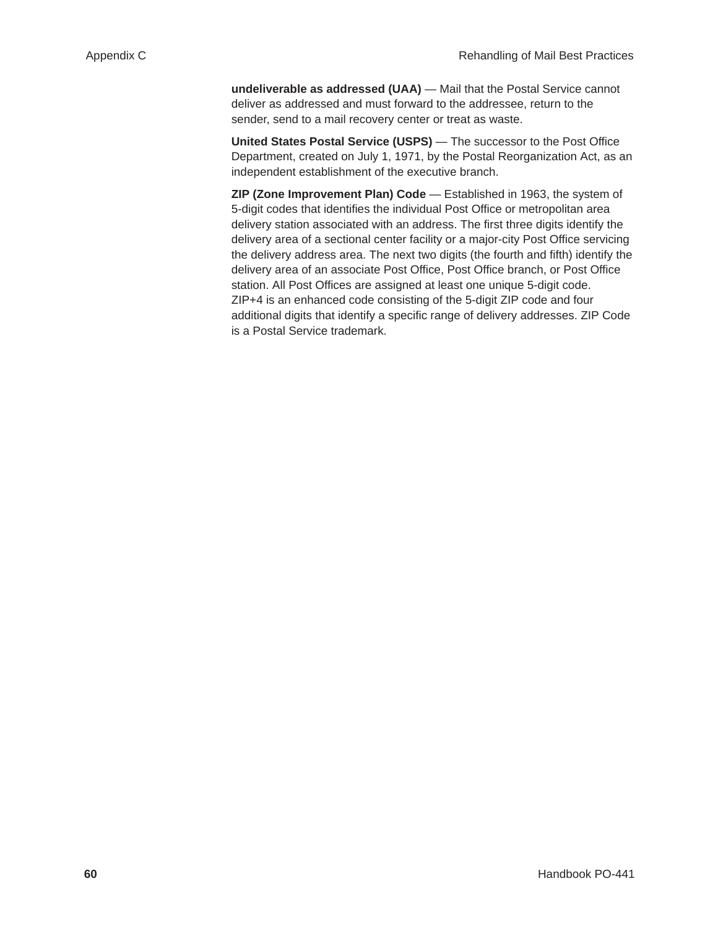**undeliverable as addressed (UAA)** — Mail that the Postal Service cannot deliver as addressed and must forward to the addressee, return to the sender, send to a mail recovery center or treat as waste.

**United States Postal Service (USPS)** — The successor to the Post Office Department, created on July 1, 1971, by the Postal Reorganization Act, as an independent establishment of the executive branch.

**ZIP (Zone Improvement Plan) Code** — Established in 1963, the system of 5-digit codes that identifies the individual Post Office or metropolitan area delivery station associated with an address. The first three digits identify the delivery area of a sectional center facility or a major-city Post Office servicing the delivery address area. The next two digits (the fourth and fifth) identify the delivery area of an associate Post Office, Post Office branch, or Post Office station. All Post Offices are assigned at least one unique 5-digit code. ZIP+4 is an enhanced code consisting of the 5-digit ZIP code and four additional digits that identify a specific range of delivery addresses. ZIP Code is a Postal Service trademark.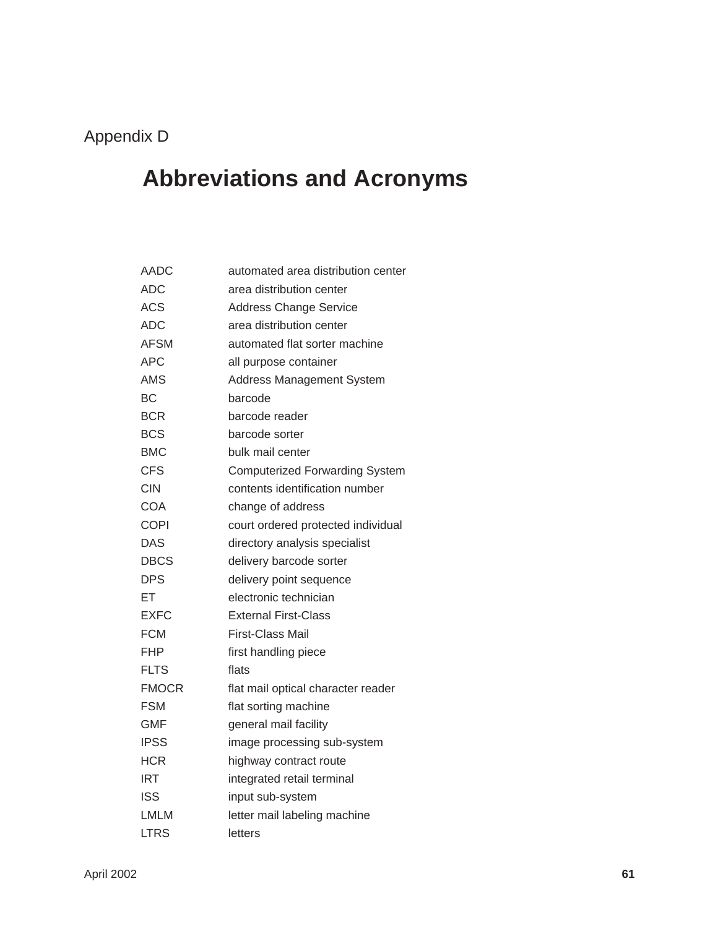### <span id="page-61-0"></span>Appendix D

## **Abbreviations and Acronyms**

| AADC         | automated area distribution center    |
|--------------|---------------------------------------|
| <b>ADC</b>   | area distribution center              |
| <b>ACS</b>   | <b>Address Change Service</b>         |
| <b>ADC</b>   | area distribution center              |
| <b>AFSM</b>  | automated flat sorter machine         |
| <b>APC</b>   | all purpose container                 |
| AMS          | <b>Address Management System</b>      |
| <b>BC</b>    | barcode                               |
| <b>BCR</b>   | barcode reader                        |
| <b>BCS</b>   | barcode sorter                        |
| <b>BMC</b>   | bulk mail center                      |
| <b>CFS</b>   | <b>Computerized Forwarding System</b> |
| CIN          | contents identification number        |
| COA          | change of address                     |
| <b>COPI</b>  | court ordered protected individual    |
| DAS          | directory analysis specialist         |
| <b>DBCS</b>  | delivery barcode sorter               |
| <b>DPS</b>   | delivery point sequence               |
| EТ           | electronic technician                 |
| <b>EXFC</b>  | <b>External First-Class</b>           |
| <b>FCM</b>   | <b>First-Class Mail</b>               |
| FHP          | first handling piece                  |
| <b>FLTS</b>  | flats                                 |
| <b>FMOCR</b> | flat mail optical character reader    |
| <b>FSM</b>   | flat sorting machine                  |
| GMF          | general mail facility                 |
| IPSS         | image processing sub-system           |
| <b>HCR</b>   | highway contract route                |
| <b>IRT</b>   | integrated retail terminal            |
| <b>ISS</b>   | input sub-system                      |
| LMLM         | letter mail labeling machine          |
| <b>LTRS</b>  | letters                               |